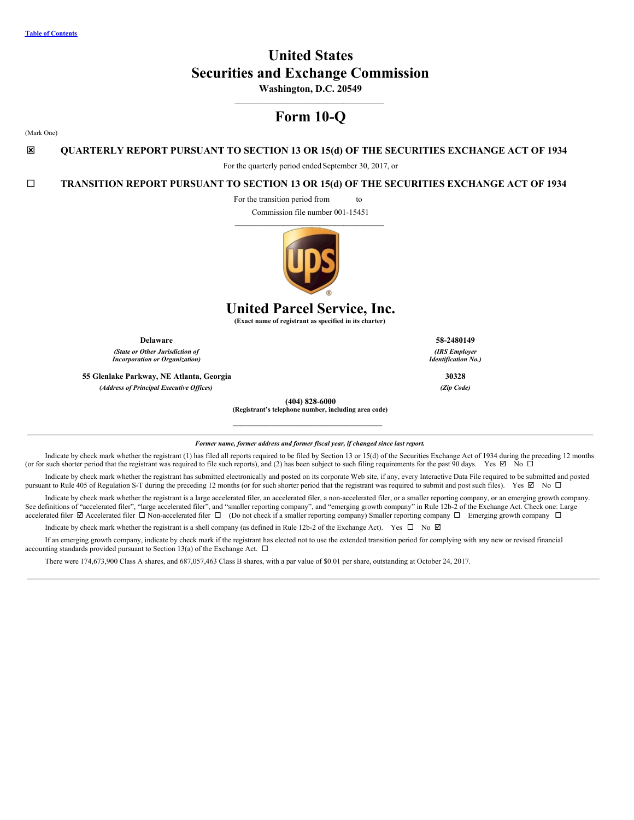# **United States Securities and Exchange Commission**

**Washington, D.C. 20549** \_\_\_\_\_\_\_\_\_\_\_\_\_\_\_\_\_\_\_\_\_\_\_\_\_\_\_\_\_\_\_\_\_\_\_\_\_

# **Form 10-Q**

(Mark One)

### ý **QUARTERLY REPORT PURSUANT TO SECTION 13 OR 15(d) OF THE SECURITIES EXCHANGE ACT OF 1934**

For the quarterly period ended September 30, 2017, or

## ¨ **TRANSITION REPORT PURSUANT TO SECTION 13 OR 15(d) OF THE SECURITIES EXCHANGE ACT OF 1934**

For the transition period from to

Commission file number 001-15451



**United Parcel Service, Inc.**

**(Exact name of registrant as specified in its charter)**

**Delaware 58-2480149**

*(State or Other Jurisdiction of Incorporation or Organization)*

**55 Glenlake Parkway, NE Atlanta, Georgia 30328** *(Address of Principal Executive Of ices) (Zip Code)*

*(IRS Employer Identification No.)*

**(404) 828-6000 (Registrant's telephone number, including area code)**  $\mathcal{L}_\text{max}$ 

#### *Former name, former address and former fiscal year, if changed since last report.*

Indicate by check mark whether the registrant (1) has filed all reports required to be filed by Section 13 or 15(d) of the Securities Exchange Act of 1934 during the preceding 12 months (or for such shorter period that the registrant was required to file such reports), and (2) has been subject to such filing requirements for the past 90 days. Yes  $\boxtimes$  No  $\Box$ 

Indicate by check mark whether the registrant has submitted electronically and posted on its corporate Web site, if any, every Interactive Data File required to be submitted and posted pursuant to Rule 405 of Regulation S-T during the preceding 12 months (or for such shorter period that the registrant was required to submit and post such files). Yes  $\boxtimes$  No  $\Box$ 

Indicate by check mark whether the registrant is a large accelerated filer, an accelerated filer, a non-accelerated filer, or a smaller reporting company, or an emerging growth company. See definitions of "accelerated filer", "large accelerated filer", and "smaller reporting company", and "emerging growth company" in Rule 12b-2 of the Exchange Act. Check one: Large accelerated filer  $\boxdot$  Accelerated filer  $\Box$  Non-accelerated filer  $\Box$  (Do not check if a smaller reporting company) Smaller reporting company  $\Box$  Emerging growth company  $\Box$ 

Indicate by check mark whether the registrant is a shell company (as defined in Rule 12b-2 of the Exchange Act). Yes  $\Box$  No  $\Box$ 

If an emerging growth company, indicate by check mark if the registrant has elected not to use the extended transition period for complying with any new or revised financial accounting standards provided pursuant to Section 13(a) of the Exchange Act.  $\Box$ 

There were 174,673,900 Class A shares, and 687,057,463 Class B shares, with a par value of \$0.01 per share, outstanding at October 24, 2017.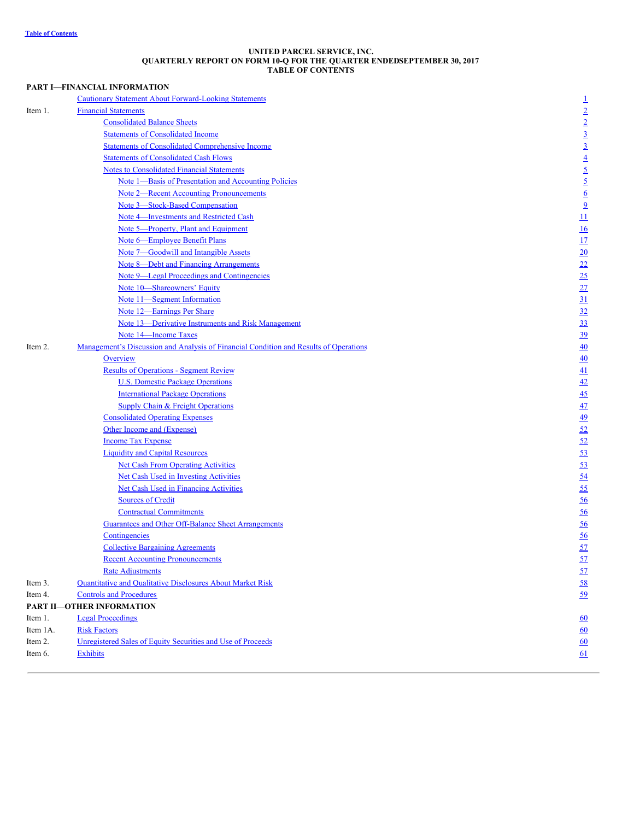### **UNITED PARCEL SERVICE, INC. QUARTERLY REPORT ON FORM 10-Q FOR THE QUARTER ENDEDSEPTEMBER 30, 2017 TABLE OF CONTENTS**

<span id="page-1-0"></span>

|          | PART I-FINANCIAL INFORMATION                                                          |                                 |
|----------|---------------------------------------------------------------------------------------|---------------------------------|
|          | <b>Cautionary Statement About Forward-Looking Statements</b>                          | $\overline{1}$                  |
| Item 1.  | <b>Financial Statements</b>                                                           |                                 |
|          | <b>Consolidated Balance Sheets</b>                                                    |                                 |
|          | <b>Statements of Consolidated Income</b>                                              | $2$ $2$ $3$ $3$ $4$ $5$ $5$ $6$ |
|          | <b>Statements of Consolidated Comprehensive Income</b>                                |                                 |
|          | <b>Statements of Consolidated Cash Flows</b>                                          |                                 |
|          | <b>Notes to Consolidated Financial Statements</b>                                     |                                 |
|          | Note 1—Basis of Presentation and Accounting Policies                                  |                                 |
|          | <b>Note 2—Recent Accounting Pronouncements</b>                                        |                                 |
|          | Note 3—Stock-Based Compensation                                                       | $\overline{2}$                  |
|          | Note 4—Investments and Restricted Cash                                                | 11                              |
|          | Note 5—Property, Plant and Equipment                                                  | 16                              |
|          | Note 6-Employee Benefit Plans                                                         | 17                              |
|          | Note 7—Goodwill and Intangible Assets                                                 | $\overline{20}$                 |
|          | Note 8—Debt and Financing Arrangements                                                | $\overline{22}$                 |
|          | Note 9—Legal Proceedings and Contingencies                                            | $\overline{25}$                 |
|          | Note 10—Shareowners' Equity                                                           | $\overline{27}$                 |
|          | Note 11-Segment Information                                                           | $\overline{31}$                 |
|          | Note 12-Earnings Per Share                                                            | $\overline{32}$                 |
|          | Note 13—Derivative Instruments and Risk Management                                    | $\overline{33}$                 |
|          | Note 14-Income Taxes                                                                  | $\frac{39}{5}$                  |
| Item 2.  | Management's Discussion and Analysis of Financial Condition and Results of Operations | $\overline{40}$                 |
|          | Overview                                                                              | $\frac{40}{5}$                  |
|          | <b>Results of Operations - Segment Review</b>                                         | 41                              |
|          | <b>U.S. Domestic Package Operations</b>                                               | $\frac{42}{5}$                  |
|          | <b>International Package Operations</b>                                               | $\frac{45}{5}$                  |
|          | <b>Supply Chain &amp; Freight Operations</b>                                          | $\frac{47}{1}$                  |
|          | <b>Consolidated Operating Expenses</b>                                                |                                 |
|          | Other Income and (Expense)                                                            | $\frac{49}{52}$                 |
|          | <b>Income Tax Expense</b>                                                             | $\frac{52}{5}$                  |
|          | <b>Liquidity and Capital Resources</b>                                                | $\overline{53}$                 |
|          | <b>Net Cash From Operating Activities</b>                                             | 53                              |
|          | Net Cash Used in Investing Activities                                                 | $\frac{54}{5}$                  |
|          | <b>Net Cash Used in Financing Activities</b>                                          | $\frac{55}{5}$                  |
|          | <b>Sources of Credit</b>                                                              | 56                              |
|          | <b>Contractual Commitments</b>                                                        | 56                              |
|          | Guarantees and Other Off-Balance Sheet Arrangements                                   | $\frac{56}{5}$                  |
|          | Contingencies                                                                         | 56                              |
|          | <b>Collective Bargaining Agreements</b>                                               | <u>57</u>                       |
|          | <b>Recent Accounting Pronouncements</b>                                               | 57                              |
|          | <b>Rate Adjustments</b>                                                               | 57                              |
| Item 3.  | <b>Ouantitative and Qualitative Disclosures About Market Risk</b>                     | 58                              |
| Item 4.  | <b>Controls and Procedures</b>                                                        | 59                              |
|          | <b>PART II-OTHER INFORMATION</b>                                                      |                                 |
| Item 1.  | <b>Legal Proceedings</b>                                                              | 60                              |
| Item 1A. | <b>Risk Factors</b>                                                                   | 60                              |
| Item 2.  | Unregistered Sales of Equity Securities and Use of Proceeds                           | 60                              |
| Item 6.  | <b>Exhibits</b>                                                                       | 61                              |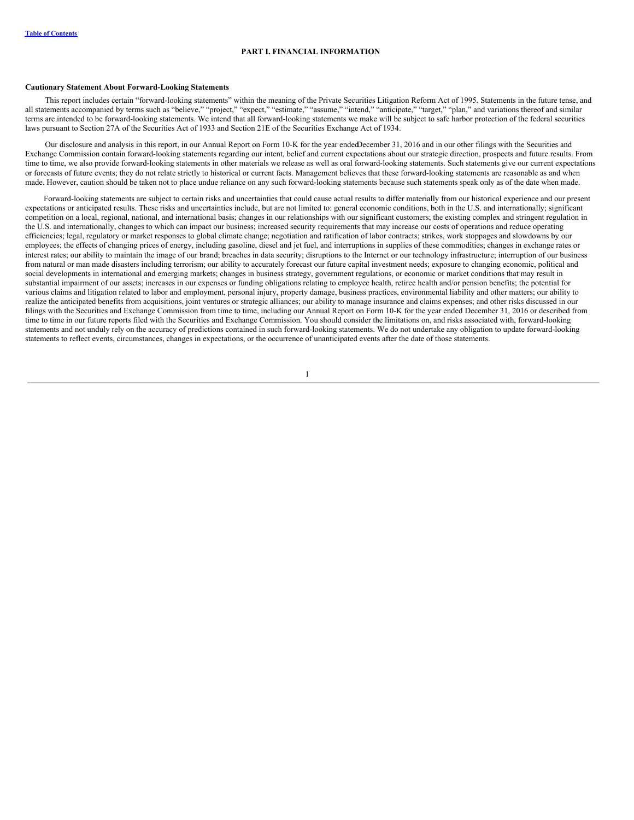### **PART I. FINANCIAL INFORMATION**

### <span id="page-2-0"></span>**Cautionary Statement About Forward-Looking Statements**

This report includes certain "forward-looking statements" within the meaning of the Private Securities Litigation Reform Act of 1995. Statements in the future tense, and all statements accompanied by terms such as "believe," "project," "expect," "estimate," "assume," "intend," "anticipate," "target," "plan," and variations thereof and similar terms are intended to be forward-looking statements. We intend that all forward-looking statements we make will be subject to safe harbor protection of the federal securities laws pursuant to Section 27A of the Securities Act of 1933 and Section 21E of the Securities Exchange Act of 1934.

Our disclosure and analysis in this report, in our Annual Report on Form 10-K for the year endedDecember 31, 2016 and in our other filings with the Securities and Exchange Commission contain forward-looking statements regarding our intent, belief and current expectations about our strategic direction, prospects and future results. From time to time, we also provide forward-looking statements in other materials we release as well as oral forward-looking statements. Such statements give our current expectations or forecasts of future events; they do not relate strictly to historical or current facts. Management believes that these forward-looking statements are reasonable as and when made. However, caution should be taken not to place undue reliance on any such forward-looking statements because such statements speak only as of the date when made.

Forward-looking statements are subject to certain risks and uncertainties that could cause actual results to differ materially from our historical experience and our present expectations or anticipated results. These risks and uncertainties include, but are not limited to: general economic conditions, both in the U.S. and internationally; significant competition on a local, regional, national, and international basis; changes in our relationships with our significant customers; the existing complex and stringent regulation in the U.S. and internationally, changes to which can impact our business; increased security requirements that may increase our costs of operations and reduce operating efficiencies; legal, regulatory or market responses to global climate change; negotiation and ratification of labor contracts; strikes, work stoppages and slowdowns by our employees; the effects of changing prices of energy, including gasoline, diesel and jet fuel, and interruptions in supplies of these commodities; changes in exchange rates or interest rates; our ability to maintain the image of our brand; breaches in data security; disruptions to the Internet or our technology infrastructure; interruption of our business from natural or man made disasters including terrorism; our ability to accurately forecast our future capital investment needs; exposure to changing economic, political and social developments in international and emerging markets; changes in business strategy, government regulations, or economic or market conditions that may result in substantial impairment of our assets; increases in our expenses or funding obligations relating to employee health, retiree health and/or pension benefits; the potential for various claims and litigation related to labor and employment, personal injury, property damage, business practices, environmental liability and other matters; our ability to realize the anticipated benefits from acquisitions, joint ventures or strategic alliances; our ability to manage insurance and claims expenses; and other risks discussed in our filings with the Securities and Exchange Commission from time to time, including our Annual Report on Form 10-K for the year ended December 31, 2016 or described from time to time in our future reports filed with the Securities and Exchange Commission. You should consider the limitations on, and risks associated with, forward-looking statements and not unduly rely on the accuracy of predictions contained in such forward-looking statements. We do not undertake any obligation to update forward-looking statements to reflect events, circumstances, changes in expectations, or the occurrence of unanticipated events after the date of those statements.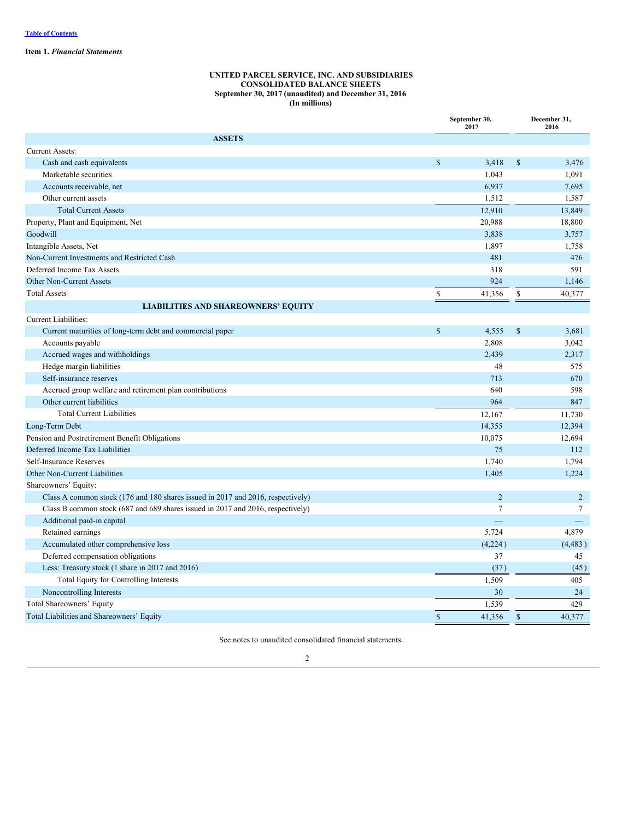<span id="page-3-1"></span><span id="page-3-0"></span>**Item 1.** *Financial Statements*

#### **UNITED PARCEL SERVICE, INC. AND SUBSIDIARIES CONSOLIDATED BALANCE SHEETS September 30, 2017 (unaudited) and December 31, 2016 (In millions)**

|                                                                                 | September 30,<br>2017 |                | December 31,<br>2016 |                |
|---------------------------------------------------------------------------------|-----------------------|----------------|----------------------|----------------|
| <b>ASSETS</b>                                                                   |                       |                |                      |                |
| <b>Current Assets:</b>                                                          |                       |                |                      |                |
| Cash and cash equivalents                                                       | $\mathbb{S}$          | 3.418          | $\mathsf{\$}$        | 3,476          |
| Marketable securities                                                           |                       | 1,043          |                      | 1,091          |
| Accounts receivable, net                                                        |                       | 6,937          |                      | 7,695          |
| Other current assets                                                            |                       | 1,512          |                      | 1,587          |
| <b>Total Current Assets</b>                                                     |                       | 12,910         |                      | 13,849         |
| Property, Plant and Equipment, Net                                              |                       | 20,988         |                      | 18,800         |
| Goodwill                                                                        |                       | 3,838          |                      | 3,757          |
| Intangible Assets, Net                                                          |                       | 1,897          |                      | 1,758          |
| Non-Current Investments and Restricted Cash                                     |                       | 481            |                      | 476            |
| Deferred Income Tax Assets                                                      |                       | 318            |                      | 591            |
| <b>Other Non-Current Assets</b>                                                 |                       | 924            |                      | 1.146          |
| <b>Total Assets</b>                                                             | \$                    | 41,356         | \$                   | 40,377         |
| <b>LIABILITIES AND SHAREOWNERS' EQUITY</b>                                      |                       |                |                      |                |
| <b>Current Liabilities:</b>                                                     |                       |                |                      |                |
| Current maturities of long-term debt and commercial paper                       | $\mathbb{S}$          | 4,555          | $\mathbb S$          | 3,681          |
| Accounts payable                                                                |                       | 2,808          |                      | 3,042          |
| Accrued wages and withholdings                                                  |                       | 2,439          |                      | 2,317          |
| Hedge margin liabilities                                                        |                       | 48             |                      | 575            |
| Self-insurance reserves                                                         |                       | 713            |                      | 670            |
| Accrued group welfare and retirement plan contributions                         |                       | 640            |                      | 598            |
| Other current liabilities                                                       |                       | 964            |                      | 847            |
| <b>Total Current Liabilities</b>                                                |                       | 12,167         |                      | 11,730         |
| Long-Term Debt                                                                  |                       | 14,355         |                      | 12,394         |
| Pension and Postretirement Benefit Obligations                                  |                       | 10.075         |                      | 12,694         |
| Deferred Income Tax Liabilities                                                 |                       | 75             |                      | 112            |
| <b>Self-Insurance Reserves</b>                                                  |                       | 1,740          |                      | 1,794          |
| Other Non-Current Liabilities                                                   |                       | 1,405          |                      | 1,224          |
| Shareowners' Equity:                                                            |                       |                |                      |                |
| Class A common stock (176 and 180 shares issued in 2017 and 2016, respectively) |                       | $\overline{2}$ |                      | $\overline{2}$ |
| Class B common stock (687 and 689 shares issued in 2017 and 2016, respectively) |                       | $\overline{7}$ |                      | $\tau$         |
| Additional paid-in capital                                                      |                       |                |                      |                |
| Retained earnings                                                               |                       | 5,724          |                      | 4,879          |
| Accumulated other comprehensive loss                                            |                       | (4,224)        |                      | (4, 483)       |
| Deferred compensation obligations                                               |                       | 37             |                      | 45             |
| Less: Treasury stock (1 share in 2017 and 2016)                                 |                       | (37)           |                      | (45)           |
| Total Equity for Controlling Interests                                          |                       | 1,509          |                      | 405            |
| Noncontrolling Interests                                                        |                       | 30             |                      | 24             |
| Total Shareowners' Equity                                                       |                       | 1,539          |                      | 429            |
| Total Liabilities and Shareowners' Equity                                       | $\mathbb{S}$          | 41,356         | $\mathbb{S}$         | 40.377         |

See notes to unaudited consolidated financial statements.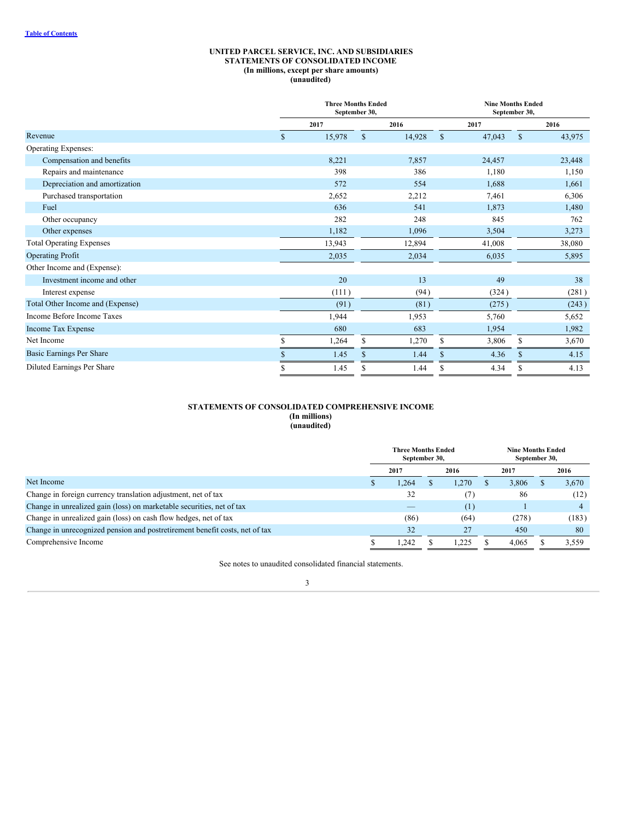### **UNITED PARCEL SERVICE, INC. AND SUBSIDIARIES STATEMENTS OF CONSOLIDATED INCOME (In millions, except per share amounts) (unaudited)**

<span id="page-4-0"></span>

|                                  |              | <b>Three Months Ended</b><br>September 30, |              |        | <b>Nine Months Ended</b><br>September 30, |        |              |        |
|----------------------------------|--------------|--------------------------------------------|--------------|--------|-------------------------------------------|--------|--------------|--------|
|                                  |              | 2017                                       |              | 2016   |                                           | 2017   |              | 2016   |
| Revenue                          | $\mathbb{S}$ | 15,978                                     | $\mathbb{S}$ | 14,928 | $\mathcal{S}$                             | 47,043 | $\mathbb{S}$ | 43,975 |
| Operating Expenses:              |              |                                            |              |        |                                           |        |              |        |
| Compensation and benefits        |              | 8,221                                      |              | 7,857  |                                           | 24,457 |              | 23,448 |
| Repairs and maintenance          |              | 398                                        |              | 386    |                                           | 1,180  |              | 1,150  |
| Depreciation and amortization    |              | 572                                        |              | 554    |                                           | 1,688  |              | 1,661  |
| Purchased transportation         |              | 2,652                                      |              | 2,212  |                                           | 7,461  |              | 6,306  |
| Fuel                             |              | 636                                        |              | 541    |                                           | 1,873  |              | 1,480  |
| Other occupancy                  |              | 282                                        |              | 248    |                                           | 845    |              | 762    |
| Other expenses                   |              | 1,182                                      |              | 1,096  |                                           | 3,504  |              | 3,273  |
| <b>Total Operating Expenses</b>  |              | 13,943                                     |              | 12,894 |                                           | 41,008 |              | 38,080 |
| <b>Operating Profit</b>          |              | 2,035                                      |              | 2,034  |                                           | 6,035  |              | 5,895  |
| Other Income and (Expense):      |              |                                            |              |        |                                           |        |              |        |
| Investment income and other      |              | 20                                         |              | 13     |                                           | 49     |              | 38     |
| Interest expense                 |              | (111)                                      |              | (94)   |                                           | (324)  |              | (281)  |
| Total Other Income and (Expense) |              | (91)                                       |              | (81)   |                                           | (275)  |              | (243)  |
| Income Before Income Taxes       |              | 1,944                                      |              | 1,953  |                                           | 5,760  |              | 5,652  |
| Income Tax Expense               |              | 680                                        |              | 683    |                                           | 1,954  |              | 1,982  |
| Net Income                       | S            | 1,264                                      | S.           | 1,270  | <sup>\$</sup>                             | 3,806  | S            | 3,670  |
| Basic Earnings Per Share         | S            | 1.45                                       | S            | 1.44   | \$                                        | 4.36   | S            | 4.15   |
| Diluted Earnings Per Share       | \$           | 1.45                                       | \$           | 1.44   | S                                         | 4.34   | S            | 4.13   |

### **STATEMENTS OF CONSOLIDATED COMPREHENSIVE INCOME (In millions) (unaudited)**

<span id="page-4-1"></span>

|                                                                             |                      | <b>Three Months Ended</b><br>September 30, |  |       |  | <b>Nine Months Ended</b><br>September 30, |  |                |  |  |  |  |      |
|-----------------------------------------------------------------------------|----------------------|--------------------------------------------|--|-------|--|-------------------------------------------|--|----------------|--|--|--|--|------|
|                                                                             | 2016<br>2017<br>2017 |                                            |  |       |  |                                           |  |                |  |  |  |  | 2016 |
| Net Income                                                                  |                      | 1.264                                      |  | 1.270 |  | 3,806                                     |  | 3,670          |  |  |  |  |      |
| Change in foreign currency translation adjustment, net of tax               |                      | 32                                         |  | (7)   |  | 86                                        |  | (12)           |  |  |  |  |      |
| Change in unrealized gain (loss) on marketable securities, net of tax       |                      |                                            |  | (1)   |  |                                           |  | $\overline{4}$ |  |  |  |  |      |
| Change in unrealized gain (loss) on cash flow hedges, net of tax            |                      | (86)                                       |  | (64)  |  | (278)                                     |  | (183)          |  |  |  |  |      |
| Change in unrecognized pension and postretirement benefit costs, net of tax |                      | 32                                         |  | 27    |  | 450                                       |  | 80             |  |  |  |  |      |
| Comprehensive Income                                                        |                      | 1.242                                      |  | .225  |  | 4.065                                     |  | 3.559          |  |  |  |  |      |

See notes to unaudited consolidated financial statements.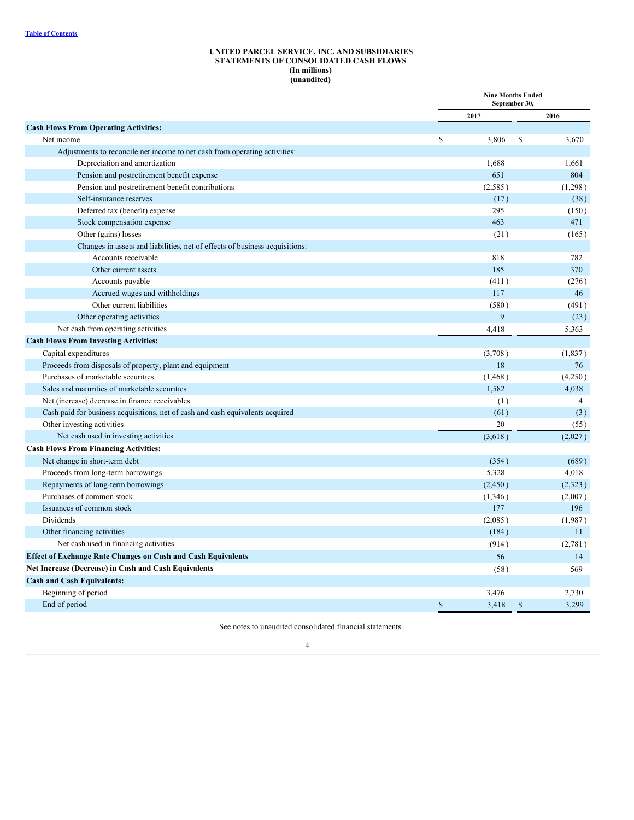#### **UNITED PARCEL SERVICE, INC. AND SUBSIDIARIES STATEMENTS OF CONSOLIDATED CASH FLOWS (In millions) (unaudited)**

<span id="page-5-0"></span>

| 2016<br>2017<br><b>Cash Flows From Operating Activities:</b><br>\$<br>Net income<br>3,806<br>\$<br>3,670<br>Adjustments to reconcile net income to net cash from operating activities:<br>Depreciation and amortization<br>1,688<br>1.661<br>651<br>804<br>Pension and postretirement benefit expense<br>Pension and postretirement benefit contributions<br>(2, 585)<br>(1,298)<br>Self-insurance reserves<br>(17)<br>(38)<br>Deferred tax (benefit) expense<br>295<br>(150)<br>Stock compensation expense<br>463<br>471<br>Other (gains) losses<br>(21)<br>(165)<br>Changes in assets and liabilities, net of effects of business acquisitions:<br>818<br>Accounts receivable<br>782<br>185<br>370<br>Other current assets<br>Accounts payable<br>(411)<br>(276)<br>Accrued wages and withholdings<br>46<br>117<br>Other current liabilities<br>(491)<br>(580)<br>9<br>Other operating activities<br>(23)<br>Net cash from operating activities<br>4,418<br>5,363<br><b>Cash Flows From Investing Activities:</b><br>(3,708)<br>Capital expenditures<br>(1, 837) |  | <b>Nine Months Ended</b><br>September 30, |
|--------------------------------------------------------------------------------------------------------------------------------------------------------------------------------------------------------------------------------------------------------------------------------------------------------------------------------------------------------------------------------------------------------------------------------------------------------------------------------------------------------------------------------------------------------------------------------------------------------------------------------------------------------------------------------------------------------------------------------------------------------------------------------------------------------------------------------------------------------------------------------------------------------------------------------------------------------------------------------------------------------------------------------------------------------------------|--|-------------------------------------------|
|                                                                                                                                                                                                                                                                                                                                                                                                                                                                                                                                                                                                                                                                                                                                                                                                                                                                                                                                                                                                                                                                    |  |                                           |
|                                                                                                                                                                                                                                                                                                                                                                                                                                                                                                                                                                                                                                                                                                                                                                                                                                                                                                                                                                                                                                                                    |  |                                           |
|                                                                                                                                                                                                                                                                                                                                                                                                                                                                                                                                                                                                                                                                                                                                                                                                                                                                                                                                                                                                                                                                    |  |                                           |
|                                                                                                                                                                                                                                                                                                                                                                                                                                                                                                                                                                                                                                                                                                                                                                                                                                                                                                                                                                                                                                                                    |  |                                           |
|                                                                                                                                                                                                                                                                                                                                                                                                                                                                                                                                                                                                                                                                                                                                                                                                                                                                                                                                                                                                                                                                    |  |                                           |
|                                                                                                                                                                                                                                                                                                                                                                                                                                                                                                                                                                                                                                                                                                                                                                                                                                                                                                                                                                                                                                                                    |  |                                           |
|                                                                                                                                                                                                                                                                                                                                                                                                                                                                                                                                                                                                                                                                                                                                                                                                                                                                                                                                                                                                                                                                    |  |                                           |
|                                                                                                                                                                                                                                                                                                                                                                                                                                                                                                                                                                                                                                                                                                                                                                                                                                                                                                                                                                                                                                                                    |  |                                           |
|                                                                                                                                                                                                                                                                                                                                                                                                                                                                                                                                                                                                                                                                                                                                                                                                                                                                                                                                                                                                                                                                    |  |                                           |
|                                                                                                                                                                                                                                                                                                                                                                                                                                                                                                                                                                                                                                                                                                                                                                                                                                                                                                                                                                                                                                                                    |  |                                           |
|                                                                                                                                                                                                                                                                                                                                                                                                                                                                                                                                                                                                                                                                                                                                                                                                                                                                                                                                                                                                                                                                    |  |                                           |
|                                                                                                                                                                                                                                                                                                                                                                                                                                                                                                                                                                                                                                                                                                                                                                                                                                                                                                                                                                                                                                                                    |  |                                           |
|                                                                                                                                                                                                                                                                                                                                                                                                                                                                                                                                                                                                                                                                                                                                                                                                                                                                                                                                                                                                                                                                    |  |                                           |
|                                                                                                                                                                                                                                                                                                                                                                                                                                                                                                                                                                                                                                                                                                                                                                                                                                                                                                                                                                                                                                                                    |  |                                           |
|                                                                                                                                                                                                                                                                                                                                                                                                                                                                                                                                                                                                                                                                                                                                                                                                                                                                                                                                                                                                                                                                    |  |                                           |
|                                                                                                                                                                                                                                                                                                                                                                                                                                                                                                                                                                                                                                                                                                                                                                                                                                                                                                                                                                                                                                                                    |  |                                           |
|                                                                                                                                                                                                                                                                                                                                                                                                                                                                                                                                                                                                                                                                                                                                                                                                                                                                                                                                                                                                                                                                    |  |                                           |
|                                                                                                                                                                                                                                                                                                                                                                                                                                                                                                                                                                                                                                                                                                                                                                                                                                                                                                                                                                                                                                                                    |  |                                           |
|                                                                                                                                                                                                                                                                                                                                                                                                                                                                                                                                                                                                                                                                                                                                                                                                                                                                                                                                                                                                                                                                    |  |                                           |
|                                                                                                                                                                                                                                                                                                                                                                                                                                                                                                                                                                                                                                                                                                                                                                                                                                                                                                                                                                                                                                                                    |  |                                           |
|                                                                                                                                                                                                                                                                                                                                                                                                                                                                                                                                                                                                                                                                                                                                                                                                                                                                                                                                                                                                                                                                    |  |                                           |
| Proceeds from disposals of property, plant and equipment<br>18<br>76                                                                                                                                                                                                                                                                                                                                                                                                                                                                                                                                                                                                                                                                                                                                                                                                                                                                                                                                                                                               |  |                                           |
| Purchases of marketable securities<br>(1, 468)<br>(4,250)                                                                                                                                                                                                                                                                                                                                                                                                                                                                                                                                                                                                                                                                                                                                                                                                                                                                                                                                                                                                          |  |                                           |
| Sales and maturities of marketable securities<br>1,582<br>4,038                                                                                                                                                                                                                                                                                                                                                                                                                                                                                                                                                                                                                                                                                                                                                                                                                                                                                                                                                                                                    |  |                                           |
| Net (increase) decrease in finance receivables<br>(1)<br>4                                                                                                                                                                                                                                                                                                                                                                                                                                                                                                                                                                                                                                                                                                                                                                                                                                                                                                                                                                                                         |  |                                           |
| (61)<br>Cash paid for business acquisitions, net of cash and cash equivalents acquired<br>(3)                                                                                                                                                                                                                                                                                                                                                                                                                                                                                                                                                                                                                                                                                                                                                                                                                                                                                                                                                                      |  |                                           |
| 20<br>Other investing activities<br>(55)                                                                                                                                                                                                                                                                                                                                                                                                                                                                                                                                                                                                                                                                                                                                                                                                                                                                                                                                                                                                                           |  |                                           |
| Net cash used in investing activities<br>(3,618)<br>(2,027)                                                                                                                                                                                                                                                                                                                                                                                                                                                                                                                                                                                                                                                                                                                                                                                                                                                                                                                                                                                                        |  |                                           |
| <b>Cash Flows From Financing Activities:</b>                                                                                                                                                                                                                                                                                                                                                                                                                                                                                                                                                                                                                                                                                                                                                                                                                                                                                                                                                                                                                       |  |                                           |
| Net change in short-term debt<br>(354)<br>(689)                                                                                                                                                                                                                                                                                                                                                                                                                                                                                                                                                                                                                                                                                                                                                                                                                                                                                                                                                                                                                    |  |                                           |
| 5,328<br>4,018<br>Proceeds from long-term borrowings                                                                                                                                                                                                                                                                                                                                                                                                                                                                                                                                                                                                                                                                                                                                                                                                                                                                                                                                                                                                               |  |                                           |
| Repayments of long-term borrowings<br>(2, 450)<br>(2,323)                                                                                                                                                                                                                                                                                                                                                                                                                                                                                                                                                                                                                                                                                                                                                                                                                                                                                                                                                                                                          |  |                                           |
| Purchases of common stock<br>(1,346)<br>(2,007)                                                                                                                                                                                                                                                                                                                                                                                                                                                                                                                                                                                                                                                                                                                                                                                                                                                                                                                                                                                                                    |  |                                           |
| Issuances of common stock<br>196<br>177                                                                                                                                                                                                                                                                                                                                                                                                                                                                                                                                                                                                                                                                                                                                                                                                                                                                                                                                                                                                                            |  |                                           |
| Dividends<br>(1,987)<br>(2,085)                                                                                                                                                                                                                                                                                                                                                                                                                                                                                                                                                                                                                                                                                                                                                                                                                                                                                                                                                                                                                                    |  |                                           |
| Other financing activities<br>(184)<br>11                                                                                                                                                                                                                                                                                                                                                                                                                                                                                                                                                                                                                                                                                                                                                                                                                                                                                                                                                                                                                          |  |                                           |
| Net cash used in financing activities<br>(2,781)<br>(914)                                                                                                                                                                                                                                                                                                                                                                                                                                                                                                                                                                                                                                                                                                                                                                                                                                                                                                                                                                                                          |  |                                           |
| <b>Effect of Exchange Rate Changes on Cash and Cash Equivalents</b><br>56<br>14                                                                                                                                                                                                                                                                                                                                                                                                                                                                                                                                                                                                                                                                                                                                                                                                                                                                                                                                                                                    |  |                                           |
| Net Increase (Decrease) in Cash and Cash Equivalents<br>(58)<br>569                                                                                                                                                                                                                                                                                                                                                                                                                                                                                                                                                                                                                                                                                                                                                                                                                                                                                                                                                                                                |  |                                           |
| <b>Cash and Cash Equivalents:</b>                                                                                                                                                                                                                                                                                                                                                                                                                                                                                                                                                                                                                                                                                                                                                                                                                                                                                                                                                                                                                                  |  |                                           |
| 3,476<br>2,730<br>Beginning of period                                                                                                                                                                                                                                                                                                                                                                                                                                                                                                                                                                                                                                                                                                                                                                                                                                                                                                                                                                                                                              |  |                                           |
| \$<br>End of period<br>\$<br>3,418<br>3,299                                                                                                                                                                                                                                                                                                                                                                                                                                                                                                                                                                                                                                                                                                                                                                                                                                                                                                                                                                                                                        |  |                                           |

See notes to unaudited consolidated financial statements.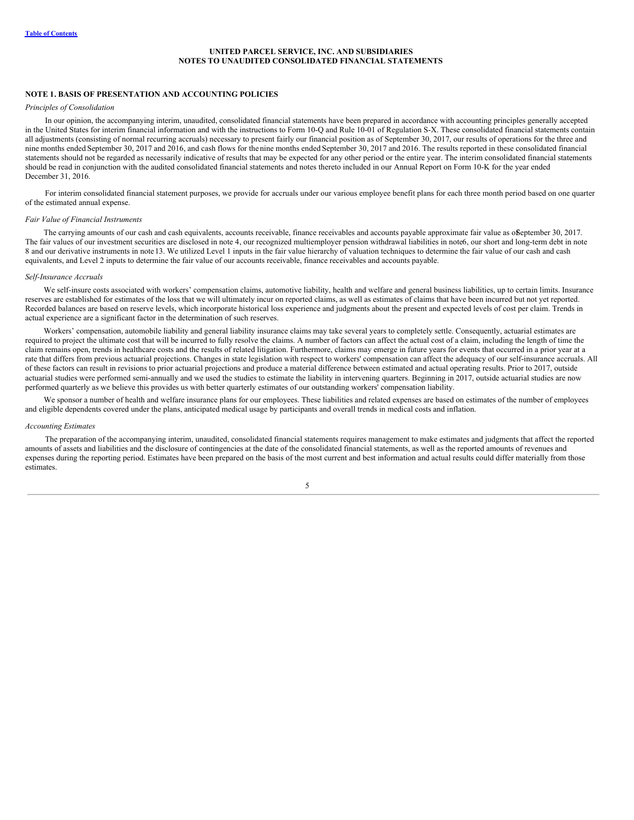### <span id="page-6-1"></span><span id="page-6-0"></span>**NOTE 1. BASIS OF PRESENTATION AND ACCOUNTING POLICIES**

#### *Principles of Consolidation*

In our opinion, the accompanying interim, unaudited, consolidated financial statements have been prepared in accordance with accounting principles generally accepted in the United States for interim financial information and with the instructions to Form 10-Q and Rule 10-01 of Regulation S-X. These consolidated financial statements contain all adjustments (consisting of normal recurring accruals) necessary to present fairly our financial position as of September 30, 2017, our results of operations for the three and nine months ended September 30, 2017 and 2016, and cash flows for the nine months ended September 30, 2017 and 2016. The results reported in these consolidated financial statements should not be regarded as necessarily indicative of results that may be expected for any other period or the entire year. The interim consolidated financial statements should be read in conjunction with the audited consolidated financial statements and notes thereto included in our Annual Report on Form 10-K for the year ended December 31, 2016.

For interim consolidated financial statement purposes, we provide for accruals under our various employee benefit plans for each three month period based on one quarter of the estimated annual expense.

#### *Fair Value of Financial Instruments*

The carrying amounts of our cash and cash equivalents, accounts receivable, finance receivables and accounts payable approximate fair value as of eptember 30, 2017. The fair values of our investment securities are disclosed in note 4, our recognized multiemployer pension withdrawal liabilities in note6, our short and long-term debt in note 8 and our derivative instruments in note 13. We utilized Level 1 inputs in the fair value hierarchy of valuation techniques to determine the fair value of our cash and cash equivalents, and Level 2 inputs to determine the fair value of our accounts receivable, finance receivables and accounts payable.

#### *Self-Insurance Accruals*

We self-insure costs associated with workers' compensation claims, automotive liability, health and welfare and general business liabilities, up to certain limits. Insurance reserves are established for estimates of the loss that we will ultimately incur on reported claims, as well as estimates of claims that have been incurred but not yet reported. Recorded balances are based on reserve levels, which incorporate historical loss experience and judgments about the present and expected levels of cost per claim. Trends in actual experience are a significant factor in the determination of such reserves.

Workers' compensation, automobile liability and general liability insurance claims may take several years to completely settle. Consequently, actuarial estimates are required to project the ultimate cost that will be incurred to fully resolve the claims. A number of factors can affect the actual cost of a claim, including the length of time the claim remains open, trends in healthcare costs and the results of related litigation. Furthermore, claims may emerge in future years for events that occurred in a prior year at a rate that differs from previous actuarial projections. Changes in state legislation with respect to workers' compensation can affect the adequacy of our self-insurance accruals. All of these factors can result in revisions to prior actuarial projections and produce a material difference between estimated and actual operating results. Prior to 2017, outside actuarial studies were performed semi-annually and we used the studies to estimate the liability in intervening quarters. Beginning in 2017, outside actuarial studies are now performed quarterly as we believe this provides us with better quarterly estimates of our outstanding workers' compensation liability.

We sponsor a number of health and welfare insurance plans for our employees. These liabilities and related expenses are based on estimates of the number of employees and eligible dependents covered under the plans, anticipated medical usage by participants and overall trends in medical costs and inflation.

### *Accounting Estimates*

The preparation of the accompanying interim, unaudited, consolidated financial statements requires management to make estimates and judgments that affect the reported amounts of assets and liabilities and the disclosure of contingencies at the date of the consolidated financial statements, as well as the reported amounts of revenues and expenses during the reporting period. Estimates have been prepared on the basis of the most current and best information and actual results could differ materially from those estimates.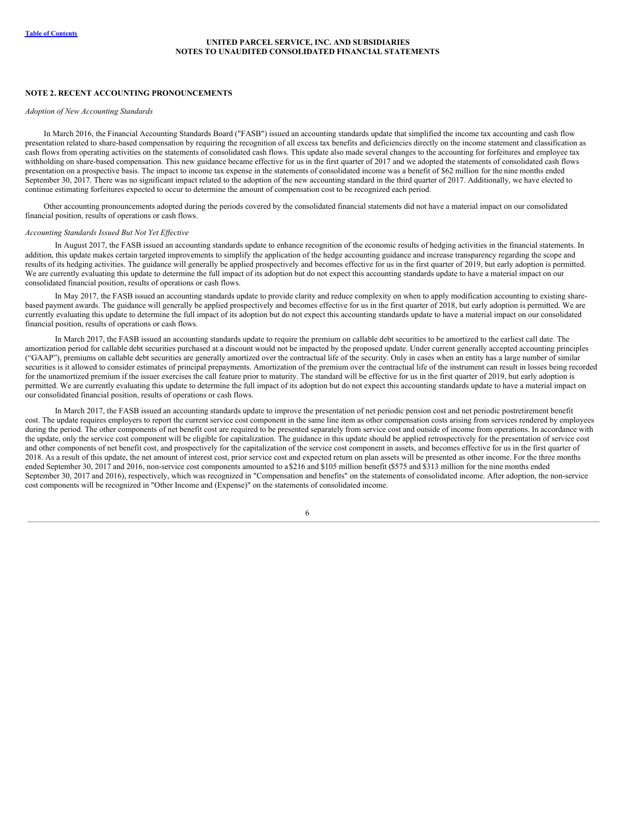### <span id="page-7-0"></span>**NOTE 2. RECENT ACCOUNTING PRONOUNCEMENTS**

#### *Adoption of New Accounting Standards*

In March 2016, the Financial Accounting Standards Board ("FASB") issued an accounting standards update that simplified the income tax accounting and cash flow presentation related to share-based compensation by requiring the recognition of all excess tax benefits and deficiencies directly on the income statement and classification as cash flows from operating activities on the statements of consolidated cash flows. This update also made several changes to the accounting for forfeitures and employee tax withholding on share-based compensation. This new guidance became effective for us in the first quarter of 2017 and we adopted the statements of consolidated cash flows presentation on a prospective basis. The impact to income tax expense in the statements of consolidated income was a benefit of \$62 million for the nine months ended September 30, 2017. There was no significant impact related to the adoption of the new accounting standard in the third quarter of 2017. Additionally, we have elected to continue estimating forfeitures expected to occur to determine the amount of compensation cost to be recognized each period.

Other accounting pronouncements adopted during the periods covered by the consolidated financial statements did not have a material impact on our consolidated financial position, results of operations or cash flows.

#### *Accounting Standards Issued But Not Yet Ef ective*

In August 2017, the FASB issued an accounting standards update to enhance recognition of the economic results of hedging activities in the financial statements. In addition, this update makes certain targeted improvements to simplify the application of the hedge accounting guidance and increase transparency regarding the scope and results of its hedging activities. The guidance will generally be applied prospectively and becomes effective for us in the first quarter of 2019, but early adoption is permitted. We are currently evaluating this update to determine the full impact of its adoption but do not expect this accounting standards update to have a material impact on our consolidated financial position, results of operations or cash flows.

In May 2017, the FASB issued an accounting standards update to provide clarity and reduce complexity on when to apply modification accounting to existing sharebased payment awards. The guidance will generally be applied prospectively and becomes effective for us in the first quarter of 2018, but early adoption is permitted. We are currently evaluating this update to determine the full impact of its adoption but do not expect this accounting standards update to have a material impact on our consolidated financial position, results of operations or cash flows.

In March 2017, the FASB issued an accounting standards update to require the premium on callable debt securities to be amortized to the earliest call date. The amortization period for callable debt securities purchased at a discount would not be impacted by the proposed update. Under current generally accepted accounting principles ("GAAP"), premiums on callable debt securities are generally amortized over the contractual life of the security. Only in cases when an entity has a large number of similar securities is it allowed to consider estimates of principal prepayments. Amortization of the premium over the contractual life of the instrument can result in losses being recorded for the unamortized premium if the issuer exercises the call feature prior to maturity. The standard will be effective for us in the first quarter of 2019, but early adoption is permitted. We are currently evaluating this update to determine the full impact of its adoption but do not expect this accounting standards update to have a material impact on our consolidated financial position, results of operations or cash flows.

In March 2017, the FASB issued an accounting standards update to improve the presentation of net periodic pension cost and net periodic postretirement benefit cost. The update requires employers to report the current service cost component in the same line item as other compensation costs arising from services rendered by employees during the period. The other components of net benefit cost are required to be presented separately from service cost and outside of income from operations. In accordance with the update, only the service cost component will be eligible for capitalization. The guidance in this update should be applied retrospectively for the presentation of service cost and other components of net benefit cost, and prospectively for the capitalization of the service cost component in assets, and becomes effective for us in the first quarter of 2018. As a result of this update, the net amount of interest cost, prior service cost and expected return on plan assets will be presented as other income. For the three months ended September 30, 2017 and 2016, non-service cost components amounted to a \$216 and \$105 million benefit (\$575 and \$313 million for the nine months ended September 30, 2017 and 2016), respectively, which was recognized in "Compensation and benefits" on the statements of consolidated income. After adoption, the non-service cost components will be recognized in "Other Income and (Expense)" on the statements of consolidated income.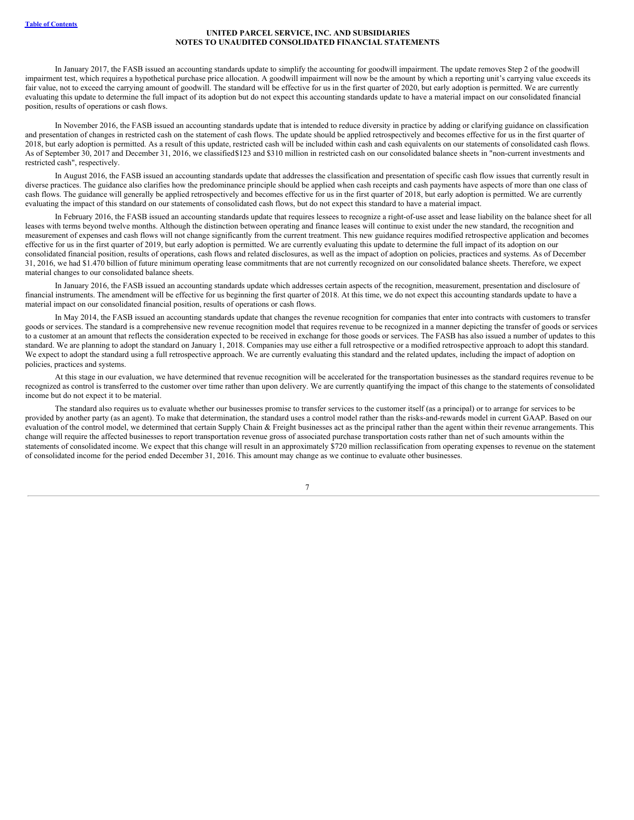In January 2017, the FASB issued an accounting standards update to simplify the accounting for goodwill impairment. The update removes Step 2 of the goodwill impairment test, which requires a hypothetical purchase price allocation. A goodwill impairment will now be the amount by which a reporting unit's carrying value exceeds its fair value, not to exceed the carrying amount of goodwill. The standard will be effective for us in the first quarter of 2020, but early adoption is permitted. We are currently evaluating this update to determine the full impact of its adoption but do not expect this accounting standards update to have a material impact on our consolidated financial position, results of operations or cash flows.

In November 2016, the FASB issued an accounting standards update that is intended to reduce diversity in practice by adding or clarifying guidance on classification and presentation of changes in restricted cash on the statement of cash flows. The update should be applied retrospectively and becomes effective for us in the first quarter of 2018, but early adoption is permitted. As a result of this update, restricted cash will be included within cash and cash equivalents on our statements of consolidated cash flows. As of September 30, 2017 and December 31, 2016, we classified\$123 and \$310 million in restricted cash on our consolidated balance sheets in "non-current investments and restricted cash", respectively.

In August 2016, the FASB issued an accounting standards update that addresses the classification and presentation of specific cash flow issues that currently result in diverse practices. The guidance also clarifies how the predominance principle should be applied when cash receipts and cash payments have aspects of more than one class of cash flows. The guidance will generally be applied retrospectively and becomes effective for us in the first quarter of 2018, but early adoption is permitted. We are currently evaluating the impact of this standard on our statements of consolidated cash flows, but do not expect this standard to have a material impact.

In February 2016, the FASB issued an accounting standards update that requires lessees to recognize a right-of-use asset and lease liability on the balance sheet for all leases with terms beyond twelve months. Although the distinction between operating and finance leases will continue to exist under the new standard, the recognition and measurement of expenses and cash flows will not change significantly from the current treatment. This new guidance requires modified retrospective application and becomes effective for us in the first quarter of 2019, but early adoption is permitted. We are currently evaluating this update to determine the full impact of its adoption on our consolidated financial position, results of operations, cash flows and related disclosures, as well as the impact of adoption on policies, practices and systems. As of December 31, 2016, we had \$1.470 billion of future minimum operating lease commitments that are not currently recognized on our consolidated balance sheets. Therefore, we expect material changes to our consolidated balance sheets.

In January 2016, the FASB issued an accounting standards update which addresses certain aspects of the recognition, measurement, presentation and disclosure of financial instruments. The amendment will be effective for us beginning the first quarter of 2018. At this time, we do not expect this accounting standards update to have a material impact on our consolidated financial position, results of operations or cash flows.

In May 2014, the FASB issued an accounting standards update that changes the revenue recognition for companies that enter into contracts with customers to transfer goods or services. The standard is a comprehensive new revenue recognition model that requires revenue to be recognized in a manner depicting the transfer of goods or services to a customer at an amount that reflects the consideration expected to be received in exchange for those goods or services. The FASB has also issued a number of updates to this standard. We are planning to adopt the standard on January 1, 2018. Companies may use either a full retrospective or a modified retrospective approach to adopt this standard. We expect to adopt the standard using a full retrospective approach. We are currently evaluating this standard and the related updates, including the impact of adoption on policies, practices and systems.

At this stage in our evaluation, we have determined that revenue recognition will be accelerated for the transportation businesses as the standard requires revenue to be recognized as control is transferred to the customer over time rather than upon delivery. We are currently quantifying the impact of this change to the statements of consolidated income but do not expect it to be material.

The standard also requires us to evaluate whether our businesses promise to transfer services to the customer itself (as a principal) or to arrange for services to be provided by another party (as an agent). To make that determination, the standard uses a control model rather than the risks-and-rewards model in current GAAP. Based on our evaluation of the control model, we determined that certain Supply Chain & Freight businesses act as the principal rather than the agent within their revenue arrangements. This change will require the affected businesses to report transportation revenue gross of associated purchase transportation costs rather than net of such amounts within the statements of consolidated income. We expect that this change will result in an approximately \$720 million reclassification from operating expenses to revenue on the statement of consolidated income for the period ended December 31, 2016. This amount may change as we continue to evaluate other businesses.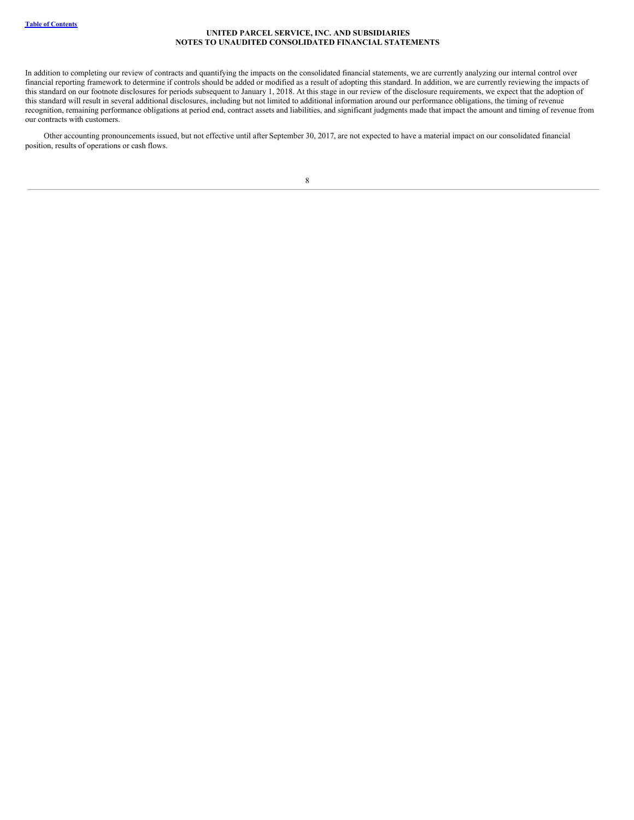In addition to completing our review of contracts and quantifying the impacts on the consolidated financial statements, we are currently analyzing our internal control over financial reporting framework to determine if controls should be added or modified as a result of adopting this standard. In addition, we are currently reviewing the impacts of this standard on our footnote disclosures for periods subsequent to January 1, 2018. At this stage in our review of the disclosure requirements, we expect that the adoption of this standard will result in several additional disclosures, including but not limited to additional information around our performance obligations, the timing of revenue recognition, remaining performance obligations at period end, contract assets and liabilities, and significant judgments made that impact the amount and timing of revenue from our contracts with customers.

Other accounting pronouncements issued, but not effective until after September 30, 2017, are not expected to have a material impact on our consolidated financial position, results of operations or cash flows.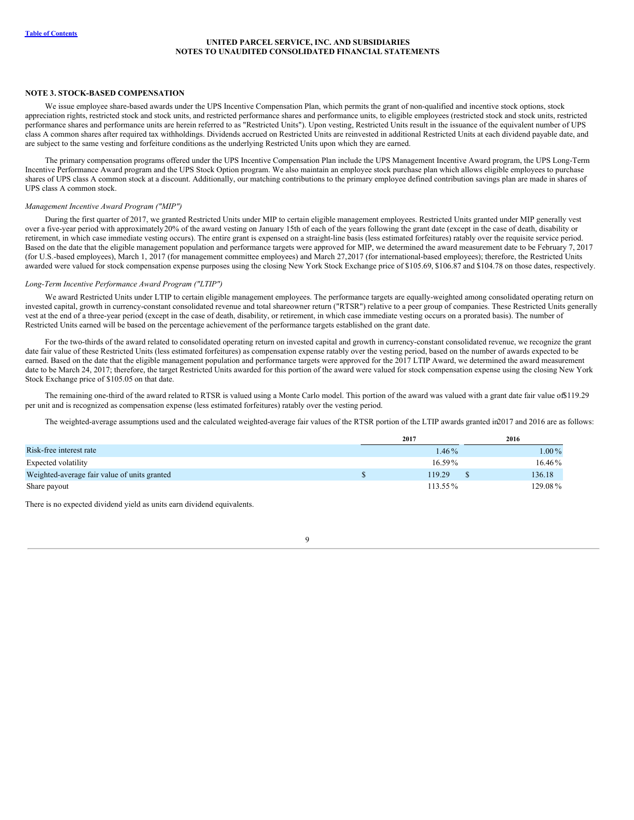#### <span id="page-10-0"></span>**NOTE 3. STOCK-BASED COMPENSATION**

We issue employee share-based awards under the UPS Incentive Compensation Plan, which permits the grant of non-qualified and incentive stock options, stock appreciation rights, restricted stock and stock units, and restricted performance shares and performance units, to eligible employees (restricted stock and stock units, restricted performance shares and performance units are herein referred to as "Restricted Units"). Upon vesting, Restricted Units result in the issuance of the equivalent number of UPS class A common shares after required tax withholdings. Dividends accrued on Restricted Units are reinvested in additional Restricted Units at each dividend payable date, and are subject to the same vesting and forfeiture conditions as the underlying Restricted Units upon which they are earned.

The primary compensation programs offered under the UPS Incentive Compensation Plan include the UPS Management Incentive Award program, the UPS Long-Term Incentive Performance Award program and the UPS Stock Option program. We also maintain an employee stock purchase plan which allows eligible employees to purchase shares of UPS class A common stock at a discount. Additionally, our matching contributions to the primary employee defined contribution savings plan are made in shares of UPS class A common stock.

#### *Management Incentive Award Program ("MIP")*

During the first quarter of 2017, we granted Restricted Units under MIP to certain eligible management employees. Restricted Units granted under MIP generally vest over a five-year period with approximately20% of the award vesting on January 15th of each of the years following the grant date (except in the case of death, disability or retirement, in which case immediate vesting occurs). The entire grant is expensed on a straight-line basis (less estimated forfeitures) ratably over the requisite service period. Based on the date that the eligible management population and performance targets were approved for MIP, we determined the award measurement date to be February 7, 2017 (for U.S.-based employees), March 1, 2017 (for management committee employees) and March 27,2017 (for international-based employees); therefore, the Restricted Units awarded were valued for stock compensation expense purposes using the closing New York Stock Exchange price of \$105.69, \$106.87 and \$104.78 on those dates, respectively.

### *Long-Term Incentive Performance Award Program ("LTIP")*

We award Restricted Units under LTIP to certain eligible management employees. The performance targets are equally-weighted among consolidated operating return on invested capital, growth in currency-constant consolidated revenue and total shareowner return ("RTSR") relative to a peer group of companies. These Restricted Units generally vest at the end of a three-year period (except in the case of death, disability, or retirement, in which case immediate vesting occurs on a prorated basis). The number of Restricted Units earned will be based on the percentage achievement of the performance targets established on the grant date.

For the two-thirds of the award related to consolidated operating return on invested capital and growth in currency-constant consolidated revenue, we recognize the grant date fair value of these Restricted Units (less estimated forfeitures) as compensation expense ratably over the vesting period, based on the number of awards expected to be earned. Based on the date that the eligible management population and performance targets were approved for the 2017 LTIP Award, we determined the award measurement date to be March 24, 2017; therefore, the target Restricted Units awarded for this portion of the award were valued for stock compensation expense using the closing New York Stock Exchange price of \$105.05 on that date.

The remaining one-third of the award related to RTSR is valued using a Monte Carlo model. This portion of the award was valued with a grant date fair value of\$119.29 per unit and is recognized as compensation expense (less estimated forfeitures) ratably over the vesting period.

The weighted-average assumptions used and the calculated weighted-average fair values of the RTSR portion of the LTIP awards granted in2017 and 2016 are as follows:

|                                              | 2017     | 2016     |
|----------------------------------------------|----------|----------|
| Risk-free interest rate                      | $1.46\%$ | $1.00\%$ |
| Expected volatility                          | 16.59%   | 16.46%   |
| Weighted-average fair value of units granted | 119.29   | 136.18   |
| Share payout                                 | 113.55%  | 129.08%  |

There is no expected dividend yield as units earn dividend equivalents.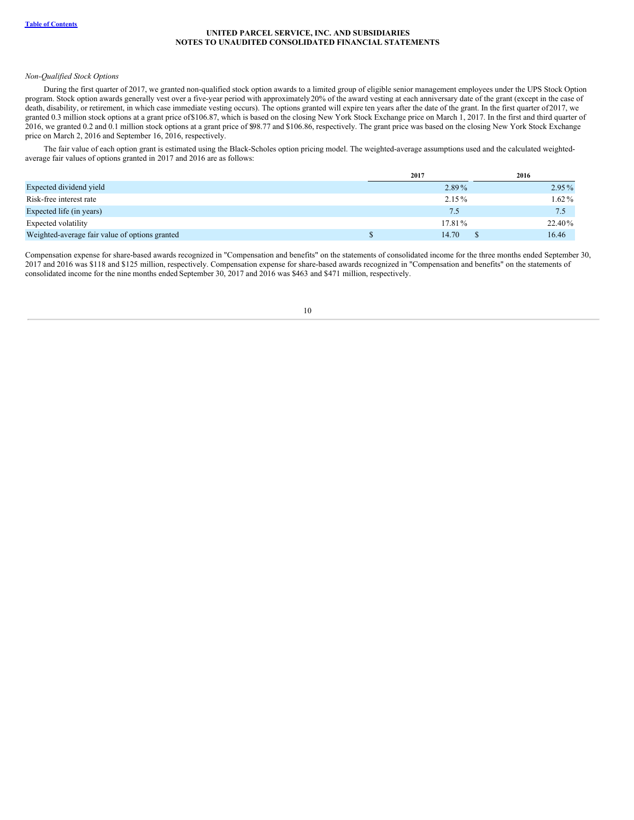#### *Non-Qualified Stock Options*

During the first quarter of 2017, we granted non-qualified stock option awards to a limited group of eligible senior management employees under the UPS Stock Option program. Stock option awards generally vest over a five-year period with approximately20% of the award vesting at each anniversary date of the grant (except in the case of death, disability, or retirement, in which case immediate vesting occurs). The options granted will expire ten years after the date of the grant. In the first quarter of2017, we granted 0.3 million stock options at a grant price of \$106.87, which is based on the closing New York Stock Exchange price on March 1, 2017. In the first and third quarter of 2016, we granted 0.2 and 0.1 million stock options at a grant price of \$98.77 and \$106.86, respectively. The grant price was based on the closing New York Stock Exchange price on March 2, 2016 and September 16, 2016, respectively.

The fair value of each option grant is estimated using the Black-Scholes option pricing model. The weighted-average assumptions used and the calculated weightedaverage fair values of options granted in 2017 and 2016 are as follows:

|                                                | 2017 |          | 2016     |
|------------------------------------------------|------|----------|----------|
| Expected dividend yield                        |      | 2.89%    | $2.95\%$ |
| Risk-free interest rate                        |      | $2.15\%$ | $1.62\%$ |
| Expected life (in years)                       |      | 7.5      | 7.5      |
| Expected volatility                            |      | 17.81%   | 22.40%   |
| Weighted-average fair value of options granted |      | 14.70    | 16.46    |

Compensation expense for share-based awards recognized in "Compensation and benefits" on the statements of consolidated income for the three months ended September 30, 2017 and 2016 was \$118 and \$125 million, respectively. Compensation expense for share-based awards recognized in "Compensation and benefits" on the statements of consolidated income for the nine months ended September 30, 2017 and 2016 was \$463 and \$471 million, respectively.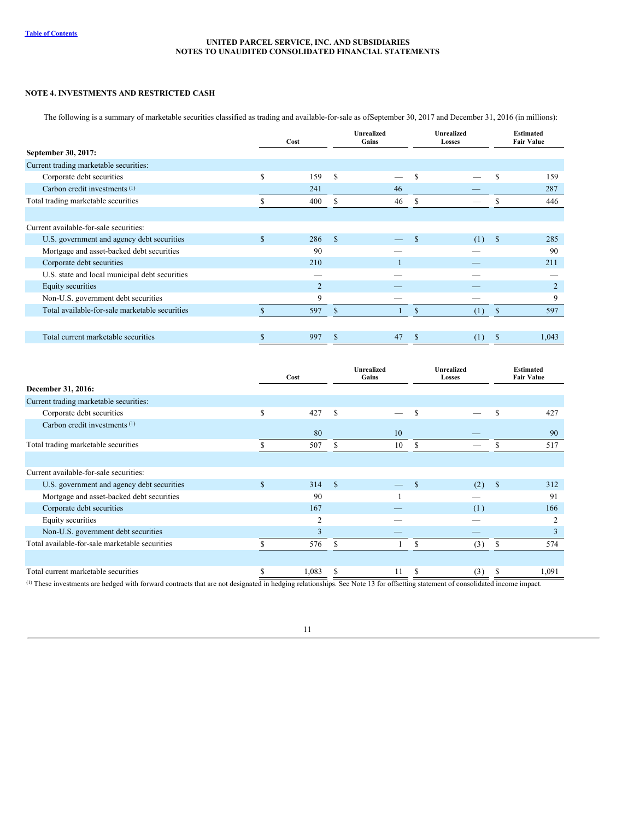### <span id="page-12-0"></span>**NOTE 4. INVESTMENTS AND RESTRICTED CASH**

The following is a summary of marketable securities classified as trading and available-for-sale as ofSeptember 30, 2017 and December 31, 2016 (in millions):

|                                                |              | Cost           |              | Unrealized<br>Gains |     | Unrealized<br><b>Losses</b> |              | <b>Estimated</b><br><b>Fair Value</b> |
|------------------------------------------------|--------------|----------------|--------------|---------------------|-----|-----------------------------|--------------|---------------------------------------|
| September 30, 2017:                            |              |                |              |                     |     |                             |              |                                       |
| Current trading marketable securities:         |              |                |              |                     |     |                             |              |                                       |
| Corporate debt securities                      | \$           | 159            | S            |                     | S   |                             | S            | 159                                   |
| Carbon credit investments <sup>(1)</sup>       |              | 241            |              | 46                  |     |                             |              | 287                                   |
| Total trading marketable securities            |              | 400            | S            | 46                  | \$. |                             | S            | 446                                   |
|                                                |              |                |              |                     |     |                             |              |                                       |
| Current available-for-sale securities:         |              |                |              |                     |     |                             |              |                                       |
| U.S. government and agency debt securities     | $\mathbf{s}$ | 286            | $\mathbf{s}$ |                     | \$  | (1)                         | $\mathbb{S}$ | 285                                   |
| Mortgage and asset-backed debt securities      |              | 90             |              |                     |     |                             |              | 90                                    |
| Corporate debt securities                      |              | 210            |              |                     |     |                             |              | 211                                   |
| U.S. state and local municipal debt securities |              | -              |              |                     |     |                             |              |                                       |
| Equity securities                              |              | $\overline{2}$ |              |                     |     |                             |              | $\overline{2}$                        |
| Non-U.S. government debt securities            |              | 9              |              |                     |     |                             |              | 9                                     |
| Total available-for-sale marketable securities |              | 597            | S            |                     | S   | (1)                         | $\mathbb{S}$ | 597                                   |
|                                                |              |                |              |                     |     |                             |              |                                       |
| Total current marketable securities            | \$           | 997            | S            | 47                  | \$  | (1)                         | \$           | 1,043                                 |

|                                                |              | Cost  |              | Unrealized<br>Gains |   | <b>Unrealized</b><br><b>Losses</b> |              | <b>Estimated</b><br><b>Fair Value</b> |
|------------------------------------------------|--------------|-------|--------------|---------------------|---|------------------------------------|--------------|---------------------------------------|
| December 31, 2016:                             |              |       |              |                     |   |                                    |              |                                       |
| Current trading marketable securities:         |              |       |              |                     |   |                                    |              |                                       |
| Corporate debt securities                      | S            | 427   | S            |                     | S |                                    | S            | 427                                   |
| Carbon credit investments <sup>(1)</sup>       |              | 80    |              | 10                  |   |                                    |              | 90                                    |
| Total trading marketable securities            |              | 507   | ъ            | 10                  | ъ |                                    |              | 517                                   |
|                                                |              |       |              |                     |   |                                    |              |                                       |
| Current available-for-sale securities:         |              |       |              |                     |   |                                    |              |                                       |
| U.S. government and agency debt securities     | $\mathbb{S}$ | 314   | <sup>S</sup> |                     | S | (2)                                | $\mathbb{S}$ | 312                                   |
| Mortgage and asset-backed debt securities      |              | 90    |              |                     |   |                                    |              | 91                                    |
| Corporate debt securities                      |              | 167   |              |                     |   | (1)                                |              | 166                                   |
| Equity securities                              |              | 2     |              |                     |   |                                    |              | 2                                     |
| Non-U.S. government debt securities            |              | 3     |              |                     |   |                                    |              | 3                                     |
| Total available-for-sale marketable securities |              | 576   | S            |                     | S | (3)                                | S            | 574                                   |
|                                                |              |       |              |                     |   |                                    |              |                                       |
| Total current marketable securities            | S            | 1,083 | S            | 11                  | S | (3)                                | S            | 1,091                                 |

(1) These investments are hedged with forward contracts that are not designated in hedging relationships. See Note 13 for offsetting statement of consolidated income impact.

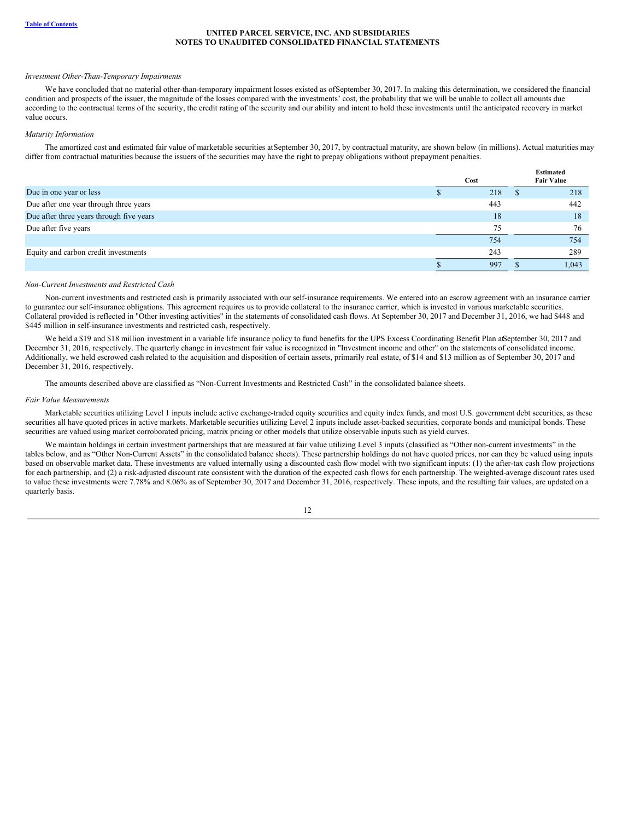#### *Investment Other-Than-Temporary Impairments*

We have concluded that no material other-than-temporary impairment losses existed as ofSeptember 30, 2017. In making this determination, we considered the financial condition and prospects of the issuer, the magnitude of the losses compared with the investments' cost, the probability that we will be unable to collect all amounts due according to the contractual terms of the security, the credit rating of the security and our ability and intent to hold these investments until the anticipated recovery in market value occurs.

#### *Maturity Information*

The amortized cost and estimated fair value of marketable securities atSeptember 30, 2017, by contractual maturity, are shown below (in millions). Actual maturities may differ from contractual maturities because the issuers of the securities may have the right to prepay obligations without prepayment penalties.

|                                          | Cost | <b>Estimated</b><br><b>Fair Value</b> |
|------------------------------------------|------|---------------------------------------|
| Due in one year or less                  | 218  | 218                                   |
| Due after one year through three years   | 443  | 442                                   |
| Due after three years through five years | 18   | 18                                    |
| Due after five years                     | 75   | 76                                    |
|                                          | 754  | 754                                   |
| Equity and carbon credit investments     | 243  | 289                                   |
|                                          | 997  | 1,043                                 |

### *Non-Current Investments and Restricted Cash*

Non-current investments and restricted cash is primarily associated with our self-insurance requirements. We entered into an escrow agreement with an insurance carrier to guarantee our self-insurance obligations. This agreement requires us to provide collateral to the insurance carrier, which is invested in various marketable securities. Collateral provided is reflected in "Other investing activities" in the statements of consolidated cash flows. At September 30, 2017 and December 31, 2016, we had \$448 and \$445 million in self-insurance investments and restricted cash, respectively.

We held a \$19 and \$18 million investment in a variable life insurance policy to fund benefits for the UPS Excess Coordinating Benefit Plan a September 30, 2017 and December 31, 2016, respectively. The quarterly change in investment fair value is recognized in "Investment income and other" on the statements of consolidated income. Additionally, we held escrowed cash related to the acquisition and disposition of certain assets, primarily real estate, of \$14 and \$13 million as of September 30, 2017 and December 31, 2016, respectively.

The amounts described above are classified as "Non-Current Investments and Restricted Cash" in the consolidated balance sheets.

#### *Fair Value Measurements*

Marketable securities utilizing Level 1 inputs include active exchange-traded equity securities and equity index funds, and most U.S. government debt securities, as these securities all have quoted prices in active markets. Marketable securities utilizing Level 2 inputs include asset-backed securities, corporate bonds and municipal bonds. These securities are valued using market corroborated pricing, matrix pricing or other models that utilize observable inputs such as yield curves.

We maintain holdings in certain investment partnerships that are measured at fair value utilizing Level 3 inputs (classified as "Other non-current investments" in the tables below, and as "Other Non-Current Assets" in the consolidated balance sheets). These partnership holdings do not have quoted prices, nor can they be valued using inputs based on observable market data. These investments are valued internally using a discounted cash flow model with two significant inputs: (1) the after-tax cash flow projections for each partnership, and (2) a risk-adjusted discount rate consistent with the duration of the expected cash flows for each partnership. The weighted-average discount rates used to value these investments were 7.78% and 8.06% as of September 30, 2017 and December 31, 2016, respectively. These inputs, and the resulting fair values, are updated on a quarterly basis.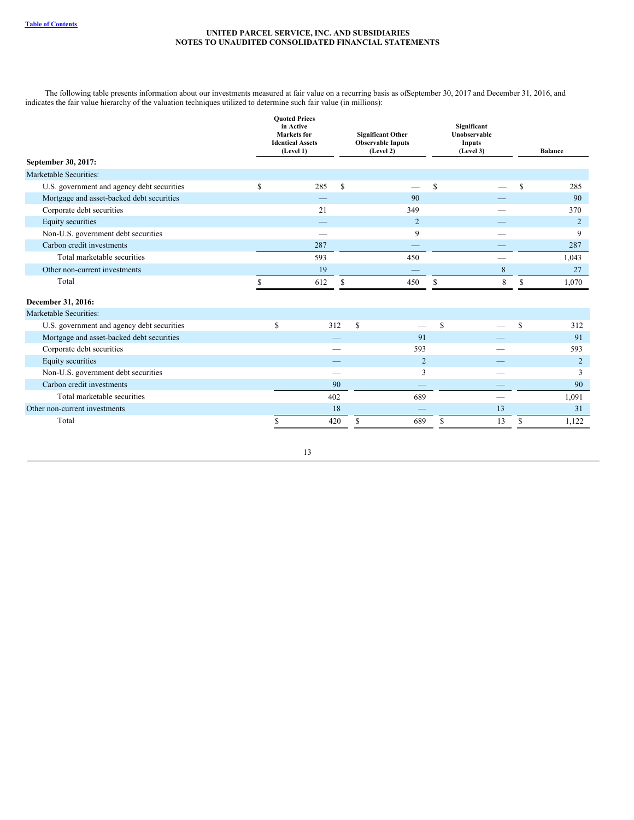The following table presents information about our investments measured at fair value on a recurring basis as ofSeptember 30, 2017 and December 31, 2016, and indicates the fair value hierarchy of the valuation techniques utilized to determine such fair value (in millions):

|                                            |              | <b>Ouoted Prices</b><br>in Active<br>Markets for<br><b>Identical Assets</b><br>(Level 1) |              | <b>Significant Other</b><br><b>Observable Inputs</b><br>(Level 2) |               | Significant<br>Unobservable<br><b>Inputs</b><br>(Level 3) |               | <b>Balance</b> |
|--------------------------------------------|--------------|------------------------------------------------------------------------------------------|--------------|-------------------------------------------------------------------|---------------|-----------------------------------------------------------|---------------|----------------|
| September 30, 2017:                        |              |                                                                                          |              |                                                                   |               |                                                           |               |                |
| Marketable Securities:                     |              |                                                                                          |              |                                                                   |               |                                                           |               |                |
| U.S. government and agency debt securities | \$           | 285                                                                                      | \$           |                                                                   | $\mathbb{S}$  |                                                           | \$            | 285            |
| Mortgage and asset-backed debt securities  |              |                                                                                          |              | 90                                                                |               |                                                           |               | 90             |
| Corporate debt securities                  |              | 21                                                                                       |              | 349                                                               |               |                                                           |               | 370            |
| Equity securities                          |              |                                                                                          |              | $\overline{c}$                                                    |               |                                                           |               | 2              |
| Non-U.S. government debt securities        |              | -                                                                                        |              | 9                                                                 |               |                                                           |               | 9              |
| Carbon credit investments                  |              | 287                                                                                      |              |                                                                   |               |                                                           |               | 287            |
| Total marketable securities                |              | 593                                                                                      |              | 450                                                               |               |                                                           |               | 1,043          |
| Other non-current investments              |              | 19                                                                                       |              |                                                                   |               | 8                                                         |               | 27             |
| Total                                      |              | 612                                                                                      | \$           | 450                                                               | \$            | 8                                                         | \$            | 1,070          |
| December 31, 2016:                         |              |                                                                                          |              |                                                                   |               |                                                           |               |                |
| Marketable Securities:                     |              |                                                                                          |              |                                                                   |               |                                                           |               |                |
| U.S. government and agency debt securities | $\mathbb{S}$ | 312                                                                                      | $\mathbb{S}$ |                                                                   | <sup>\$</sup> |                                                           | S             | 312            |
| Mortgage and asset-backed debt securities  |              |                                                                                          |              | 91                                                                |               |                                                           |               | 91             |
| Corporate debt securities                  |              |                                                                                          |              | 593                                                               |               |                                                           |               | 593            |
| Equity securities                          |              |                                                                                          |              | $\overline{2}$                                                    |               |                                                           |               | $\overline{2}$ |
| Non-U.S. government debt securities        |              |                                                                                          |              | 3                                                                 |               |                                                           |               | 3              |
| Carbon credit investments                  |              | 90                                                                                       |              |                                                                   |               |                                                           |               | 90             |
| Total marketable securities                |              | 402                                                                                      |              | 689                                                               |               |                                                           |               | 1,091          |
| Other non-current investments              |              | 18                                                                                       |              |                                                                   |               | 13                                                        |               | 31             |
| Total                                      | S            | 420                                                                                      | S            | 689                                                               | S             | 13                                                        | <sup>\$</sup> | 1,122          |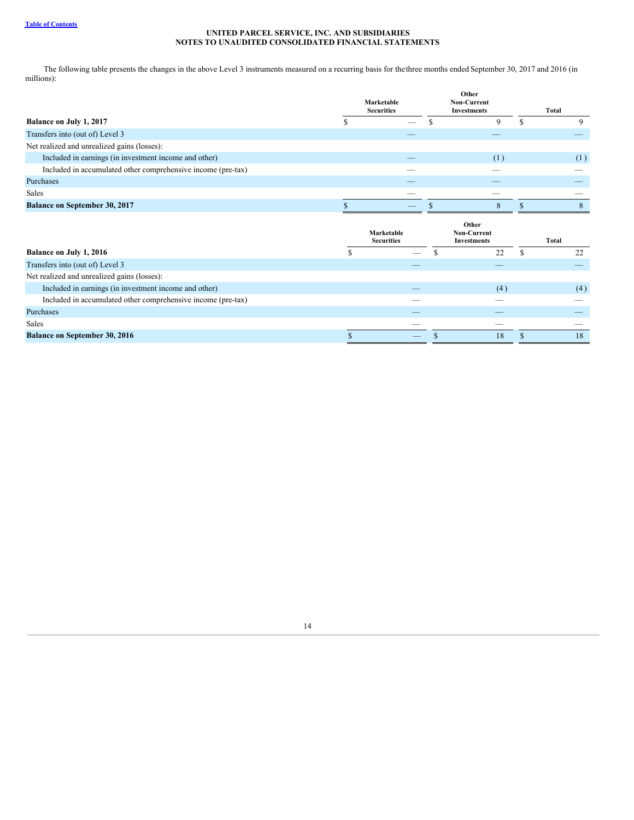The following table presents the changes in the above Level 3 instruments measured on a recurring basis for thethree months ended September 30, 2017 and 2016 (in millions):

|                                                              | Marketable        |   | Other<br><b>Non-Current</b> |       |  |  |
|--------------------------------------------------------------|-------------------|---|-----------------------------|-------|--|--|
|                                                              | <b>Securities</b> |   | <b>Investments</b>          | Total |  |  |
| Balance on July 1, 2017                                      |                   | _ |                             | 9     |  |  |
| Transfers into (out of) Level 3                              |                   |   |                             |       |  |  |
| Net realized and unrealized gains (losses):                  |                   |   |                             |       |  |  |
| Included in earnings (in investment income and other)        |                   |   | (1)                         | (1)   |  |  |
| Included in accumulated other comprehensive income (pre-tax) |                   |   |                             |       |  |  |
| Purchases                                                    |                   |   |                             |       |  |  |
| Sales                                                        |                   |   |                             |       |  |  |
| <b>Balance on September 30, 2017</b>                         |                   | _ | x                           | 8     |  |  |

|                                                              | Marketable<br><b>Securities</b> | Other<br>Non-Current<br><b>Investments</b> | Total |
|--------------------------------------------------------------|---------------------------------|--------------------------------------------|-------|
| Balance on July 1, 2016                                      | _                               | $\mathcal{L}$<br>∠∠                        | 22    |
| Transfers into (out of) Level 3                              |                                 |                                            |       |
| Net realized and unrealized gains (losses):                  |                                 |                                            |       |
| Included in earnings (in investment income and other)        |                                 | (4)                                        | (4)   |
| Included in accumulated other comprehensive income (pre-tax) | _                               |                                            |       |
| Purchases                                                    |                                 |                                            |       |
| Sales                                                        | _                               |                                            |       |
| <b>Balance on September 30, 2016</b>                         | $-$                             | 18                                         | 18    |

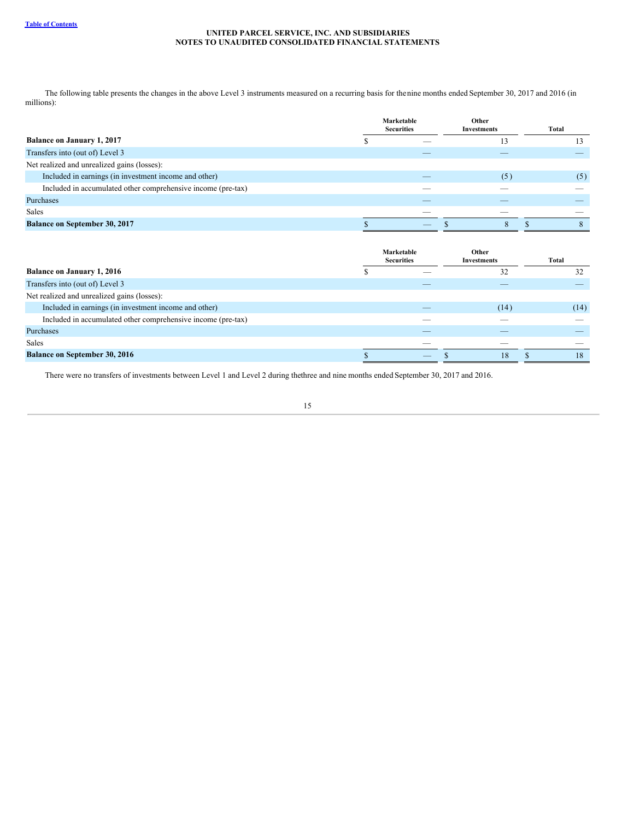The following table presents the changes in the above Level 3 instruments measured on a recurring basis for thenine months ended September 30, 2017 and 2016 (in millions):

|                                                              | Marketable<br><b>Securities</b> | Other<br>Investments | Total |  |
|--------------------------------------------------------------|---------------------------------|----------------------|-------|--|
| Balance on January 1, 2017                                   |                                 | 13                   | l3    |  |
| Transfers into (out of) Level 3                              |                                 |                      |       |  |
| Net realized and unrealized gains (losses):                  |                                 |                      |       |  |
| Included in earnings (in investment income and other)        |                                 | (5)                  | (5)   |  |
| Included in accumulated other comprehensive income (pre-tax) |                                 |                      |       |  |
| Purchases                                                    |                                 | _                    |       |  |
| Sales                                                        | _                               | $\sim$               |       |  |
| <b>Balance on September 30, 2017</b>                         |                                 | 8                    | 8     |  |

|                                                              | Marketable<br><b>Securities</b> | Other<br><b>Investments</b> | Total |
|--------------------------------------------------------------|---------------------------------|-----------------------------|-------|
| <b>Balance on January 1, 2016</b>                            |                                 | 32                          | 32    |
| Transfers into (out of) Level 3                              |                                 |                             |       |
| Net realized and unrealized gains (losses):                  |                                 |                             |       |
| Included in earnings (in investment income and other)        |                                 | (14)                        | (14)  |
| Included in accumulated other comprehensive income (pre-tax) |                                 |                             |       |
| Purchases                                                    |                                 |                             |       |
| Sales                                                        |                                 |                             |       |
| <b>Balance on September 30, 2016</b>                         | $\overline{\phantom{a}}$        | 18                          | 18    |

There were no transfers of investments between Level 1 and Level 2 during thethree and nine months ended September 30, 2017 and 2016.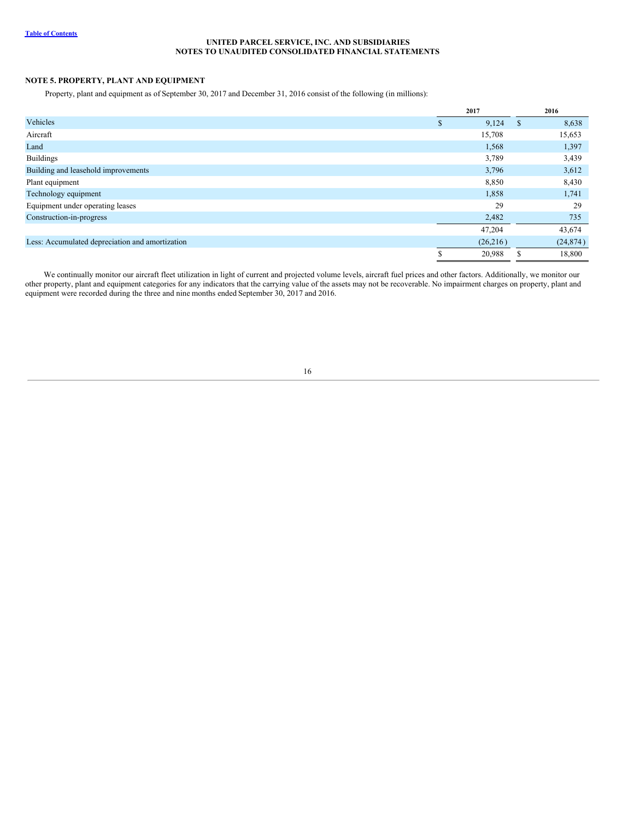### <span id="page-17-0"></span>**NOTE 5. PROPERTY, PLANT AND EQUIPMENT**

Property, plant and equipment as of September 30, 2017 and December 31, 2016 consist of the following (in millions):

|                                                 |    | 2017     |   | 2016      |
|-------------------------------------------------|----|----------|---|-----------|
| Vehicles                                        | Ъ. | 9,124    | S | 8,638     |
| Aircraft                                        |    | 15,708   |   | 15,653    |
| Land                                            |    | 1,568    |   | 1,397     |
| <b>Buildings</b>                                |    | 3,789    |   | 3,439     |
| Building and leasehold improvements             |    | 3,796    |   | 3,612     |
| Plant equipment                                 |    | 8,850    |   | 8,430     |
| Technology equipment                            |    | 1,858    |   | 1,741     |
| Equipment under operating leases                |    | 29       |   | 29        |
| Construction-in-progress                        |    | 2,482    |   | 735       |
|                                                 |    | 47,204   |   | 43,674    |
| Less: Accumulated depreciation and amortization |    | (26,216) |   | (24, 874) |
|                                                 | υэ | 20,988   | S | 18,800    |

We continually monitor our aircraft fleet utilization in light of current and projected volume levels, aircraft fuel prices and other factors. Additionally, we monitor our other property, plant and equipment categories for any indicators that the carrying value of the assets may not be recoverable. No impairment charges on property, plant and equipment were recorded during the three and nine months ended September 30, 2017 and 2016.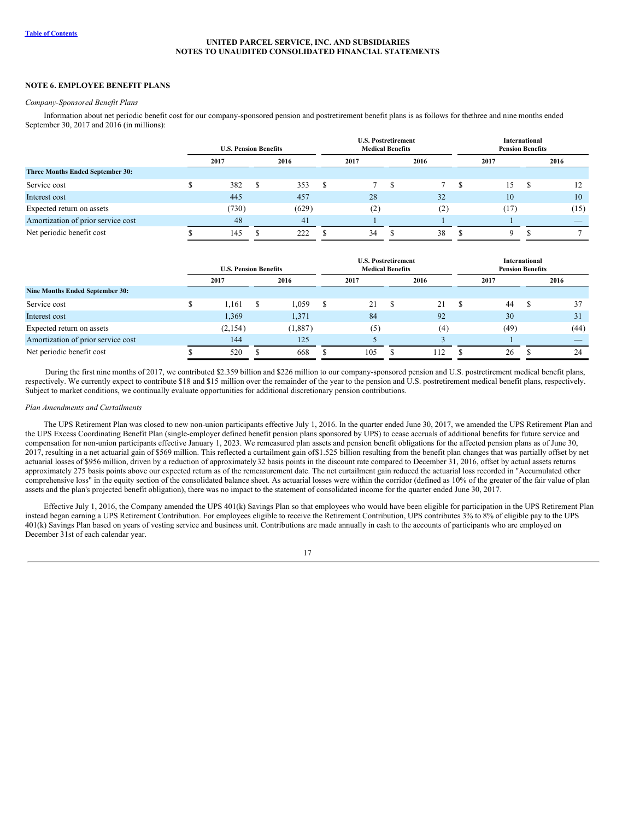### <span id="page-18-0"></span>**NOTE 6. EMPLOYEE BENEFIT PLANS**

### *Company-Sponsored Benefit Plans*

Information about net periodic benefit cost for our company-sponsored pension and postretirement benefit plans is as follows for thethree and nine months ended September 30, 2017 and 2016 (in millions):

|                                         | <b>U.S. Pension Benefits</b> |       |  |       | <b>U.S. Postretirement</b><br><b>Medical Benefits</b> |      | International<br><b>Pension Benefits</b> |  |      |  |                          |
|-----------------------------------------|------------------------------|-------|--|-------|-------------------------------------------------------|------|------------------------------------------|--|------|--|--------------------------|
|                                         | 2017                         |       |  | 2016  |                                                       | 2017 | 2016                                     |  | 2017 |  | 2016                     |
| <b>Three Months Ended September 30:</b> |                              |       |  |       |                                                       |      |                                          |  |      |  |                          |
| Service cost                            |                              | 382   |  | 353   | -S                                                    |      |                                          |  | 15   |  | 12                       |
| Interest cost                           |                              | 445   |  | 457   |                                                       | 28   | 32                                       |  | 10   |  | 10                       |
| Expected return on assets               |                              | (730) |  | (629) |                                                       | (2)  | (2)                                      |  | (17) |  | (15)                     |
| Amortization of prior service cost      |                              | 48    |  | 41    |                                                       |      |                                          |  |      |  | $\overline{\phantom{a}}$ |
| Net periodic benefit cost               |                              | 145   |  | 222   |                                                       | 34   | 38                                       |  | Q    |  |                          |

|                                        | <b>U.S. Pension Benefits</b> |          |   |         | <b>U.S. Postretirement</b><br><b>Medical Benefits</b> |      | International<br><b>Pension Benefits</b> |    |      |  |      |
|----------------------------------------|------------------------------|----------|---|---------|-------------------------------------------------------|------|------------------------------------------|----|------|--|------|
|                                        |                              | 2017     |   | 2016    |                                                       | 2017 | 2016                                     |    | 2017 |  | 2016 |
| <b>Nine Months Ended September 30:</b> |                              |          |   |         |                                                       |      |                                          |    |      |  |      |
| Service cost                           |                              | 1,161    | Ъ | 1,059   | -S                                                    | 21   | 21                                       | -S | 44   |  | 37   |
| Interest cost                          |                              | 1,369    |   | 1,371   |                                                       | 84   | 92                                       |    | 30   |  | 31   |
| Expected return on assets              |                              | (2, 154) |   | (1,887) |                                                       | (5)  | (4)                                      |    | (49) |  | (44) |
| Amortization of prior service cost     |                              | 144      |   | 125     |                                                       |      |                                          |    |      |  |      |
| Net periodic benefit cost              |                              | 520      |   | 668     |                                                       | 105  | 112                                      |    | 26   |  | 24   |

During the first nine months of 2017, we contributed \$2.359 billion and \$226 million to our company-sponsored pension and U.S. postretirement medical benefit plans, respectively. We currently expect to contribute \$18 and \$15 million over the remainder of the year to the pension and U.S. postretirement medical benefit plans, respectively. Subject to market conditions, we continually evaluate opportunities for additional discretionary pension contributions.

#### *Plan Amendments and Curtailments*

The UPS Retirement Plan was closed to new non-union participants effective July 1, 2016. In the quarter ended June 30, 2017, we amended the UPS Retirement Plan and the UPS Excess Coordinating Benefit Plan (single-employer defined benefit pension plans sponsored by UPS) to cease accruals of additional benefits for future service and compensation for non-union participants effective January 1, 2023. We remeasured plan assets and pension benefit obligations for the affected pension plans as of June 30, 2017, resulting in a net actuarial gain of \$569 million. This reflected a curtailment gain of\$1.525 billion resulting from the benefit plan changes that was partially offset by net actuarial losses of \$956 million, driven by a reduction of approximately32 basis points in the discount rate compared to December 31, 2016, offset by actual assets returns approximately 275 basis points above our expected return as of the remeasurement date. The net curtailment gain reduced the actuarial loss recorded in "Accumulated other comprehensive loss" in the equity section of the consolidated balance sheet. As actuarial losses were within the corridor (defined as 10% of the greater of the fair value of plan assets and the plan's projected benefit obligation), there was no impact to the statement of consolidated income for the quarter ended June 30, 2017.

Effective July 1, 2016, the Company amended the UPS 401(k) Savings Plan so that employees who would have been eligible for participation in the UPS Retirement Plan instead began earning a UPS Retirement Contribution. For employees eligible to receive the Retirement Contribution, UPS contributes 3% to 8% of eligible pay to the UPS 401(k) Savings Plan based on years of vesting service and business unit. Contributions are made annually in cash to the accounts of participants who are employed on December 31st of each calendar year.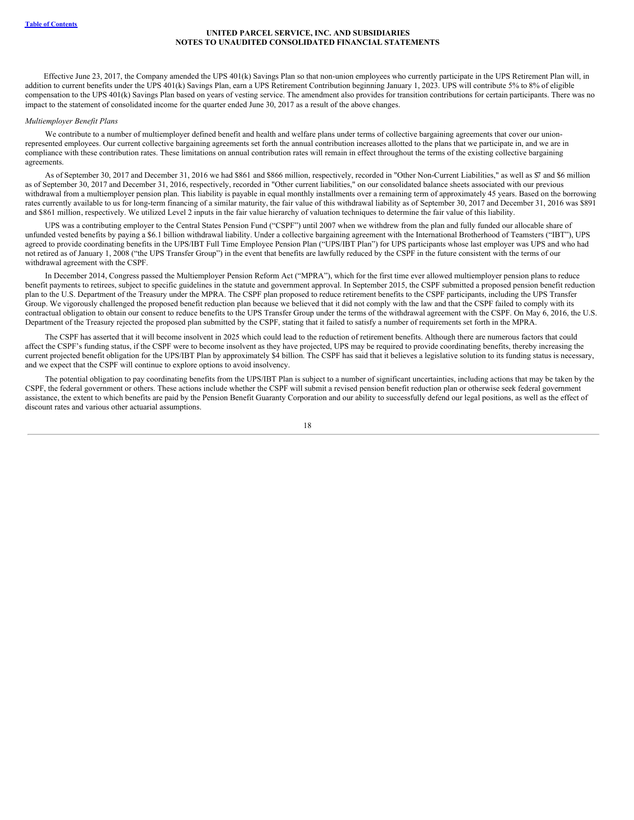Effective June 23, 2017, the Company amended the UPS 401(k) Savings Plan so that non-union employees who currently participate in the UPS Retirement Plan will, in addition to current benefits under the UPS 401(k) Savings Plan, earn a UPS Retirement Contribution beginning January 1, 2023. UPS will contribute 5% to 8% of eligible compensation to the UPS 401(k) Savings Plan based on years of vesting service. The amendment also provides for transition contributions for certain participants. There was no impact to the statement of consolidated income for the quarter ended June 30, 2017 as a result of the above changes.

#### *Multiemployer Benefit Plans*

We contribute to a number of multiemployer defined benefit and health and welfare plans under terms of collective bargaining agreements that cover our unionrepresented employees. Our current collective bargaining agreements set forth the annual contribution increases allotted to the plans that we participate in, and we are in compliance with these contribution rates. These limitations on annual contribution rates will remain in effect throughout the terms of the existing collective bargaining agreements.

As of September 30, 2017 and December 31, 2016 we had \$861 and \$866 million, respectively, recorded in "Other Non-Current Liabilities," as well as \$7 and \$6 million as of September 30, 2017 and December 31, 2016, respectively, recorded in "Other current liabilities," on our consolidated balance sheets associated with our previous withdrawal from a multiemployer pension plan. This liability is payable in equal monthly installments over a remaining term of approximately 45 years. Based on the borrowing rates currently available to us for long-term financing of a similar maturity, the fair value of this withdrawal liability as of September 30, 2017 and December 31, 2016 was \$891 and \$861 million, respectively. We utilized Level 2 inputs in the fair value hierarchy of valuation techniques to determine the fair value of this liability.

UPS was a contributing employer to the Central States Pension Fund ("CSPF") until 2007 when we withdrew from the plan and fully funded our allocable share of unfunded vested benefits by paying a \$6.1 billion withdrawal liability. Under a collective bargaining agreement with the International Brotherhood of Teamsters ("IBT"), UPS agreed to provide coordinating benefits in the UPS/IBT Full Time Employee Pension Plan ("UPS/IBT Plan") for UPS participants whose last employer was UPS and who had not retired as of January 1, 2008 ("the UPS Transfer Group") in the event that benefits are lawfully reduced by the CSPF in the future consistent with the terms of our withdrawal agreement with the CSPF.

In December 2014, Congress passed the Multiemployer Pension Reform Act ("MPRA"), which for the first time ever allowed multiemployer pension plans to reduce benefit payments to retirees, subject to specific guidelines in the statute and government approval. In September 2015, the CSPF submitted a proposed pension benefit reduction plan to the U.S. Department of the Treasury under the MPRA. The CSPF plan proposed to reduce retirement benefits to the CSPF participants, including the UPS Transfer Group. We vigorously challenged the proposed benefit reduction plan because we believed that it did not comply with the law and that the CSPF failed to comply with its contractual obligation to obtain our consent to reduce benefits to the UPS Transfer Group under the terms of the withdrawal agreement with the CSPF. On May 6, 2016, the U.S. Department of the Treasury rejected the proposed plan submitted by the CSPF, stating that it failed to satisfy a number of requirements set forth in the MPRA.

The CSPF has asserted that it will become insolvent in 2025 which could lead to the reduction of retirement benefits. Although there are numerous factors that could affect the CSPF's funding status, if the CSPF were to become insolvent as they have projected, UPS may be required to provide coordinating benefits, thereby increasing the current projected benefit obligation for the UPS/IBT Plan by approximately \$4 billion. The CSPF has said that it believes a legislative solution to its funding status is necessary, and we expect that the CSPF will continue to explore options to avoid insolvency.

The potential obligation to pay coordinating benefits from the UPS/IBT Plan is subject to a number of significant uncertainties, including actions that may be taken by the CSPF, the federal government or others. These actions include whether the CSPF will submit a revised pension benefit reduction plan or otherwise seek federal government assistance, the extent to which benefits are paid by the Pension Benefit Guaranty Corporation and our ability to successfully defend our legal positions, as well as the effect of discount rates and various other actuarial assumptions.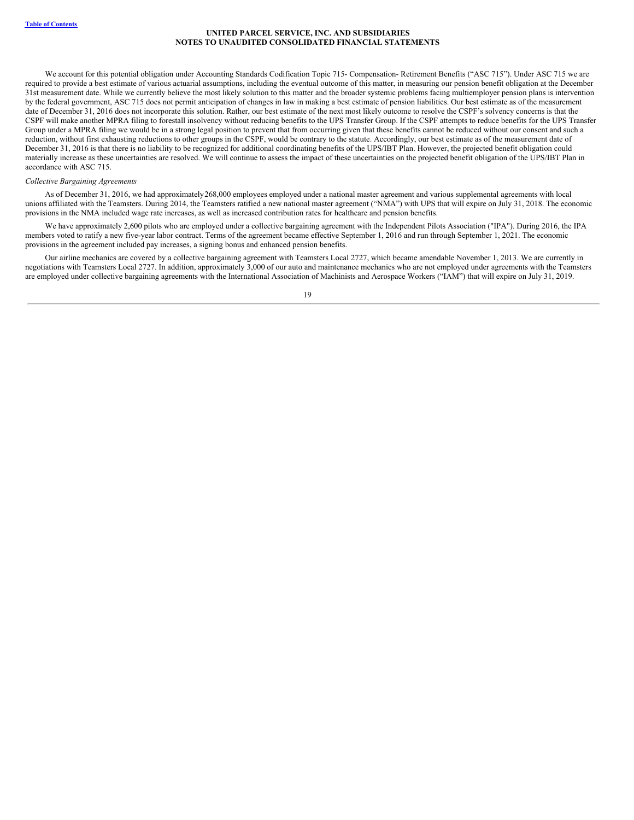We account for this potential obligation under Accounting Standards Codification Topic 715- Compensation-Retirement Benefits ("ASC 715"). Under ASC 715 we are required to provide a best estimate of various actuarial assumptions, including the eventual outcome of this matter, in measuring our pension benefit obligation at the December 31st measurement date. While we currently believe the most likely solution to this matter and the broader systemic problems facing multiemployer pension plans is intervention by the federal government, ASC 715 does not permit anticipation of changes in law in making a best estimate of pension liabilities. Our best estimate as of the measurement date of December 31, 2016 does not incorporate this solution. Rather, our best estimate of the next most likely outcome to resolve the CSPF's solvency concerns is that the CSPF will make another MPRA filing to forestall insolvency without reducing benefits to the UPS Transfer Group. If the CSPF attempts to reduce benefits for the UPS Transfer Group under a MPRA filing we would be in a strong legal position to prevent that from occurring given that these benefits cannot be reduced without our consent and such a reduction, without first exhausting reductions to other groups in the CSPF, would be contrary to the statute. Accordingly, our best estimate as of the measurement date of December 31, 2016 is that there is no liability to be recognized for additional coordinating benefits of the UPS/IBT Plan. However, the projected benefit obligation could materially increase as these uncertainties are resolved. We will continue to assess the impact of these uncertainties on the projected benefit obligation of the UPS/IBT Plan in accordance with ASC 715.

### *Collective Bargaining Agreements*

As of December 31, 2016, we had approximately268,000 employees employed under a national master agreement and various supplemental agreements with local unions affiliated with the Teamsters. During 2014, the Teamsters ratified a new national master agreement ("NMA") with UPS that will expire on July 31, 2018. The economic provisions in the NMA included wage rate increases, as well as increased contribution rates for healthcare and pension benefits.

We have approximately 2,600 pilots who are employed under a collective bargaining agreement with the Independent Pilots Association ("IPA"). During 2016, the IPA members voted to ratify a new five-year labor contract. Terms of the agreement became effective September 1, 2016 and run through September 1, 2021. The economic provisions in the agreement included pay increases, a signing bonus and enhanced pension benefits.

Our airline mechanics are covered by a collective bargaining agreement with Teamsters Local 2727, which became amendable November 1, 2013. We are currently in negotiations with Teamsters Local 2727. In addition, approximately 3,000 of our auto and maintenance mechanics who are not employed under agreements with the Teamsters are employed under collective bargaining agreements with the International Association of Machinists and Aerospace Workers ("IAM") that will expire on July 31, 2019.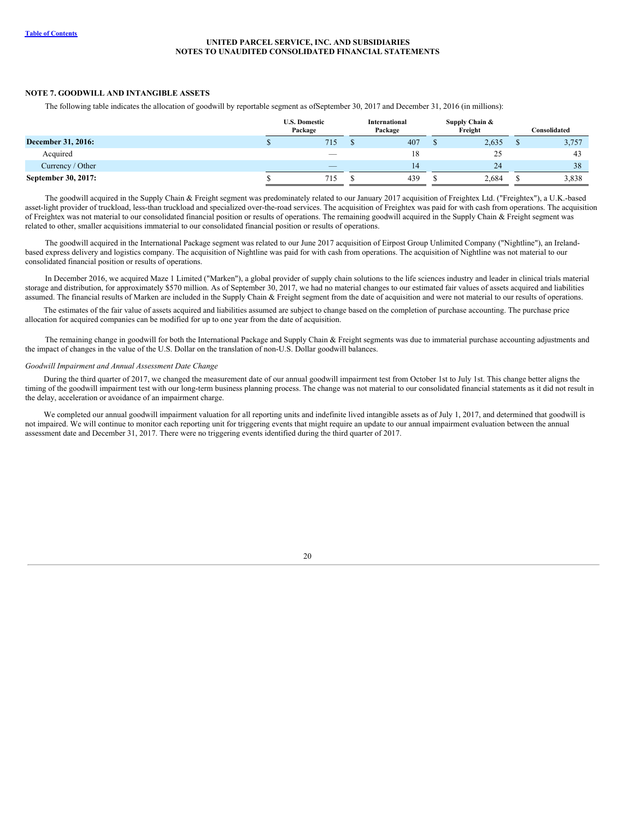### <span id="page-21-0"></span>**NOTE 7. GOODWILL AND INTANGIBLE ASSETS**

The following table indicates the allocation of goodwill by reportable segment as ofSeptember 30, 2017 and December 31, 2016 (in millions):

|                           | <b>U.S. Domestic</b><br>International<br>Package<br>Package |                          |  | Supply Chain &<br>Freight | Consolidated |       |
|---------------------------|-------------------------------------------------------------|--------------------------|--|---------------------------|--------------|-------|
| <b>December 31, 2016:</b> |                                                             | 715                      |  | 407                       | 2,635        | 3,757 |
| Acquired                  |                                                             | $\sim$                   |  | 18                        | 25           | 43    |
| Currency / Other          |                                                             | $\overline{\phantom{a}}$ |  | 14                        | 24           | 38    |
| September 30, 2017:       |                                                             | 715                      |  | 439                       | 2,684        | 3,838 |

The goodwill acquired in the Supply Chain & Freight segment was predominately related to our January 2017 acquisition of Freightex Ltd. ("Freightex"), a U.K.-based asset-light provider of truckload, less-than truckload and specialized over-the-road services. The acquisition of Freightex was paid for with cash from operations. The acquisition of Freightex was not material to our consolidated financial position or results of operations. The remaining goodwill acquired in the Supply Chain & Freight segment was related to other, smaller acquisitions immaterial to our consolidated financial position or results of operations.

The goodwill acquired in the International Package segment was related to our June 2017 acquisition of Eirpost Group Unlimited Company ("Nightline"), an Irelandbased express delivery and logistics company. The acquisition of Nightline was paid for with cash from operations. The acquisition of Nightline was not material to our consolidated financial position or results of operations.

In December 2016, we acquired Maze 1 Limited ("Marken"), a global provider of supply chain solutions to the life sciences industry and leader in clinical trials material storage and distribution, for approximately \$570 million. As of September 30, 2017, we had no material changes to our estimated fair values of assets acquired and liabilities assumed. The financial results of Marken are included in the Supply Chain & Freight segment from the date of acquisition and were not material to our results of operations.

The estimates of the fair value of assets acquired and liabilities assumed are subject to change based on the completion of purchase accounting. The purchase price allocation for acquired companies can be modified for up to one year from the date of acquisition.

The remaining change in goodwill for both the International Package and Supply Chain & Freight segments was due to immaterial purchase accounting adjustments and the impact of changes in the value of the U.S. Dollar on the translation of non-U.S. Dollar goodwill balances.

#### *Goodwill Impairment and Annual Assessment Date Change*

During the third quarter of 2017, we changed the measurement date of our annual goodwill impairment test from October 1st to July 1st. This change better aligns the timing of the goodwill impairment test with our long-term business planning process. The change was not material to our consolidated financial statements as it did not result in the delay, acceleration or avoidance of an impairment charge.

We completed our annual goodwill impairment valuation for all reporting units and indefinite lived intangible assets as of July 1, 2017, and determined that goodwill is not impaired. We will continue to monitor each reporting unit for triggering events that might require an update to our annual impairment evaluation between the annual assessment date and December 31, 2017. There were no triggering events identified during the third quarter of 2017.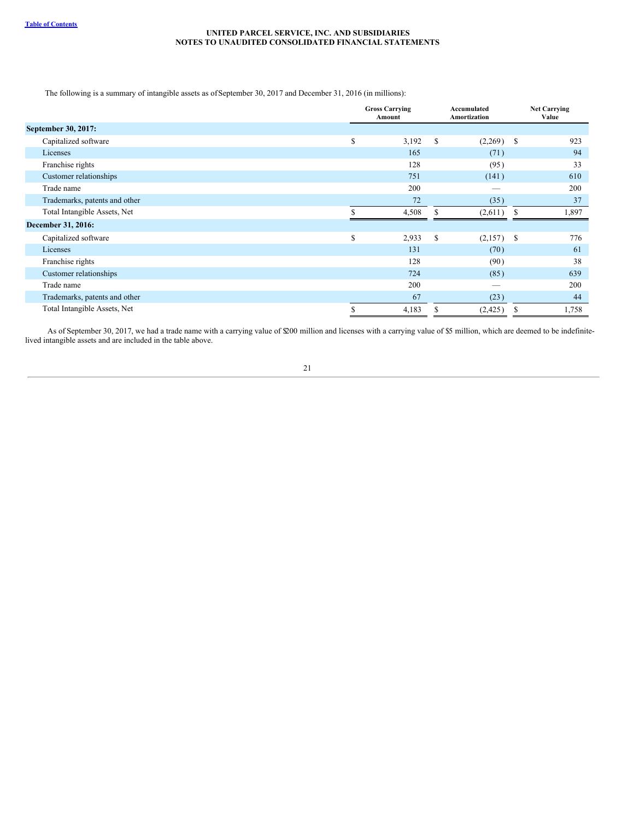The following is a summary of intangible assets as ofSeptember 30, 2017 and December 31, 2016 (in millions):

|                               |    | <b>Gross Carrying</b><br>Amount | Accumulated<br>Amortization |         |   | <b>Net Carrying</b><br>Value |
|-------------------------------|----|---------------------------------|-----------------------------|---------|---|------------------------------|
| September 30, 2017:           |    |                                 |                             |         |   |                              |
| Capitalized software          | \$ | 3,192                           | S                           | (2,269) | S | 923                          |
| Licenses                      |    | 165                             |                             | (71)    |   | 94                           |
| Franchise rights              |    | 128                             |                             | (95)    |   | 33                           |
| Customer relationships        |    | 751                             |                             | (141)   |   | 610                          |
| Trade name                    |    | 200                             |                             | _       |   | 200                          |
| Trademarks, patents and other |    | 72                              |                             | (35)    |   | 37                           |
| Total Intangible Assets, Net  |    | 4,508                           |                             | (2,611) | S | 1,897                        |
| December 31, 2016:            |    |                                 |                             |         |   |                              |
| Capitalized software          | \$ | 2,933                           | S                           | (2,157) | S | 776                          |
| Licenses                      |    | 131                             |                             | (70)    |   | 61                           |
| Franchise rights              |    | 128                             |                             | (90)    |   | 38                           |
| Customer relationships        |    | 724                             |                             | (85)    |   | 639                          |
| Trade name                    |    | 200                             |                             |         |   | 200                          |
| Trademarks, patents and other |    | 67                              |                             | (23)    |   | 44                           |
| Total Intangible Assets, Net  | S  | 4,183                           | S                           | (2,425) | S | 1,758                        |

As of September 30, 2017, we had a trade name with a carrying value of \$200 million and licenses with a carrying value of \$5 million, which are deemed to be indefinitelived intangible assets and are included in the table above.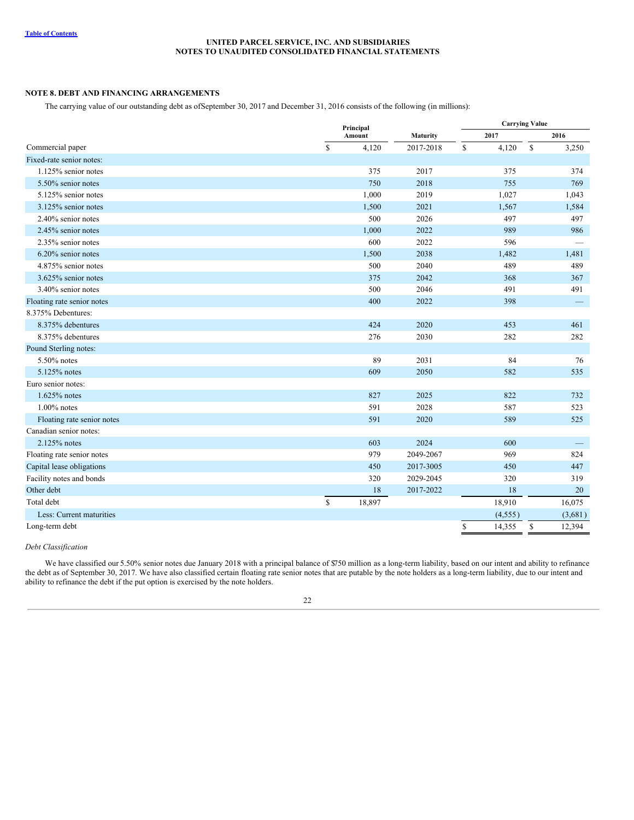### <span id="page-23-0"></span>**NOTE 8. DEBT AND FINANCING ARRANGEMENTS**

The carrying value of our outstanding debt as ofSeptember 30, 2017 and December 31, 2016 consists of the following (in millions):

|                            |              | Principal |                 |      | <b>Carrying Value</b> |              |         |
|----------------------------|--------------|-----------|-----------------|------|-----------------------|--------------|---------|
|                            |              | Amount    | <b>Maturity</b> | 2017 |                       |              | 2016    |
| Commercial paper           | $\mathbb{S}$ | 4,120     | 2017-2018       | \$   | 4,120                 | S            | 3,250   |
| Fixed-rate senior notes:   |              |           |                 |      |                       |              |         |
| 1.125% senior notes        |              | 375       | 2017            |      | 375                   |              | 374     |
| 5.50% senior notes         |              | 750       | 2018            |      | 755                   |              | 769     |
| 5.125% senior notes        |              | 1,000     | 2019            |      | 1,027                 |              | 1,043   |
| 3.125% senior notes        |              | 1,500     | 2021            |      | 1,567                 |              | 1,584   |
| 2.40% senior notes         |              | 500       | 2026            |      | 497                   |              | 497     |
| 2.45% senior notes         |              | 1,000     | 2022            |      | 989                   |              | 986     |
| 2.35% senior notes         |              | 600       | 2022            |      | 596                   |              |         |
| 6.20% senior notes         |              | 1,500     | 2038            |      | 1,482                 |              | 1,481   |
| 4.875% senior notes        |              | 500       | 2040            |      | 489                   |              | 489     |
| 3.625% senior notes        |              | 375       | 2042            |      | 368                   |              | 367     |
| 3.40% senior notes         |              | 500       | 2046            |      | 491                   |              | 491     |
| Floating rate senior notes |              | 400       | 2022            |      | 398                   |              |         |
| 8.375% Debentures:         |              |           |                 |      |                       |              |         |
| 8.375% debentures          |              | 424       | 2020            |      | 453                   |              | 461     |
| 8.375% debentures          |              | 276       | 2030            |      | 282                   |              | 282     |
| Pound Sterling notes:      |              |           |                 |      |                       |              |         |
| 5.50% notes                |              | 89        | 2031            |      | 84                    |              | 76      |
| 5.125% notes               |              | 609       | 2050            |      | 582                   |              | 535     |
| Euro senior notes:         |              |           |                 |      |                       |              |         |
| 1.625% notes               |              | 827       | 2025            |      | 822                   |              | 732     |
| $1.00\%$ notes             |              | 591       | 2028            |      | 587                   |              | 523     |
| Floating rate senior notes |              | 591       | 2020            |      | 589                   |              | 525     |
| Canadian senior notes:     |              |           |                 |      |                       |              |         |
| 2.125% notes               |              | 603       | 2024            |      | 600                   |              |         |
| Floating rate senior notes |              | 979       | 2049-2067       |      | 969                   |              | 824     |
| Capital lease obligations  |              | 450       | 2017-3005       |      | 450                   |              | 447     |
| Facility notes and bonds   |              | 320       | 2029-2045       |      | 320                   |              | 319     |
| Other debt                 |              | 18        | 2017-2022       |      | 18                    |              | 20      |
| Total debt                 | \$           | 18,897    |                 |      | 18,910                |              | 16,075  |
| Less: Current maturities   |              |           |                 |      | (4, 555)              |              | (3,681) |
| Long-term debt             |              |           |                 | \$   | 14,355                | $\mathbb{S}$ | 12,394  |

*Debt Classification*

We have classified our 5.50% senior notes due January 2018 with a principal balance of \$750 million as a long-term liability, based on our intent and ability to refinance the debt as of September 30, 2017. We have also classified certain floating rate senior notes that are putable by the note holders as a long-term liability, due to our intent and ability to refinance the debt if the put option is exercised by the note holders.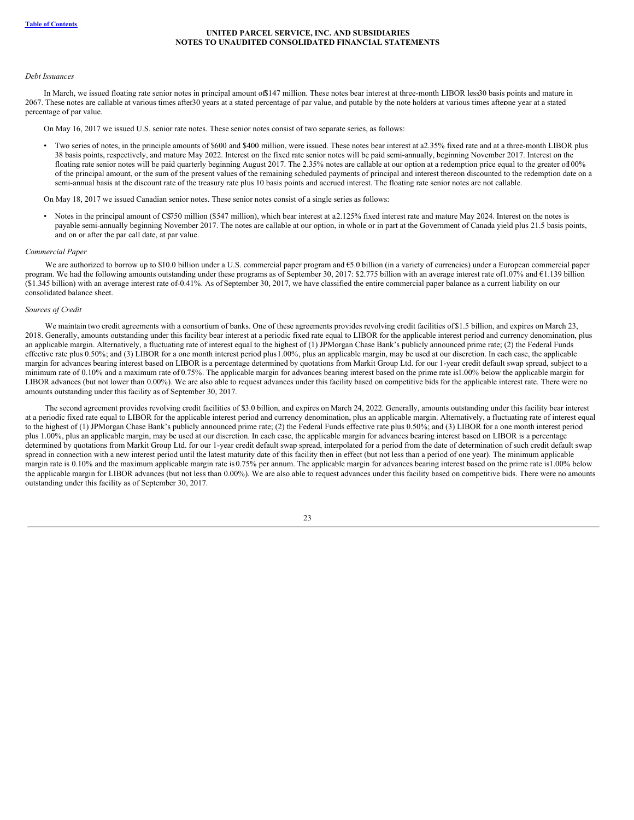#### *Debt Issuances*

In March, we issued floating rate senior notes in principal amount of\$147 million. These notes bear interest at three-month LIBOR less30 basis points and mature in 2067. These notes are callable at various times after30 years at a stated percentage of par value, and putable by the note holders at various times afterone year at a stated percentage of par value.

On May 16, 2017 we issued U.S. senior rate notes. These senior notes consist of two separate series, as follows:

• Two series of notes, in the principle amounts of \$600 and \$400 million, were issued. These notes bear interest at a2.35% fixed rate and at a three-month LIBOR plus 38 basis points, respectively, and mature May 2022. Interest on the fixed rate senior notes will be paid semi-annually, beginning November 2017. Interest on the floating rate senior notes will be paid quarterly beginning August 2017. The 2.35% notes are callable at our option at a redemption price equal to the greater of 00% of the principal amount, or the sum of the present values of the remaining scheduled payments of principal and interest thereon discounted to the redemption date on a semi-annual basis at the discount rate of the treasury rate plus 10 basis points and accrued interest. The floating rate senior notes are not callable.

On May 18, 2017 we issued Canadian senior notes. These senior notes consist of a single series as follows:

Notes in the principal amount of C\$750 million (\$547 million), which bear interest at a2.125% fixed interest rate and mature May 2024. Interest on the notes is payable semi-annually beginning November 2017. The notes are callable at our option, in whole or in part at the Government of Canada yield plus 21.5 basis points, and on or after the par call date, at par value.

#### *Commercial Paper*

We are authorized to borrow up to \$10.0 billion under a U.S. commercial paper program and €5.0 billion (in a variety of currencies) under a European commercial paper program. We had the following amounts outstanding under these programs as of September 30, 2017: \$2.775 billion with an average interest rate of 1.07% and  $\epsilon$ 1.139 billion (\$1.345 billion) with an average interest rate of-0.41%. As of September 30, 2017, we have classified the entire commercial paper balance as a current liability on our consolidated balance sheet.

#### *Sources of Credit*

We maintain two credit agreements with a consortium of banks. One of these agreements provides revolving credit facilities of \$1.5 billion, and expires on March 23, 2018. Generally, amounts outstanding under this facility bear interest at a periodic fixed rate equal to LIBOR for the applicable interest period and currency denomination, plus an applicable margin. Alternatively, a fluctuating rate of interest equal to the highest of (1) JPMorgan Chase Bank's publicly announced prime rate; (2) the Federal Funds effective rate plus 0.50%; and (3) LIBOR for a one month interest period plus1.00%, plus an applicable margin, may be used at our discretion. In each case, the applicable margin for advances bearing interest based on LIBOR is a percentage determined by quotations from Markit Group Ltd. for our 1-year credit default swap spread, subject to a minimum rate of 0.10% and a maximum rate of 0.75%. The applicable margin for advances bearing interest based on the prime rate is1.00% below the applicable margin for LIBOR advances (but not lower than 0.00%). We are also able to request advances under this facility based on competitive bids for the applicable interest rate. There were no amounts outstanding under this facility as of September 30, 2017.

The second agreement provides revolving credit facilities of \$3.0 billion, and expires on March 24, 2022. Generally, amounts outstanding under this facility bear interest at a periodic fixed rate equal to LIBOR for the applicable interest period and currency denomination, plus an applicable margin. Alternatively, a fluctuating rate of interest equal to the highest of (1) JPMorgan Chase Bank's publicly announced prime rate; (2) the Federal Funds effective rate plus 0.50%; and (3) LIBOR for a one month interest period plus 1.00%, plus an applicable margin, may be used at our discretion. In each case, the applicable margin for advances bearing interest based on LIBOR is a percentage determined by quotations from Markit Group Ltd. for our 1-year credit default swap spread, interpolated for a period from the date of determination of such credit default swap spread in connection with a new interest period until the latest maturity date of this facility then in effect (but not less than a period of one year). The minimum applicable margin rate is 0.10% and the maximum applicable margin rate is0.75% per annum. The applicable margin for advances bearing interest based on the prime rate is1.00% below the applicable margin for LIBOR advances (but not less than 0.00%). We are also able to request advances under this facility based on competitive bids. There were no amounts outstanding under this facility as of September 30, 2017.

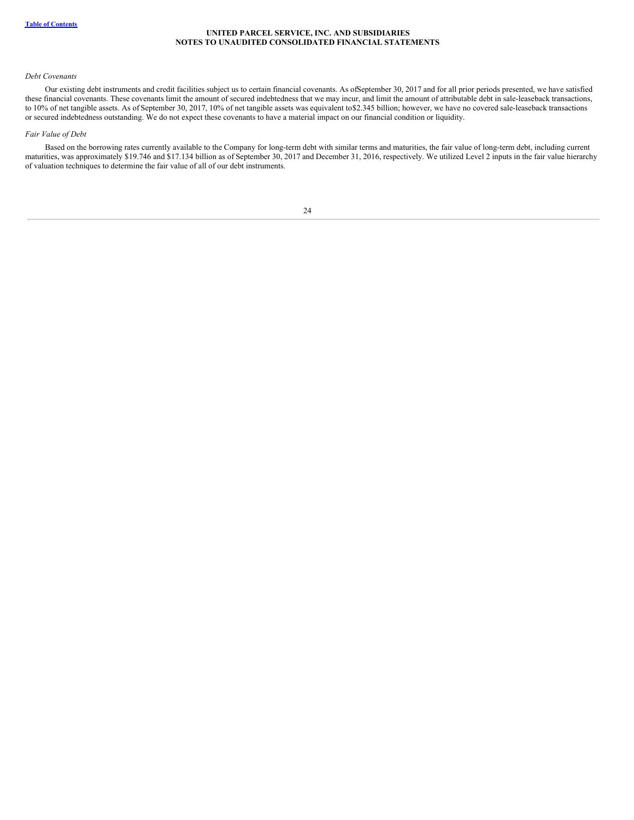#### *Debt Covenants*

Our existing debt instruments and credit facilities subject us to certain financial covenants. As ofSeptember 30, 2017 and for all prior periods presented, we have satisfied these financial covenants. These covenants limit the amount of secured indebtedness that we may incur, and limit the amount of attributable debt in sale-leaseback transactions, to 10% of net tangible assets. As of September 30, 2017, 10% of net tangible assets was equivalent to\$2.345 billion; however, we have no covered sale-leaseback transactions or secured indebtedness outstanding. We do not expect these covenants to have a material impact on our financial condition or liquidity.

#### *Fair Value of Debt*

Based on the borrowing rates currently available to the Company for long-term debt with similar terms and maturities, the fair value of long-term debt, including current maturities, was approximately \$19.746 and \$17.134 billion as of September 30, 2017 and December 31, 2016, respectively. We utilized Level 2 inputs in the fair value hierarchy of valuation techniques to determine the fair value of all of our debt instruments.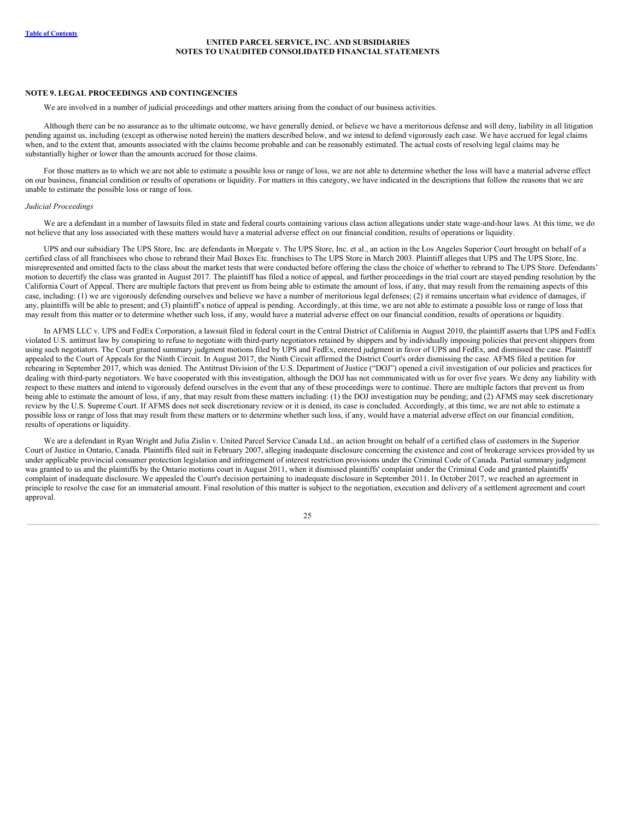#### <span id="page-26-0"></span>**NOTE 9. LEGAL PROCEEDINGS AND CONTINGENCIES**

We are involved in a number of judicial proceedings and other matters arising from the conduct of our business activities.

Although there can be no assurance as to the ultimate outcome, we have generally denied, or believe we have a meritorious defense and will deny, liability in all litigation pending against us, including (except as otherwise noted herein) the matters described below, and we intend to defend vigorously each case. We have accrued for legal claims when, and to the extent that, amounts associated with the claims become probable and can be reasonably estimated. The actual costs of resolving legal claims may be substantially higher or lower than the amounts accrued for those claims.

For those matters as to which we are not able to estimate a possible loss or range of loss, we are not able to determine whether the loss will have a material adverse effect on our business, financial condition or results of operations or liquidity. For matters in this category, we have indicated in the descriptions that follow the reasons that we are unable to estimate the possible loss or range of loss.

#### *Judicial Proceedings*

We are a defendant in a number of lawsuits filed in state and federal courts containing various class action allegations under state wage-and-hour laws. At this time, we do not believe that any loss associated with these matters would have a material adverse effect on our financial condition, results of operations or liquidity.

UPS and our subsidiary The UPS Store, Inc. are defendants in Morgate v. The UPS Store, Inc. et al., an action in the Los Angeles Superior Court brought on behalf of a certified class of all franchisees who chose to rebrand their Mail Boxes Etc. franchises to The UPS Store in March 2003. Plaintiff alleges that UPS and The UPS Store, Inc. misrepresented and omitted facts to the class about the market tests that were conducted before offering the class the choice of whether to rebrand to The UPS Store. Defendants' motion to decertify the class was granted in August 2017. The plaintiff has filed a notice of appeal, and further proceedings in the trial court are stayed pending resolution by the California Court of Appeal. There are multiple factors that prevent us from being able to estimate the amount of loss, if any, that may result from the remaining aspects of this case, including: (1) we are vigorously defending ourselves and believe we have a number of meritorious legal defenses; (2) it remains uncertain what evidence of damages, if any, plaintiffs will be able to present; and (3) plaintiff's notice of appeal is pending. Accordingly, at this time, we are not able to estimate a possible loss or range of loss that may result from this matter or to determine whether such loss, if any, would have a material adverse effect on our financial condition, results of operations or liquidity.

In AFMS LLC v. UPS and FedEx Corporation, a lawsuit filed in federal court in the Central District of California in August 2010, the plaintiff asserts that UPS and FedEx violated U.S. antitrust law by conspiring to refuse to negotiate with third-party negotiators retained by shippers and by individually imposing policies that prevent shippers from using such negotiators. The Court granted summary judgment motions filed by UPS and FedEx, entered judgment in favor of UPS and FedEx, and dismissed the case. Plaintiff appealed to the Court of Appeals for the Ninth Circuit. In August 2017, the Ninth Circuit affirmed the District Court's order dismissing the case. AFMS filed a petition for rehearing in September 2017, which was denied. The Antitrust Division of the U.S. Department of Justice ("DOJ") opened a civil investigation of our policies and practices for dealing with third-party negotiators. We have cooperated with this investigation, although the DOJ has not communicated with us for over five years. We deny any liability with respect to these matters and intend to vigorously defend ourselves in the event that any of these proceedings were to continue. There are multiple factors that prevent us from being able to estimate the amount of loss, if any, that may result from these matters including: (1) the DOJ investigation may be pending; and (2) AFMS may seek discretionary review by the U.S. Supreme Court. If AFMS does not seek discretionary review or it is denied, its case is concluded. Accordingly, at this time, we are not able to estimate a possible loss or range of loss that may result from these matters or to determine whether such loss, if any, would have a material adverse effect on our financial condition, results of operations or liquidity.

We are a defendant in Ryan Wright and Julia Zislin v. United Parcel Service Canada Ltd., an action brought on behalf of a certified class of customers in the Superior Court of Justice in Ontario, Canada. Plaintiffs filed suit in February 2007, alleging inadequate disclosure concerning the existence and cost of brokerage services provided by us under applicable provincial consumer protection legislation and infringement of interest restriction provisions under the Criminal Code of Canada. Partial summary judgment was granted to us and the plaintiffs by the Ontario motions court in August 2011, when it dismissed plaintiffs' complaint under the Criminal Code and granted plaintiffs' complaint of inadequate disclosure. We appealed the Court's decision pertaining to inadequate disclosure in September 2011. In October 2017, we reached an agreement in principle to resolve the case for an immaterial amount. Final resolution of this matter is subject to the negotiation, execution and delivery of a settlement agreement and court approval.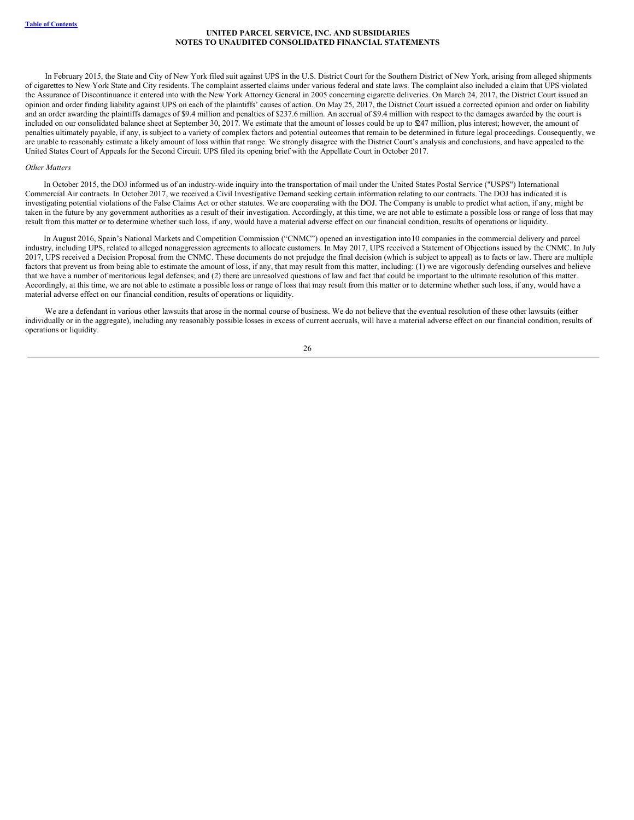In February 2015, the State and City of New York filed suit against UPS in the U.S. District Court for the Southern District of New York, arising from alleged shipments of cigarettes to New York State and City residents. The complaint asserted claims under various federal and state laws. The complaint also included a claim that UPS violated the Assurance of Discontinuance it entered into with the New York Attorney General in 2005 concerning cigarette deliveries. On March 24, 2017, the District Court issued an opinion and order finding liability against UPS on each of the plaintiffs' causes of action. On May 25, 2017, the District Court issued a corrected opinion and order on liability and an order awarding the plaintiffs damages of \$9.4 million and penalties of \$237.6 million. An accrual of \$9.4 million with respect to the damages awarded by the court is included on our consolidated balance sheet at September 30, 2017. We estimate that the amount of losses could be up to \$247 million, plus interest; however, the amount of penalties ultimately payable, if any, is subject to a variety of complex factors and potential outcomes that remain to be determined in future legal proceedings. Consequently, we are unable to reasonably estimate a likely amount of loss within that range. We strongly disagree with the District Court's analysis and conclusions, and have appealed to the United States Court of Appeals for the Second Circuit. UPS filed its opening brief with the Appellate Court in October 2017.

#### *Other Matters*

In October 2015, the DOJ informed us of an industry-wide inquiry into the transportation of mail under the United States Postal Service ("USPS") International Commercial Air contracts. In October 2017, we received a Civil Investigative Demand seeking certain information relating to our contracts. The DOJ has indicated it is investigating potential violations of the False Claims Act or other statutes. We are cooperating with the DOJ. The Company is unable to predict what action, if any, might be taken in the future by any government authorities as a result of their investigation. Accordingly, at this time, we are not able to estimate a possible loss or range of loss that may result from this matter or to determine whether such loss, if any, would have a material adverse effect on our financial condition, results of operations or liquidity.

In August 2016, Spain's National Markets and Competition Commission ("CNMC") opened an investigation into10 companies in the commercial delivery and parcel industry, including UPS, related to alleged nonaggression agreements to allocate customers. In May 2017, UPS received a Statement of Objections issued by the CNMC. In July 2017, UPS received a Decision Proposal from the CNMC. These documents do not prejudge the final decision (which is subject to appeal) as to facts or law. There are multiple factors that prevent us from being able to estimate the amount of loss, if any, that may result from this matter, including: (1) we are vigorously defending ourselves and believe that we have a number of meritorious legal defenses; and (2) there are unresolved questions of law and fact that could be important to the ultimate resolution of this matter. Accordingly, at this time, we are not able to estimate a possible loss or range of loss that may result from this matter or to determine whether such loss, if any, would have a material adverse effect on our financial condition, results of operations or liquidity.

We are a defendant in various other lawsuits that arose in the normal course of business. We do not believe that the eventual resolution of these other lawsuits (either individually or in the aggregate), including any reasonably possible losses in excess of current accruals, will have a material adverse effect on our financial condition, results of operations or liquidity.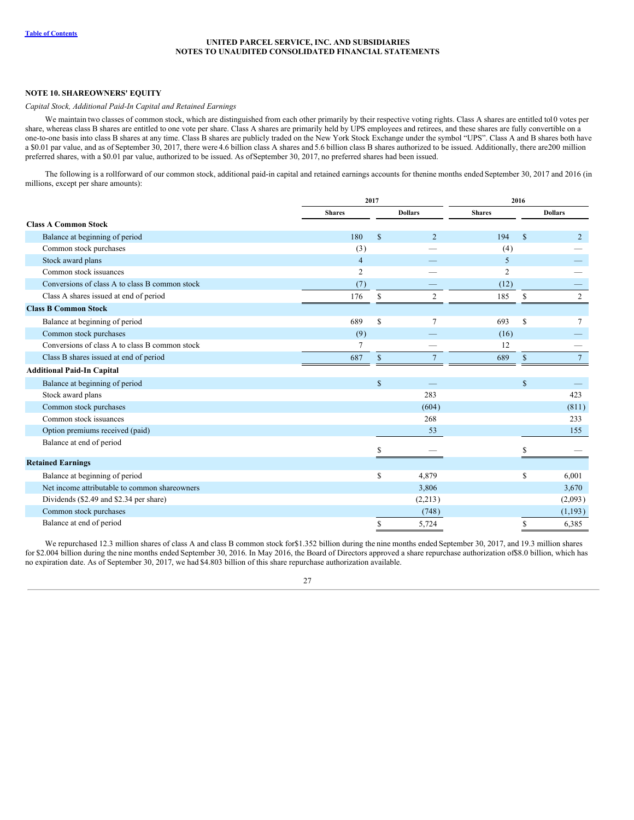### <span id="page-28-0"></span>**NOTE 10. SHAREOWNERS' EQUITY**

#### *Capital Stock, Additional Paid-In Capital and Retained Earnings*

We maintain two classes of common stock, which are distinguished from each other primarily by their respective voting rights. Class A shares are entitled to10 votes per share, whereas class B shares are entitled to one vote per share. Class A shares are primarily held by UPS employees and retirees, and these shares are fully convertible on a one-to-one basis into class B shares at any time. Class B shares are publicly traded on the New York Stock Exchange under the symbol "UPS". Class A and B shares both have a \$0.01 par value, and as of September 30, 2017, there were 4.6 billion class A shares and 5.6 billion class B shares authorized to be issued. Additionally, there are 200 million preferred shares, with a \$0.01 par value, authorized to be issued. As ofSeptember 30, 2017, no preferred shares had been issued.

The following is a rollforward of our common stock, additional paid-in capital and retained earnings accounts for thenine months ended September 30, 2017 and 2016 (in millions, except per share amounts):

|                                                |                | 2017          |                 |                |               | 2016            |  |  |  |
|------------------------------------------------|----------------|---------------|-----------------|----------------|---------------|-----------------|--|--|--|
|                                                | <b>Shares</b>  |               | <b>Dollars</b>  | <b>Shares</b>  |               | <b>Dollars</b>  |  |  |  |
| <b>Class A Common Stock</b>                    |                |               |                 |                |               |                 |  |  |  |
| Balance at beginning of period                 | 180            | <sup>\$</sup> | $\overline{2}$  | 194            | $\mathbb{S}$  | $\overline{2}$  |  |  |  |
| Common stock purchases                         | (3)            |               |                 | (4)            |               |                 |  |  |  |
| Stock award plans                              | $\overline{4}$ |               |                 | 5              |               |                 |  |  |  |
| Common stock issuances                         | $\overline{2}$ |               |                 | $\overline{c}$ |               |                 |  |  |  |
| Conversions of class A to class B common stock | (7)            |               |                 | (12)           |               |                 |  |  |  |
| Class A shares issued at end of period         | 176            | S             | $\overline{2}$  | 185            | S.            | 2               |  |  |  |
| <b>Class B Common Stock</b>                    |                |               |                 |                |               |                 |  |  |  |
| Balance at beginning of period                 | 689            | \$            | 7               | 693            | \$            | 7               |  |  |  |
| Common stock purchases                         | (9)            |               |                 | (16)           |               |                 |  |  |  |
| Conversions of class A to class B common stock | $\overline{7}$ |               |                 | 12             |               |                 |  |  |  |
| Class B shares issued at end of period         | 687            | $\mathbb{S}$  | $7\phantom{.0}$ | 689            | $\mathbb{S}$  | $7\phantom{.0}$ |  |  |  |
| <b>Additional Paid-In Capital</b>              |                |               |                 |                |               |                 |  |  |  |
| Balance at beginning of period                 |                | $\mathbb{S}$  |                 |                | $\mathsf{\$}$ |                 |  |  |  |
| Stock award plans                              |                |               | 283             |                |               | 423             |  |  |  |
| Common stock purchases                         |                |               | (604)           |                |               | (811)           |  |  |  |
| Common stock issuances                         |                |               | 268             |                |               | 233             |  |  |  |
| Option premiums received (paid)                |                |               | 53              |                |               | 155             |  |  |  |
| Balance at end of period                       |                |               |                 |                |               |                 |  |  |  |
|                                                |                | S             |                 |                |               |                 |  |  |  |
| <b>Retained Earnings</b>                       |                |               |                 |                |               |                 |  |  |  |
| Balance at beginning of period                 |                | S             | 4,879           |                | \$            | 6,001           |  |  |  |
| Net income attributable to common shareowners  |                |               | 3,806           |                |               | 3,670           |  |  |  |
| Dividends (\$2.49 and \$2.34 per share)        |                |               | (2,213)         |                |               | (2,093)         |  |  |  |
| Common stock purchases                         |                |               | (748)           |                |               | (1, 193)        |  |  |  |
| Balance at end of period                       |                | \$            | 5.724           |                | \$            | 6,385           |  |  |  |

We repurchased 12.3 million shares of class A and class B common stock for \$1.352 billion during the nine months ended September 30, 2017, and 19.3 million shares for \$2.004 billion during the nine months ended September 30, 2016. In May 2016, the Board of Directors approved a share repurchase authorization of\$8.0 billion, which has no expiration date. As of September 30, 2017, we had \$4.803 billion of this share repurchase authorization available.

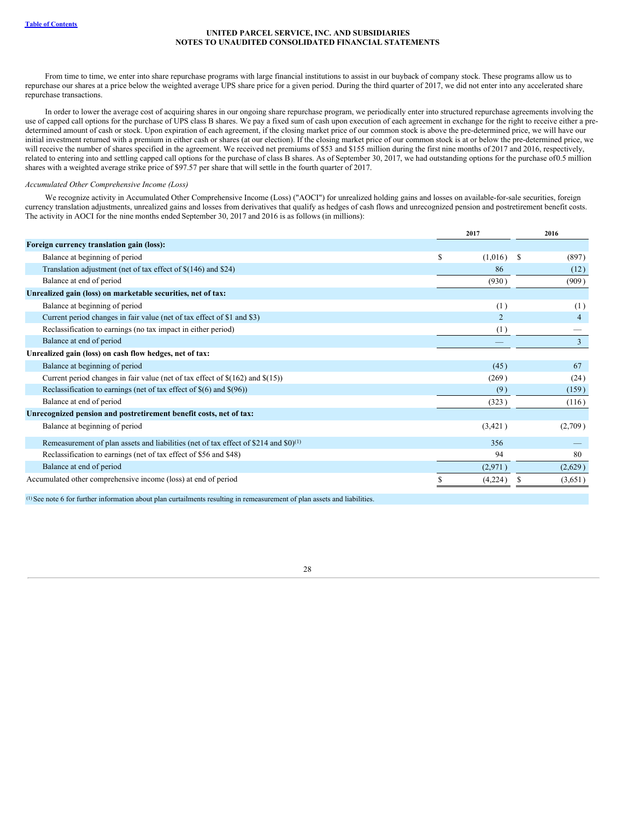From time to time, we enter into share repurchase programs with large financial institutions to assist in our buyback of company stock. These programs allow us to repurchase our shares at a price below the weighted average UPS share price for a given period. During the third quarter of 2017, we did not enter into any accelerated share repurchase transactions.

In order to lower the average cost of acquiring shares in our ongoing share repurchase program, we periodically enter into structured repurchase agreements involving the use of capped call options for the purchase of UPS class B shares. We pay a fixed sum of cash upon execution of each agreement in exchange for the right to receive either a predetermined amount of cash or stock. Upon expiration of each agreement, if the closing market price of our common stock is above the pre-determined price, we will have our initial investment returned with a premium in either cash or shares (at our election). If the closing market price of our common stock is at or below the pre-determined price, we will receive the number of shares specified in the agreement. We received net premiums of \$53 and \$155 million during the first nine months of 2017 and 2016, respectively, related to entering into and settling capped call options for the purchase of class B shares. As of September 30, 2017, we had outstanding options for the purchase of0.5 million shares with a weighted average strike price of \$97.57 per share that will settle in the fourth quarter of 2017.

### *Accumulated Other Comprehensive Income (Loss)*

We recognize activity in Accumulated Other Comprehensive Income (Loss) ("AOCI") for unrealized holding gains and losses on available-for-sale securities, foreign currency translation adjustments, unrealized gains and losses from derivatives that qualify as hedges of cash flows and unrecognized pension and postretirement benefit costs. The activity in AOCI for the nine months ended September 30, 2017 and 2016 is as follows (in millions):

|                                                                                                                                      | 2017           |    | 2016           |  |
|--------------------------------------------------------------------------------------------------------------------------------------|----------------|----|----------------|--|
| Foreign currency translation gain (loss):                                                                                            |                |    |                |  |
| Balance at beginning of period                                                                                                       | \$<br>(1,016)  | -S | (897)          |  |
| Translation adjustment (net of tax effect of \$(146) and \$24)                                                                       | 86             |    | (12)           |  |
| Balance at end of period                                                                                                             | (930)          |    | (909)          |  |
| Unrealized gain (loss) on marketable securities, net of tax:                                                                         |                |    |                |  |
| Balance at beginning of period                                                                                                       | (1)            |    | (1)            |  |
| Current period changes in fair value (net of tax effect of \$1 and \$3)                                                              | $\overline{2}$ |    | $\overline{4}$ |  |
| Reclassification to earnings (no tax impact in either period)                                                                        | (1)            |    |                |  |
| Balance at end of period                                                                                                             |                |    | 3              |  |
| Unrealized gain (loss) on cash flow hedges, net of tax:                                                                              |                |    |                |  |
| Balance at beginning of period                                                                                                       | (45)           |    | 67             |  |
| Current period changes in fair value (net of tax effect of $\$(162)$ ) and $\$(15)$ )                                                | (269)          |    | (24)           |  |
| Reclassification to earnings (net of tax effect of $$(6)$ and $$(96)$ )                                                              | (9)            |    | (159)          |  |
| Balance at end of period                                                                                                             | (323)          |    | (116)          |  |
| Unrecognized pension and postretirement benefit costs, net of tax:                                                                   |                |    |                |  |
| Balance at beginning of period                                                                                                       | (3,421)        |    | (2,709)        |  |
| Remeasurement of plan assets and liabilities (net of tax effect of \$214 and \$0) $^{(1)}$                                           | 356            |    |                |  |
| Reclassification to earnings (net of tax effect of \$56 and \$48)                                                                    | 94             |    | 80             |  |
| Balance at end of period                                                                                                             | (2,971)        |    | (2,629)        |  |
| Accumulated other comprehensive income (loss) at end of period                                                                       | (4,224)        |    | (3,651)        |  |
| <sup>(1)</sup> See note 6 for further information about plan curtailments resulting in remeasurement of plan assets and liabilities. |                |    |                |  |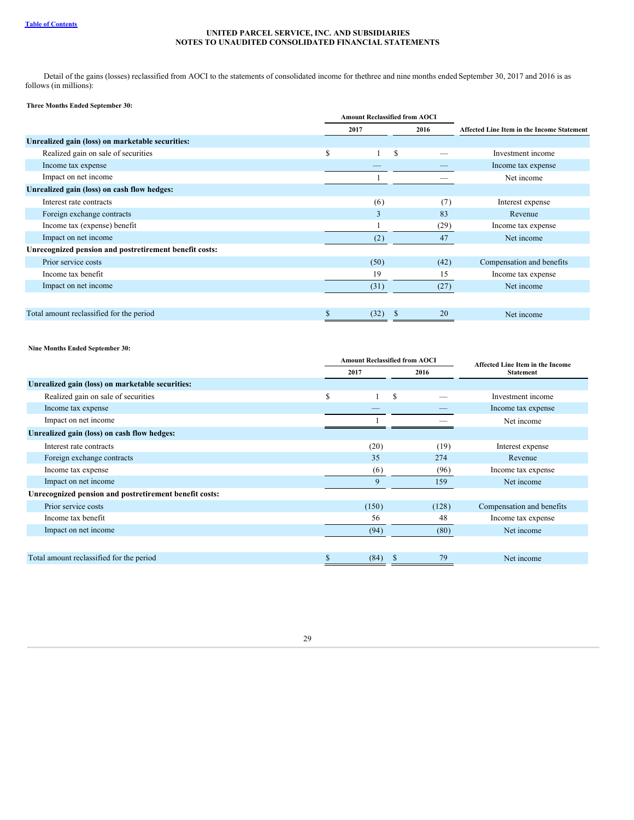Detail of the gains (losses) reclassified from AOCI to the statements of consolidated income for thethree and nine months ended September 30, 2017 and 2016 is as follows (in millions):

### **Three Months Ended September 30:**

|                                                        |    | <b>Amount Reclassified from AOCI</b> |    |      |                                            |
|--------------------------------------------------------|----|--------------------------------------|----|------|--------------------------------------------|
|                                                        |    | 2017                                 |    | 2016 | Affected Line Item in the Income Statement |
| Unrealized gain (loss) on marketable securities:       |    |                                      |    |      |                                            |
| Realized gain on sale of securities                    | \$ |                                      | \$ |      | Investment income                          |
| Income tax expense                                     |    |                                      |    |      | Income tax expense                         |
| Impact on net income                                   |    |                                      |    |      | Net income                                 |
| Unrealized gain (loss) on cash flow hedges:            |    |                                      |    |      |                                            |
| Interest rate contracts                                |    | (6)                                  |    | (7)  | Interest expense                           |
| Foreign exchange contracts                             |    | 3                                    |    | 83   | Revenue                                    |
| Income tax (expense) benefit                           |    |                                      |    | (29) | Income tax expense                         |
| Impact on net income                                   |    | (2)                                  |    | 47   | Net income                                 |
| Unrecognized pension and postretirement benefit costs: |    |                                      |    |      |                                            |
| Prior service costs                                    |    | (50)                                 |    | (42) | Compensation and benefits                  |
| Income tax benefit                                     |    | 19                                   |    | 15   | Income tax expense                         |
| Impact on net income                                   |    | (31)                                 |    | (27) | Net income                                 |
|                                                        |    |                                      |    |      |                                            |
| Total amount reclassified for the period               | S  | (32)                                 | S  | 20   | Net income                                 |

### **Nine Months Ended September 30:**

|                                                        |   | <b>Amount Reclassified from AOCI</b> |   |       | <b>Affected Line Item in the Income</b> |
|--------------------------------------------------------|---|--------------------------------------|---|-------|-----------------------------------------|
|                                                        |   | 2017                                 |   | 2016  | <b>Statement</b>                        |
| Unrealized gain (loss) on marketable securities:       |   |                                      |   |       |                                         |
| Realized gain on sale of securities                    | S |                                      | S |       | Investment income                       |
| Income tax expense                                     |   |                                      |   |       | Income tax expense                      |
| Impact on net income                                   |   |                                      |   |       | Net income                              |
| Unrealized gain (loss) on cash flow hedges:            |   |                                      |   |       |                                         |
| Interest rate contracts                                |   | (20)                                 |   | (19)  | Interest expense                        |
| Foreign exchange contracts                             |   | 35                                   |   | 274   | Revenue                                 |
| Income tax expense                                     |   | (6)                                  |   | (96)  | Income tax expense                      |
| Impact on net income                                   |   | 9                                    |   | 159   | Net income                              |
| Unrecognized pension and postretirement benefit costs: |   |                                      |   |       |                                         |
| Prior service costs                                    |   | (150)                                |   | (128) | Compensation and benefits               |
| Income tax benefit                                     |   | 56                                   |   | 48    | Income tax expense                      |
| Impact on net income                                   |   | (94)                                 |   | (80)  | Net income                              |
|                                                        |   |                                      |   |       |                                         |
| Total amount reclassified for the period               |   | (84)                                 |   | 79    | Net income                              |

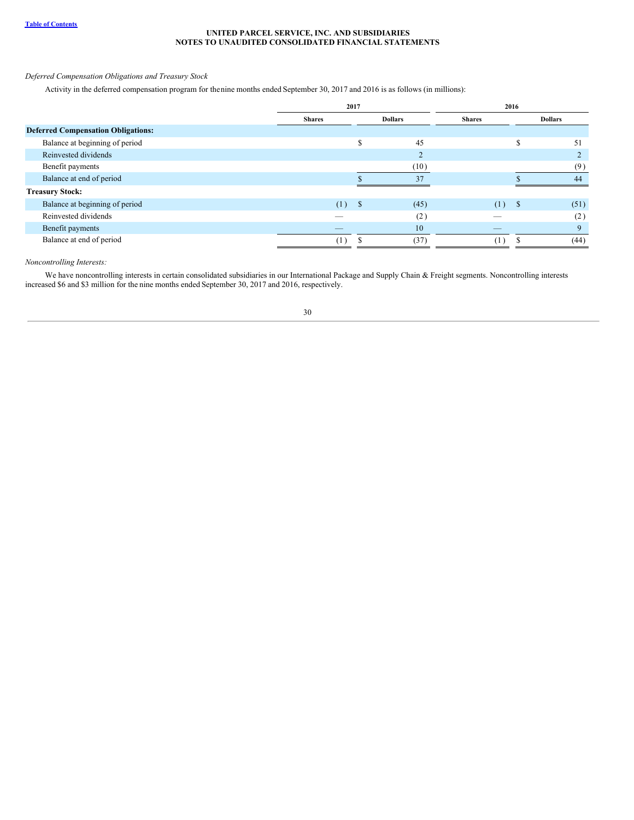### *Deferred Compensation Obligations and Treasury Stock*

Activity in the deferred compensation program for thenine months ended September 30, 2017 and 2016 is as follows (in millions):

|                                           |               | 2017          |                | 2016          |               |                |
|-------------------------------------------|---------------|---------------|----------------|---------------|---------------|----------------|
|                                           | <b>Shares</b> |               | <b>Dollars</b> | <b>Shares</b> |               | <b>Dollars</b> |
| <b>Deferred Compensation Obligations:</b> |               |               |                |               |               |                |
| Balance at beginning of period            |               | $\sigma$      | 45             |               |               | 51             |
| Reinvested dividends                      |               |               | $\overline{2}$ |               |               |                |
| Benefit payments                          |               |               | (10)           |               |               | (9)            |
| Balance at end of period                  |               |               | 37             |               |               | 44             |
| <b>Treasury Stock:</b>                    |               |               |                |               |               |                |
| Balance at beginning of period            | (1)           | <sup>\$</sup> | (45)           | (1)           | <sup>\$</sup> | (51)           |
| Reinvested dividends                      |               |               | (2)            |               |               | (2)            |
| Benefit payments                          |               |               | 10             |               |               | 9              |
| Balance at end of period                  | 1             |               | (37)           |               |               | (44)           |

*Noncontrolling Interests:*

We have noncontrolling interests in certain consolidated subsidiaries in our International Package and Supply Chain & Freight segments. Noncontrolling interests increased \$6 and \$3 million for the nine months ended September 30, 2017 and 2016, respectively.

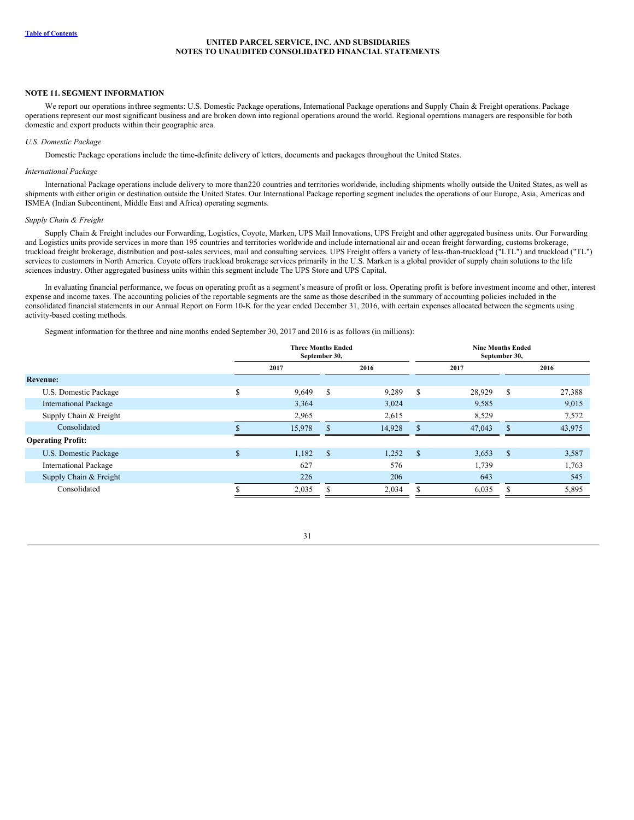#### <span id="page-32-0"></span>**NOTE 11. SEGMENT INFORMATION**

We report our operations in three segments: U.S. Domestic Package operations, International Package operations and Supply Chain & Freight operations. Package operations represent our most significant business and are broken down into regional operations around the world. Regional operations managers are responsible for both domestic and export products within their geographic area.

#### *U.S. Domestic Package*

Domestic Package operations include the time-definite delivery of letters, documents and packages throughout the United States.

#### *International Package*

International Package operations include delivery to more than220 countries and territories worldwide, including shipments wholly outside the United States, as well as shipments with either origin or destination outside the United States. Our International Package reporting segment includes the operations of our Europe, Asia, Americas and ISMEA (Indian Subcontinent, Middle East and Africa) operating segments.

#### *Supply Chain & Freight*

Supply Chain & Freight includes our Forwarding, Logistics, Coyote, Marken, UPS Mail Innovations, UPS Freight and other aggregated business units. Our Forwarding and Logistics units provide services in more than 195 countries and territories worldwide and include international air and ocean freight forwarding, customs brokerage, truckload freight brokerage, distribution and post-sales services, mail and consulting services. UPS Freight offers a variety of less-than-truckload ("LTL") and truckload ("TL") services to customers in North America. Coyote offers truckload brokerage services primarily in the U.S. Marken is a global provider of supply chain solutions to the life sciences industry. Other aggregated business units within this segment include The UPS Store and UPS Capital.

In evaluating financial performance, we focus on operating profit as a segment's measure of profit or loss. Operating profit is before investment income and other, interest expense and income taxes. The accounting policies of the reportable segments are the same as those described in the summary of accounting policies included in the consolidated financial statements in our Annual Report on Form 10-K for the year ended December 31, 2016, with certain expenses allocated between the segments using activity-based costing methods.

Segment information for the three and nine months ended September 30, 2017 and 2016 is as follows (in millions):

|                              |        | <b>Three Months Ended</b><br>September 30, |              |        | <b>Nine Months Ended</b><br>September 30, |        |               |        |  |  |
|------------------------------|--------|--------------------------------------------|--------------|--------|-------------------------------------------|--------|---------------|--------|--|--|
|                              | 2017   |                                            |              | 2016   |                                           | 2017   |               | 2016   |  |  |
| <b>Revenue:</b>              |        |                                            |              |        |                                           |        |               |        |  |  |
| U.S. Domestic Package        | ¢<br>ъ | 9,649                                      | \$           | 9,289  | S                                         | 28,929 | <sup>\$</sup> | 27,388 |  |  |
| <b>International Package</b> |        | 3,364                                      |              | 3,024  |                                           | 9,585  |               | 9,015  |  |  |
| Supply Chain & Freight       |        | 2,965                                      |              | 2,615  |                                           | 8,529  |               | 7,572  |  |  |
| Consolidated                 |        | 15,978                                     |              | 14,928 |                                           | 47,043 |               | 43,975 |  |  |
| <b>Operating Profit:</b>     |        |                                            |              |        |                                           |        |               |        |  |  |
| U.S. Domestic Package        | S      | 1,182                                      | $\mathbb{S}$ | 1,252  | <sup>\$</sup>                             | 3,653  | <sup>\$</sup> | 3,587  |  |  |
| <b>International Package</b> |        | 627                                        |              | 576    |                                           | 1,739  |               | 1,763  |  |  |
| Supply Chain & Freight       |        | 226                                        |              | 206    |                                           | 643    |               | 545    |  |  |
| Consolidated                 |        | 2,035                                      |              | 2,034  |                                           | 6,035  |               | 5,895  |  |  |

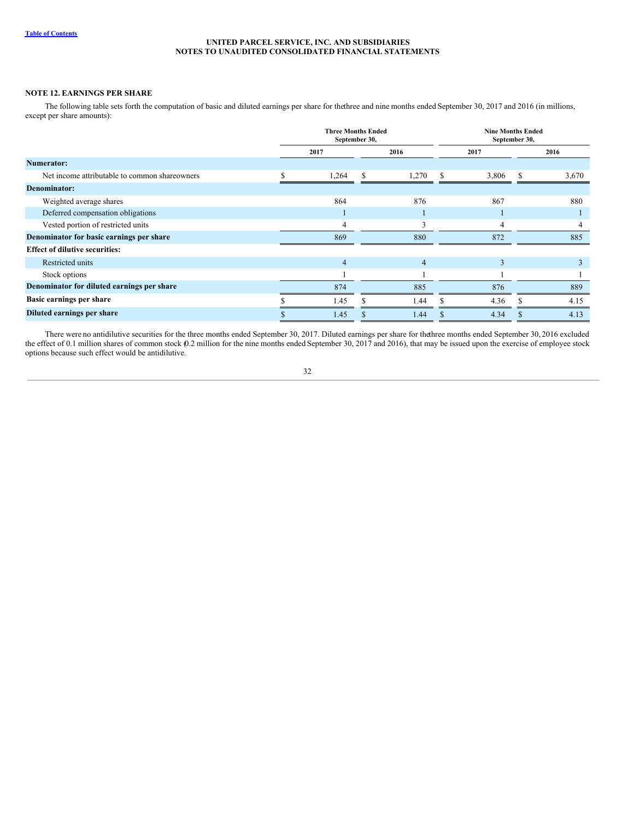### <span id="page-33-0"></span>**NOTE 12. EARNINGS PER SHARE**

The following table sets forth the computation of basic and diluted earnings per share for thethree and nine months ended September 30, 2017 and 2016 (in millions, except per share amounts):

|                                               |   | <b>Three Months Ended</b><br>September 30, |     |                | <b>Nine Months Ended</b><br>September 30, |       |          |       |  |
|-----------------------------------------------|---|--------------------------------------------|-----|----------------|-------------------------------------------|-------|----------|-------|--|
|                                               |   | 2017                                       |     | 2016           |                                           | 2017  |          | 2016  |  |
| <b>Numerator:</b>                             |   |                                            |     |                |                                           |       |          |       |  |
| Net income attributable to common shareowners | ¢ | 1,264                                      | \$. | 1,270          | \$                                        | 3,806 | <b>S</b> | 3,670 |  |
| Denominator:                                  |   |                                            |     |                |                                           |       |          |       |  |
| Weighted average shares                       |   | 864                                        |     | 876            |                                           | 867   |          | 880   |  |
| Deferred compensation obligations             |   |                                            |     |                |                                           |       |          |       |  |
| Vested portion of restricted units            |   | 4                                          |     | 3              |                                           | 4     |          | 4     |  |
| Denominator for basic earnings per share      |   | 869                                        |     | 880            |                                           | 872   |          | 885   |  |
| <b>Effect of dilutive securities:</b>         |   |                                            |     |                |                                           |       |          |       |  |
| Restricted units                              |   | $\overline{4}$                             |     | $\overline{4}$ |                                           | 3     |          | 3     |  |
| Stock options                                 |   |                                            |     |                |                                           |       |          |       |  |
| Denominator for diluted earnings per share    |   | 874                                        |     | 885            |                                           | 876   |          | 889   |  |
| Basic earnings per share                      |   | 1.45                                       |     | 1.44           |                                           | 4.36  |          | 4.15  |  |
| Diluted earnings per share                    |   | 1.45                                       |     | 1.44           |                                           | 4.34  |          | 4.13  |  |

There were no antidilutive securities for the three months ended September 30, 2017. Diluted earnings per share for thethree months ended September 30, 2016 excluded the effect of 0.1 million shares of common stock (0.2 million for the nine months ended September 30, 2017 and 2016), that may be issued upon the exercise of employee stock options because such effect would be antidilutive.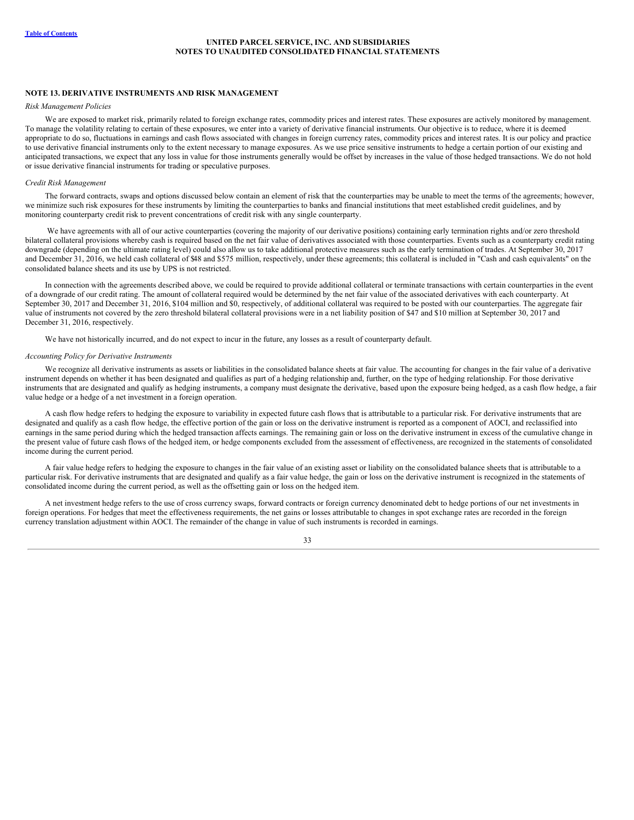#### <span id="page-34-0"></span>**NOTE 13. DERIVATIVE INSTRUMENTS AND RISK MANAGEMENT**

#### *Risk Management Policies*

We are exposed to market risk, primarily related to foreign exchange rates, commodity prices and interest rates. These exposures are actively monitored by management. To manage the volatility relating to certain of these exposures, we enter into a variety of derivative financial instruments. Our objective is to reduce, where it is deemed appropriate to do so, fluctuations in earnings and cash flows associated with changes in foreign currency rates, commodity prices and interest rates. It is our policy and practice to use derivative financial instruments only to the extent necessary to manage exposures. As we use price sensitive instruments to hedge a certain portion of our existing and anticipated transactions, we expect that any loss in value for those instruments generally would be offset by increases in the value of those hedged transactions. We do not hold or issue derivative financial instruments for trading or speculative purposes.

#### *Credit Risk Management*

The forward contracts, swaps and options discussed below contain an element of risk that the counterparties may be unable to meet the terms of the agreements; however, we minimize such risk exposures for these instruments by limiting the counterparties to banks and financial institutions that meet established credit guidelines, and by monitoring counterparty credit risk to prevent concentrations of credit risk with any single counterparty.

We have agreements with all of our active counterparties (covering the majority of our derivative positions) containing early termination rights and/or zero threshold bilateral collateral provisions whereby cash is required based on the net fair value of derivatives associated with those counterparties. Events such as a counterparty credit rating downgrade (depending on the ultimate rating level) could also allow us to take additional protective measures such as the early termination of trades. At September 30, 2017 and December 31, 2016, we held cash collateral of \$48 and \$575 million, respectively, under these agreements; this collateral is included in "Cash and cash equivalents" on the consolidated balance sheets and its use by UPS is not restricted.

In connection with the agreements described above, we could be required to provide additional collateral or terminate transactions with certain counterparties in the event of a downgrade of our credit rating. The amount of collateral required would be determined by the net fair value of the associated derivatives with each counterparty. At September 30, 2017 and December 31, 2016, \$104 million and \$0, respectively, of additional collateral was required to be posted with our counterparties. The aggregate fair value of instruments not covered by the zero threshold bilateral collateral provisions were in a net liability position of \$47 and \$10 million at September 30, 2017 and December 31, 2016, respectively.

We have not historically incurred, and do not expect to incur in the future, any losses as a result of counterparty default.

#### *Accounting Policy for Derivative Instruments*

We recognize all derivative instruments as assets or liabilities in the consolidated balance sheets at fair value. The accounting for changes in the fair value of a derivative instrument depends on whether it has been designated and qualifies as part of a hedging relationship and, further, on the type of hedging relationship. For those derivative instruments that are designated and qualify as hedging instruments, a company must designate the derivative, based upon the exposure being hedged, as a cash flow hedge, a fair value hedge or a hedge of a net investment in a foreign operation.

A cash flow hedge refers to hedging the exposure to variability in expected future cash flows that is attributable to a particular risk. For derivative instruments that are designated and qualify as a cash flow hedge, the effective portion of the gain or loss on the derivative instrument is reported as a component of AOCI, and reclassified into earnings in the same period during which the hedged transaction affects earnings. The remaining gain or loss on the derivative instrument in excess of the cumulative change in the present value of future cash flows of the hedged item, or hedge components excluded from the assessment of effectiveness, are recognized in the statements of consolidated income during the current period.

A fair value hedge refers to hedging the exposure to changes in the fair value of an existing asset or liability on the consolidated balance sheets that is attributable to a particular risk. For derivative instruments that are designated and qualify as a fair value hedge, the gain or loss on the derivative instrument is recognized in the statements of consolidated income during the current period, as well as the offsetting gain or loss on the hedged item.

A net investment hedge refers to the use of cross currency swaps, forward contracts or foreign currency denominated debt to hedge portions of our net investments in foreign operations. For hedges that meet the effectiveness requirements, the net gains or losses attributable to changes in spot exchange rates are recorded in the foreign currency translation adjustment within AOCI. The remainder of the change in value of such instruments is recorded in earnings.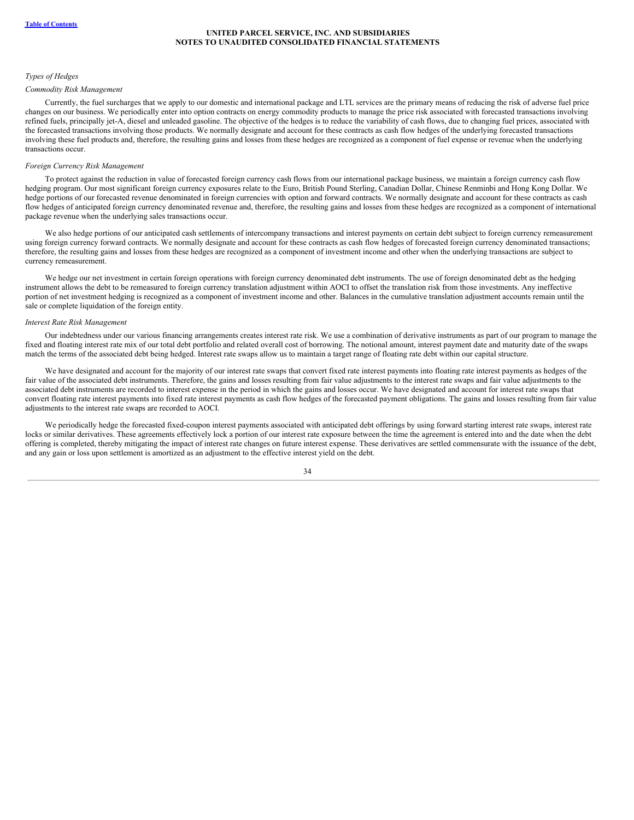### *Types of Hedges*

#### *Commodity Risk Management*

Currently, the fuel surcharges that we apply to our domestic and international package and LTL services are the primary means of reducing the risk of adverse fuel price changes on our business. We periodically enter into option contracts on energy commodity products to manage the price risk associated with forecasted transactions involving refined fuels, principally jet-A, diesel and unleaded gasoline. The objective of the hedges is to reduce the variability of cash flows, due to changing fuel prices, associated with the forecasted transactions involving those products. We normally designate and account for these contracts as cash flow hedges of the underlying forecasted transactions involving these fuel products and, therefore, the resulting gains and losses from these hedges are recognized as a component of fuel expense or revenue when the underlying transactions occur.

#### *Foreign Currency Risk Management*

To protect against the reduction in value of forecasted foreign currency cash flows from our international package business, we maintain a foreign currency cash flow hedging program. Our most significant foreign currency exposures relate to the Euro, British Pound Sterling, Canadian Dollar, Chinese Renminbi and Hong Kong Dollar. We hedge portions of our forecasted revenue denominated in foreign currencies with option and forward contracts. We normally designate and account for these contracts as cash flow hedges of anticipated foreign currency denominated revenue and, therefore, the resulting gains and losses from these hedges are recognized as a component of international package revenue when the underlying sales transactions occur.

We also hedge portions of our anticipated cash settlements of intercompany transactions and interest payments on certain debt subject to foreign currency remeasurement using foreign currency forward contracts. We normally designate and account for these contracts as cash flow hedges of forecasted foreign currency denominated transactions; therefore, the resulting gains and losses from these hedges are recognized as a component of investment income and other when the underlying transactions are subject to currency remeasurement.

We hedge our net investment in certain foreign operations with foreign currency denominated debt instruments. The use of foreign denominated debt as the hedging instrument allows the debt to be remeasured to foreign currency translation adjustment within AOCI to offset the translation risk from those investments. Any ineffective portion of net investment hedging is recognized as a component of investment income and other. Balances in the cumulative translation adjustment accounts remain until the sale or complete liquidation of the foreign entity.

#### *Interest Rate Risk Management*

Our indebtedness under our various financing arrangements creates interest rate risk. We use a combination of derivative instruments as part of our program to manage the fixed and floating interest rate mix of our total debt portfolio and related overall cost of borrowing. The notional amount, interest payment date and maturity date of the swaps match the terms of the associated debt being hedged. Interest rate swaps allow us to maintain a target range of floating rate debt within our capital structure.

We have designated and account for the majority of our interest rate swaps that convert fixed rate interest payments into floating rate interest payments as hedges of the fair value of the associated debt instruments. Therefore, the gains and losses resulting from fair value adjustments to the interest rate swaps and fair value adjustments to the associated debt instruments are recorded to interest expense in the period in which the gains and losses occur. We have designated and account for interest rate swaps that convert floating rate interest payments into fixed rate interest payments as cash flow hedges of the forecasted payment obligations. The gains and losses resulting from fair value adjustments to the interest rate swaps are recorded to AOCI.

We periodically hedge the forecasted fixed-coupon interest payments associated with anticipated debt offerings by using forward starting interest rate swaps, interest rate locks or similar derivatives. These agreements effectively lock a portion of our interest rate exposure between the time the agreement is entered into and the date when the debt offering is completed, thereby mitigating the impact of interest rate changes on future interest expense. These derivatives are settled commensurate with the issuance of the debt, and any gain or loss upon settlement is amortized as an adjustment to the effective interest yield on the debt.

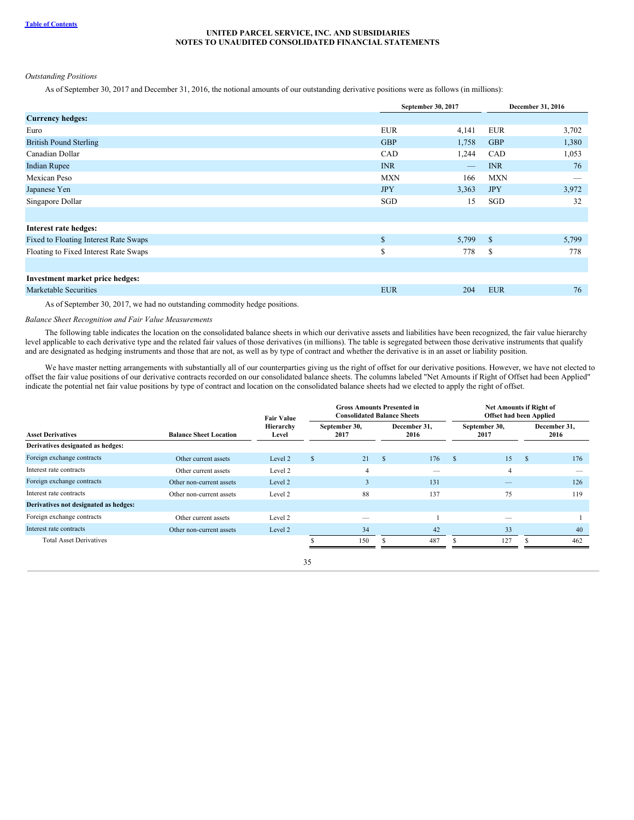### *Outstanding Positions*

As of September 30, 2017 and December 31, 2016, the notional amounts of our outstanding derivative positions were as follows (in millions):

|                                       |            | September 30, 2017 |               | December 31, 2016 |
|---------------------------------------|------------|--------------------|---------------|-------------------|
| <b>Currency hedges:</b>               |            |                    |               |                   |
| Euro                                  | <b>EUR</b> | 4,141              | <b>EUR</b>    | 3,702             |
| <b>British Pound Sterling</b>         | <b>GBP</b> | 1,758              | <b>GBP</b>    | 1,380             |
| Canadian Dollar                       | CAD        | 1,244              | CAD           | 1,053             |
| <b>Indian Rupee</b>                   | <b>INR</b> |                    | <b>INR</b>    | 76                |
| Mexican Peso                          | <b>MXN</b> | 166                | <b>MXN</b>    |                   |
| Japanese Yen                          | <b>JPY</b> | 3,363              | <b>JPY</b>    | 3,972             |
| Singapore Dollar                      | SGD        | 15                 | SGD           | 32                |
|                                       |            |                    |               |                   |
| Interest rate hedges:                 |            |                    |               |                   |
| Fixed to Floating Interest Rate Swaps | \$         | 5,799              | $\mathbb{S}$  | 5,799             |
| Floating to Fixed Interest Rate Swaps | S          | 778                | <sup>\$</sup> | 778               |
|                                       |            |                    |               |                   |
| Investment market price hedges:       |            |                    |               |                   |
| Marketable Securities                 | <b>EUR</b> | 204                | <b>EUR</b>    | 76                |
|                                       |            |                    |               |                   |

As of September 30, 2017, we had no outstanding commodity hedge positions.

### *Balance Sheet Recognition and Fair Value Measurements*

The following table indicates the location on the consolidated balance sheets in which our derivative assets and liabilities have been recognized, the fair value hierarchy level applicable to each derivative type and the related fair values of those derivatives (in millions). The table is segregated between those derivative instruments that qualify and are designated as hedging instruments and those that are not, as well as by type of contract and whether the derivative is in an asset or liability position.

We have master netting arrangements with substantially all of our counterparties giving us the right of offset for our derivative positions. However, we have not elected to offset the fair value positions of our derivative contracts recorded on our consolidated balance sheets. The columns labeled "Net Amounts if Right of Offset had been Applied" indicate the potential net fair value positions by type of contract and location on the consolidated balance sheets had we elected to apply the right of offset.

|                                       |                                                     | <b>Fair Value</b> |                       | <b>Gross Amounts Presented in</b><br><b>Consolidated Balance Sheets</b> |              |                      | Net Amounts if Right of<br><b>Offset had been Applied</b> |     |              |                      |  |  |
|---------------------------------------|-----------------------------------------------------|-------------------|-----------------------|-------------------------------------------------------------------------|--------------|----------------------|-----------------------------------------------------------|-----|--------------|----------------------|--|--|
| <b>Asset Derivatives</b>              | Hierarchy<br><b>Balance Sheet Location</b><br>Level |                   | September 30,<br>2017 |                                                                         |              | December 31,<br>2016 | September 30,<br>2017                                     |     |              | December 31,<br>2016 |  |  |
| Derivatives designated as hedges:     |                                                     |                   |                       |                                                                         |              |                      |                                                           |     |              |                      |  |  |
| Foreign exchange contracts            | Other current assets                                | Level 2           | $\mathbb{S}$          | 21                                                                      | $\mathbb{S}$ | 176                  | $\mathcal{S}$                                             | 15  | <sup>S</sup> | 176                  |  |  |
| Interest rate contracts               | Other current assets                                | Level 2           |                       | 4                                                                       |              |                      |                                                           | 4   |              |                      |  |  |
| Foreign exchange contracts            | Other non-current assets                            | Level 2           |                       | 3                                                                       |              | 131                  |                                                           |     |              | 126                  |  |  |
| Interest rate contracts               | Other non-current assets                            | Level 2           |                       | 88                                                                      | 137          |                      | 75                                                        |     |              | 119                  |  |  |
| Derivatives not designated as hedges: |                                                     |                   |                       |                                                                         |              |                      |                                                           |     |              |                      |  |  |
| Foreign exchange contracts            | Other current assets                                | Level 2           |                       |                                                                         |              |                      |                                                           |     |              |                      |  |  |
| Interest rate contracts               | Other non-current assets                            | Level 2           |                       | 34                                                                      |              | 42                   |                                                           | 33  |              | 40                   |  |  |
| <b>Total Asset Derivatives</b>        |                                                     |                   |                       | 150                                                                     |              | 487                  |                                                           | 127 |              | 462                  |  |  |
|                                       |                                                     |                   | 35                    |                                                                         |              |                      |                                                           |     |              |                      |  |  |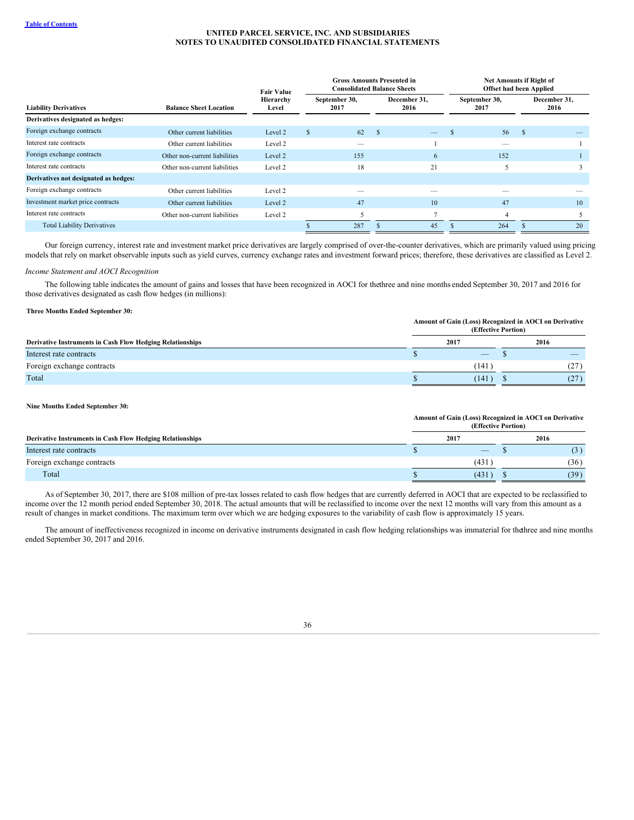|                                       |                               | <b>Fair Value</b>  |                       | <b>Gross Amounts Presented in</b><br><b>Consolidated Balance Sheets</b> |                      |    | <b>Net Amounts if Right of</b><br><b>Offset had been Applied</b> |                |                      |    |  |
|---------------------------------------|-------------------------------|--------------------|-----------------------|-------------------------------------------------------------------------|----------------------|----|------------------------------------------------------------------|----------------|----------------------|----|--|
| <b>Liability Derivatives</b>          | <b>Balance Sheet Location</b> | Hierarchy<br>Level | September 30,<br>2017 |                                                                         | December 31,<br>2016 |    | September 30,<br>2017                                            |                | December 31,<br>2016 |    |  |
| Derivatives designated as hedges:     |                               |                    |                       |                                                                         |                      |    |                                                                  |                |                      |    |  |
| Foreign exchange contracts            | Other current liabilities     | Level 2            | <sup>\$</sup>         | 62                                                                      | <sup>\$</sup>        |    |                                                                  | 56             | - S                  |    |  |
| Interest rate contracts               | Other current liabilities     | Level 2            |                       | $\overline{\phantom{a}}$                                                |                      |    |                                                                  | --             |                      |    |  |
| Foreign exchange contracts            | Other non-current liabilities | Level 2            |                       | 155                                                                     |                      | 6  |                                                                  | 152            |                      |    |  |
| Interest rate contracts               | Other non-current liabilities | Level 2            |                       | 18                                                                      |                      | 21 |                                                                  |                |                      |    |  |
| Derivatives not designated as hedges: |                               |                    |                       |                                                                         |                      |    |                                                                  |                |                      |    |  |
| Foreign exchange contracts            | Other current liabilities     | Level 2            |                       |                                                                         |                      |    |                                                                  |                |                      |    |  |
| Investment market price contracts     | Other current liabilities     | Level <sub>2</sub> |                       | 47                                                                      |                      | 10 |                                                                  | 47             |                      | 10 |  |
| Interest rate contracts               | Other non-current liabilities | Level 2            |                       | 5                                                                       |                      | э  |                                                                  | $\overline{4}$ |                      |    |  |
| <b>Total Liability Derivatives</b>    |                               |                    |                       | 287                                                                     |                      | 45 |                                                                  | 264            |                      | 20 |  |

Our foreign currency, interest rate and investment market price derivatives are largely comprised of over-the-counter derivatives, which are primarily valued using pricing models that rely on market observable inputs such as yield curves, currency exchange rates and investment forward prices; therefore, these derivatives are classified as Level 2.

### *Income Statement and AOCI Recognition*

The following table indicates the amount of gains and losses that have been recognized in AOCI for thethree and nine months ended September 30, 2017 and 2016 for those derivatives designated as cash flow hedges (in millions):

#### **Three Months Ended September 30:**

|                                                                  | Amount of Gain (Loss) Recognized in AOCI on Derivative<br>(Effective Portion) |      |  |              |  |  |  |  |
|------------------------------------------------------------------|-------------------------------------------------------------------------------|------|--|--------------|--|--|--|--|
| <b>Derivative Instruments in Cash Flow Hedging Relationships</b> |                                                                               | 2017 |  | 2016         |  |  |  |  |
| Interest rate contracts                                          |                                                                               | $-$  |  |              |  |  |  |  |
| Foreign exchange contracts                                       |                                                                               | (141 |  |              |  |  |  |  |
| Total                                                            |                                                                               | (141 |  | $\mathsf{L}$ |  |  |  |  |

#### **Nine Months Ended September 30:**

|                                                           | Amount of Gain (Loss) Recognized in AOCI on Derivative<br>(Effective Portion) |       |  |      |  |  |  |  |  |
|-----------------------------------------------------------|-------------------------------------------------------------------------------|-------|--|------|--|--|--|--|--|
| Derivative Instruments in Cash Flow Hedging Relationships | 2017                                                                          |       |  | 2016 |  |  |  |  |  |
| Interest rate contracts                                   |                                                                               |       |  | (3)  |  |  |  |  |  |
| Foreign exchange contracts                                |                                                                               | (431) |  | (36) |  |  |  |  |  |
| Total                                                     |                                                                               | (431) |  | (39) |  |  |  |  |  |

As of September 30, 2017, there are \$108 million of pre-tax losses related to cash flow hedges that are currently deferred in AOCI that are expected to be reclassified to income over the 12 month period ended September 30, 2018. The actual amounts that will be reclassified to income over the next 12 months will vary from this amount as a result of changes in market conditions. The maximum term over which we are hedging exposures to the variability of cash flow is approximately 15 years.

The amount of ineffectiveness recognized in income on derivative instruments designated in cash flow hedging relationships was immaterial for thethree and nine months ended September 30, 2017 and 2016.

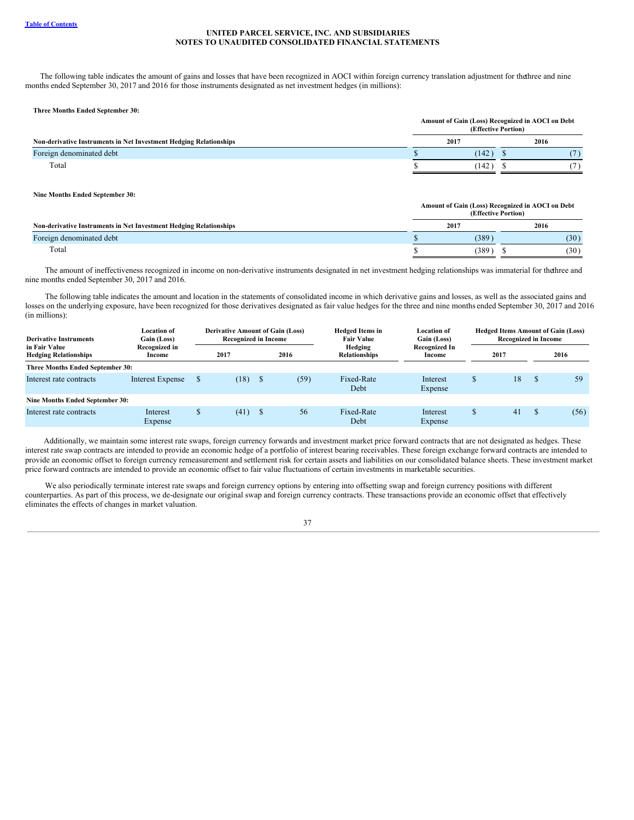The following table indicates the amount of gains and losses that have been recognized in AOCI within foreign currency translation adjustment for thethree and nine months ended September 30, 2017 and 2016 for those instruments designated as net investment hedges (in millions):

#### **Three Months Ended September 30:**

|                                                                    | Amount of Gain (Loss) Recognized in AOCI on Debt<br>(Effective Portion) |                  |      |  |  |  |  |  |
|--------------------------------------------------------------------|-------------------------------------------------------------------------|------------------|------|--|--|--|--|--|
| Non-derivative Instruments in Net Investment Hedging Relationships |                                                                         | 2017             | 2016 |  |  |  |  |  |
| Foreign denominated debt                                           |                                                                         | (142)            |      |  |  |  |  |  |
| Total                                                              |                                                                         | $^{\prime}142$ . |      |  |  |  |  |  |
|                                                                    |                                                                         |                  |      |  |  |  |  |  |

#### **Nine Months Ended September 30:**

|                                                                    | Amount of Gain (Loss) Recognized in AOCI on Debt<br>(Effective Portion) |      |  |  |  |  |  |
|--------------------------------------------------------------------|-------------------------------------------------------------------------|------|--|--|--|--|--|
| Non-derivative Instruments in Net Investment Hedging Relationships | 2017                                                                    | 2016 |  |  |  |  |  |
| Foreign denominated debt                                           | (389)                                                                   | (30) |  |  |  |  |  |
| Total                                                              | 389                                                                     | (30) |  |  |  |  |  |

The amount of ineffectiveness recognized in income on non-derivative instruments designated in net investment hedging relationships was immaterial for thethree and nine months ended September 30, 2017 and 2016.

The following table indicates the amount and location in the statements of consolidated income in which derivative gains and losses, as well as the associated gains and losses on the underlying exposure, have been recognized for those derivatives designated as fair value hedges for the three and nine months ended September 30, 2017 and 2016 (in millions):

| <b>Derivative Instruments</b>                 | Location of<br>Gain (Loss)     | <b>Derivative Amount of Gain (Loss)</b><br><b>Recognized in Income</b> |      |   |                                         | <b>Hedged Items in</b><br><b>Fair Value</b> | Location of<br>Gain (Loss)     | <b>Hedged Items Amount of Gain (Loss)</b><br><b>Recognized in Income</b> |    |              |      |  |
|-----------------------------------------------|--------------------------------|------------------------------------------------------------------------|------|---|-----------------------------------------|---------------------------------------------|--------------------------------|--------------------------------------------------------------------------|----|--------------|------|--|
| in Fair Value<br><b>Hedging Relationships</b> | <b>Recognized in</b><br>Income |                                                                        | 2017 |   | Hedging<br>2016<br><b>Relationships</b> |                                             | <b>Recognized In</b><br>Income | 2017                                                                     |    | 2016         |      |  |
| <b>Three Months Ended September 30:</b>       |                                |                                                                        |      |   |                                         |                                             |                                |                                                                          |    |              |      |  |
| Interest rate contracts                       | Interest Expense               |                                                                        | (18) | S | (59)                                    | Fixed-Rate<br>Debt                          | Interest<br>Expense            | S                                                                        | 18 | -S           | 59   |  |
| Nine Months Ended September 30:               |                                |                                                                        |      |   |                                         |                                             |                                |                                                                          |    |              |      |  |
| Interest rate contracts                       | Interest<br>Expense            |                                                                        | (41) | S | 56                                      | Fixed-Rate<br>Debt                          | Interest<br>Expense            |                                                                          | 41 | <sup>S</sup> | (56) |  |

Additionally, we maintain some interest rate swaps, foreign currency forwards and investment market price forward contracts that are not designated as hedges. These interest rate swap contracts are intended to provide an economic hedge of a portfolio of interest bearing receivables. These foreign exchange forward contracts are intended to provide an economic offset to foreign currency remeasurement and settlement risk for certain assets and liabilities on our consolidated balance sheets. These investment market price forward contracts are intended to provide an economic offset to fair value fluctuations of certain investments in marketable securities.

We also periodically terminate interest rate swaps and foreign currency options by entering into offsetting swap and foreign currency positions with different counterparties. As part of this process, we de-designate our original swap and foreign currency contracts. These transactions provide an economic offset that effectively eliminates the effects of changes in market valuation.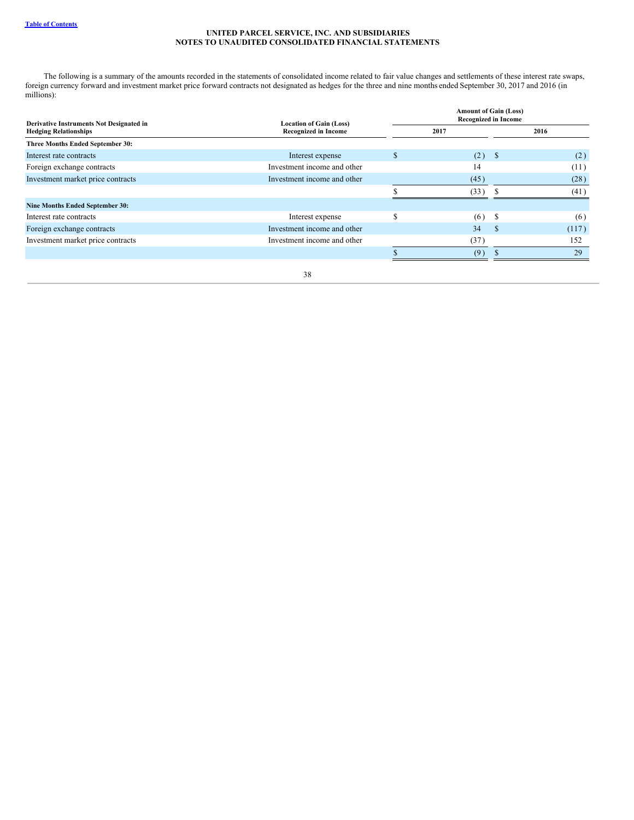The following is a summary of the amounts recorded in the statements of consolidated income related to fair value changes and settlements of these interest rate swaps, foreign currency forward and investment market price forward contracts not designated as hedges for the three and nine months ended September 30, 2017 and 2016 (in millions):

| <b>Derivative Instruments Not Designated in</b> | <b>Location of Gain (Loss)</b> | <b>Amount of Gain (Loss)</b><br><b>Recognized in Income</b> |      |       |  |  |  |  |
|-------------------------------------------------|--------------------------------|-------------------------------------------------------------|------|-------|--|--|--|--|
| <b>Hedging Relationships</b>                    | <b>Recognized in Income</b>    | 2017                                                        |      | 2016  |  |  |  |  |
| Three Months Ended September 30:                |                                |                                                             |      |       |  |  |  |  |
| Interest rate contracts                         | Interest expense               | (2)                                                         | - \$ | (2)   |  |  |  |  |
| Foreign exchange contracts                      | Investment income and other    | 14                                                          |      | (11)  |  |  |  |  |
| Investment market price contracts               | Investment income and other    | (45)                                                        |      | (28)  |  |  |  |  |
|                                                 |                                | (33)                                                        |      | (41)  |  |  |  |  |
| Nine Months Ended September 30:                 |                                |                                                             |      |       |  |  |  |  |
| Interest rate contracts                         | Interest expense               | (6)                                                         | S    | (6)   |  |  |  |  |
| Foreign exchange contracts                      | Investment income and other    | 34                                                          | -S   | (117) |  |  |  |  |
| Investment market price contracts               | Investment income and other    | (37)                                                        |      | 152   |  |  |  |  |
|                                                 |                                | (9)                                                         |      | 29    |  |  |  |  |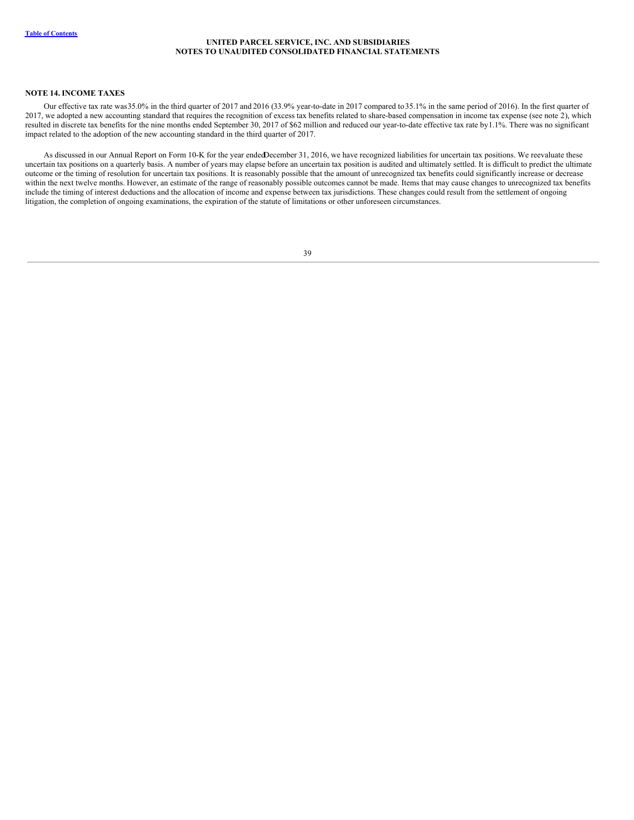#### <span id="page-40-0"></span>**NOTE 14. INCOME TAXES**

Our effective tax rate was 35.0% in the third quarter of 2017 and 2016 (33.9% year-to-date in 2017 compared to 35.1% in the same period of 2016). In the first quarter of 2017, we adopted a new accounting standard that requires the recognition of excess tax benefits related to share-based compensation in income tax expense (see note 2), which resulted in discrete tax benefits for the nine months ended September 30, 2017 of \$62 million and reduced our year-to-date effective tax rate by1.1%. There was no significant impact related to the adoption of the new accounting standard in the third quarter of 2017.

As discussed in our Annual Report on Form 10-K for the year endedDecember 31, 2016, we have recognized liabilities for uncertain tax positions. We reevaluate these uncertain tax positions on a quarterly basis. A number of years may elapse before an uncertain tax position is audited and ultimately settled. It is difficult to predict the ultimate outcome or the timing of resolution for uncertain tax positions. It is reasonably possible that the amount of unrecognized tax benefits could significantly increase or decrease within the next twelve months. However, an estimate of the range of reasonably possible outcomes cannot be made. Items that may cause changes to unrecognized tax benefits include the timing of interest deductions and the allocation of income and expense between tax jurisdictions. These changes could result from the settlement of ongoing litigation, the completion of ongoing examinations, the expiration of the statute of limitations or other unforeseen circumstances.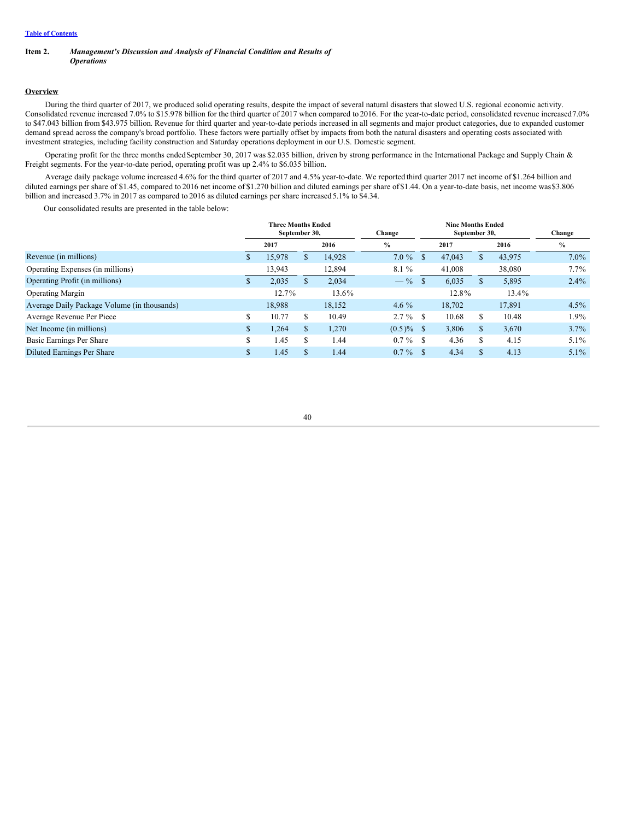### <span id="page-41-1"></span><span id="page-41-0"></span>**Overview**

During the third quarter of 2017, we produced solid operating results, despite the impact of several natural disasters that slowed U.S. regional economic activity. Consolidated revenue increased 7.0% to \$15.978 billion for the third quarter of 2017 when compared to 2016. For the year-to-date period, consolidated revenue increased7.0% to \$47.043 billion from \$43.975 billion. Revenue for third quarter and year-to-date periods increased in all segments and major product categories, due to expanded customer demand spread across the company's broad portfolio. These factors were partially offset by impacts from both the natural disasters and operating costs associated with investment strategies, including facility construction and Saturday operations deployment in our U.S. Domestic segment.

Operating profit for the three months endedSeptember 30, 2017 was \$2.035 billion, driven by strong performance in the International Package and Supply Chain & Freight segments. For the year-to-date period, operating profit was up 2.4% to \$6.035 billion.

Average daily package volume increased 4.6% for the third quarter of 2017 and 4.5% year-to-date. We reported third quarter 2017 net income of \$1.264 billion and diluted earnings per share of \$1.45, compared to 2016 net income of \$1.270 billion and diluted earnings per share of \$1.44. On a year-to-date basis, net income was\$3.806 billion and increased 3.7% in 2017 as compared to 2016 as diluted earnings per share increased5.1% to \$4.34.

Our consolidated results are presented in the table below:

|                                             | Three Months Ended<br>September 30, |        |   | Change |                | <b>Nine Months Ended</b><br>September 30, |        |              |          | Change        |  |
|---------------------------------------------|-------------------------------------|--------|---|--------|----------------|-------------------------------------------|--------|--------------|----------|---------------|--|
|                                             |                                     | 2017   |   | 2016   | $\frac{6}{6}$  |                                           | 2017   |              | 2016     | $\frac{6}{6}$ |  |
| Revenue (in millions)                       | ъ                                   | 15,978 | S | 14,928 | $7.0\%$        | S.                                        | 47,043 | S.           | 43,975   | $7.0\%$       |  |
| Operating Expenses (in millions)            |                                     | 13,943 |   | 12,894 | $8.1\%$        |                                           | 41,008 |              | 38,080   | $7.7\%$       |  |
| Operating Profit (in millions)              |                                     | 2,035  |   | 2,034  | $-\frac{9}{6}$ | - \$                                      | 6,035  | \$.          | 5,895    | $2.4\%$       |  |
| <b>Operating Margin</b>                     |                                     | 12.7%  |   | 13.6%  |                |                                           | 12.8%  |              | $13.4\%$ |               |  |
| Average Daily Package Volume (in thousands) |                                     | 18.988 |   | 18,152 | 4.6 $\%$       |                                           | 18,702 |              | 17.891   | $4.5\%$       |  |
| Average Revenue Per Piece                   | \$                                  | 10.77  | S | 10.49  | $2.7 \%$ \$    |                                           | 10.68  | \$           | 10.48    | $1.9\%$       |  |
| Net Income (in millions)                    | \$                                  | 1,264  | S | 1,270  | $(0.5)\%$ \$   |                                           | 3,806  | $\mathbb{S}$ | 3,670    | $3.7\%$       |  |
| Basic Earnings Per Share                    | \$                                  | 1.45   | S | 1.44   | $0.7\%$ \$     |                                           | 4.36   | S            | 4.15     | $5.1\%$       |  |
| Diluted Earnings Per Share                  | \$                                  | 1.45   | S | 1.44   | $0.7 \%$ \$    |                                           | 4.34   | \$.          | 4.13     | $5.1\%$       |  |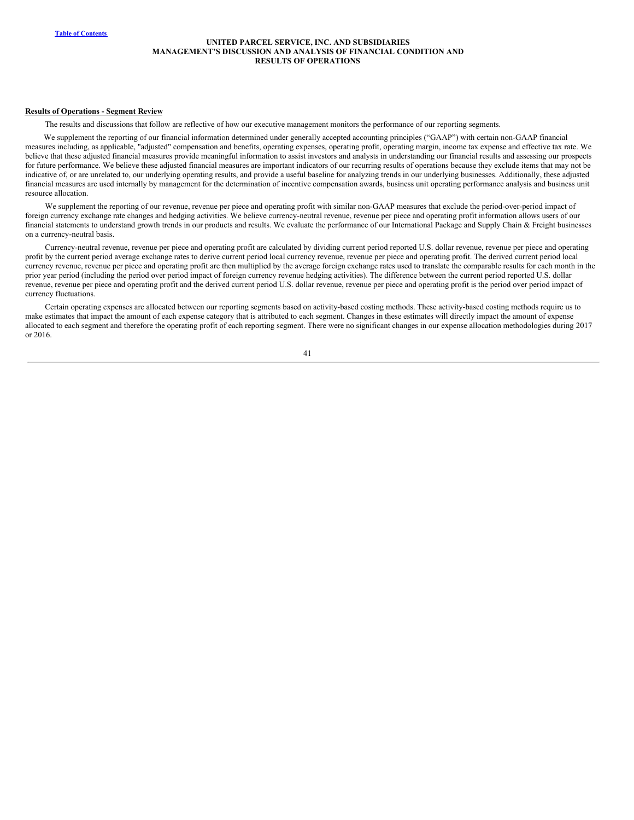#### <span id="page-42-0"></span>**Results of Operations - Segment Review**

The results and discussions that follow are reflective of how our executive management monitors the performance of our reporting segments.

We supplement the reporting of our financial information determined under generally accepted accounting principles ("GAAP") with certain non-GAAP financial measures including, as applicable, "adjusted" compensation and benefits, operating expenses, operating profit, operating margin, income tax expense and effective tax rate. We believe that these adjusted financial measures provide meaningful information to assist investors and analysts in understanding our financial results and assessing our prospects for future performance. We believe these adjusted financial measures are important indicators of our recurring results of operations because they exclude items that may not be indicative of, or are unrelated to, our underlying operating results, and provide a useful baseline for analyzing trends in our underlying businesses. Additionally, these adjusted financial measures are used internally by management for the determination of incentive compensation awards, business unit operating performance analysis and business unit resource allocation.

We supplement the reporting of our revenue, revenue per piece and operating profit with similar non-GAAP measures that exclude the period-over-period impact of foreign currency exchange rate changes and hedging activities. We believe currency-neutral revenue, revenue per piece and operating profit information allows users of our financial statements to understand growth trends in our products and results. We evaluate the performance of our International Package and Supply Chain & Freight businesses on a currency-neutral basis.

Currency-neutral revenue, revenue per piece and operating profit are calculated by dividing current period reported U.S. dollar revenue, revenue per piece and operating profit by the current period average exchange rates to derive current period local currency revenue, revenue per piece and operating profit. The derived current period local currency revenue, revenue per piece and operating profit are then multiplied by the average foreign exchange rates used to translate the comparable results for each month in the prior year period (including the period over period impact of foreign currency revenue hedging activities). The difference between the current period reported U.S. dollar revenue, revenue per piece and operating profit and the derived current period U.S. dollar revenue, revenue per piece and operating profit is the period over period impact of currency fluctuations.

Certain operating expenses are allocated between our reporting segments based on activity-based costing methods. These activity-based costing methods require us to make estimates that impact the amount of each expense category that is attributed to each segment. Changes in these estimates will directly impact the amount of expense allocated to each segment and therefore the operating profit of each reporting segment. There were no significant changes in our expense allocation methodologies during 2017 or 2016.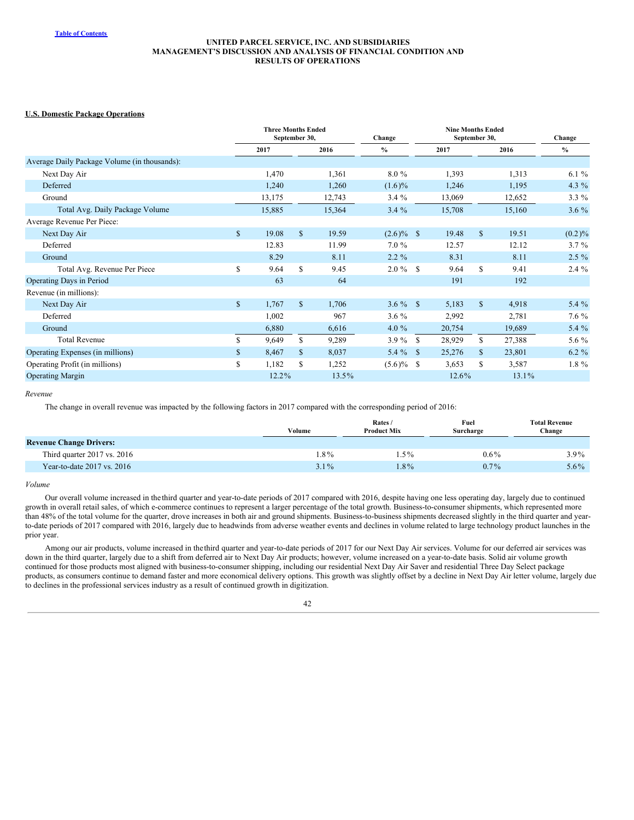### <span id="page-43-0"></span>**U.S. Domestic Package Operations**

|                                              |             | <b>Three Months Ended</b><br>September 30,<br>Change |        |               | <b>Nine Months Ended</b><br>September 30, | Change   |              |        |               |
|----------------------------------------------|-------------|------------------------------------------------------|--------|---------------|-------------------------------------------|----------|--------------|--------|---------------|
|                                              | 2017        |                                                      | 2016   | $\frac{0}{0}$ |                                           | 2017     |              | 2016   | $\frac{6}{6}$ |
| Average Daily Package Volume (in thousands): |             |                                                      |        |               |                                           |          |              |        |               |
| Next Day Air                                 | 1,470       |                                                      | 1,361  | 8.0%          |                                           | 1,393    |              | 1,313  | 6.1 $%$       |
| Deferred                                     | 1,240       |                                                      | 1,260  | $(1.6)\%$     |                                           | 1,246    |              | 1,195  | 4.3 $%$       |
| Ground                                       | 13,175      |                                                      | 12,743 | $3.4\%$       |                                           | 13,069   |              | 12,652 | $3.3\%$       |
| Total Avg. Daily Package Volume              | 15,885      |                                                      | 15,364 | $3.4\%$       |                                           | 15,708   |              | 15,160 | $3.6\%$       |
| Average Revenue Per Piece:                   |             |                                                      |        |               |                                           |          |              |        |               |
| Next Day Air                                 | \$<br>19.08 | $\mathbb{S}$                                         | 19.59  | $(2.6)\%$ \$  |                                           | 19.48    | $\mathbb{S}$ | 19.51  | $(0.2)\%$     |
| Deferred                                     | 12.83       |                                                      | 11.99  | $7.0\%$       |                                           | 12.57    |              | 12.12  | $3.7\%$       |
| Ground                                       | 8.29        |                                                      | 8.11   | $2.2\%$       |                                           | 8.31     |              | 8.11   | $2.5\%$       |
| Total Avg. Revenue Per Piece                 | \$<br>9.64  | S.                                                   | 9.45   | $2.0 \%$ \$   |                                           | 9.64     | \$           | 9.41   | $2.4\%$       |
| Operating Days in Period                     | 63          |                                                      | 64     |               |                                           | 191      |              | 192    |               |
| Revenue (in millions):                       |             |                                                      |        |               |                                           |          |              |        |               |
| Next Day Air                                 | \$<br>1,767 | $\mathbb{S}$                                         | 1,706  | $3.6\%$ \$    |                                           | 5,183    | $\mathbb{S}$ | 4,918  | 5.4 $%$       |
| Deferred                                     | 1,002       |                                                      | 967    | $3.6\%$       |                                           | 2,992    |              | 2,781  | $7.6\%$       |
| Ground                                       | 6,880       |                                                      | 6,616  | 4.0 $%$       |                                           | 20,754   |              | 19,689 | 5.4 $%$       |
| <b>Total Revenue</b>                         | \$<br>9,649 | S.                                                   | 9,289  | $3.9\%$       | <sup>S</sup>                              | 28,929   | \$           | 27,388 | 5.6 $%$       |
| Operating Expenses (in millions)             | \$<br>8,467 | $\mathbb{S}$                                         | 8,037  | $5.4 \%$ \$   |                                           | 25,276   | \$           | 23,801 | 6.2 $%$       |
| Operating Profit (in millions)               | \$<br>1,182 | \$                                                   | 1,252  | $(5.6)\%$ \$  |                                           | 3,653    | \$           | 3,587  | $1.8\%$       |
| <b>Operating Margin</b>                      | 12.2%       |                                                      | 13.5%  |               |                                           | $12.6\%$ |              | 13.1%  |               |

*Revenue*

The change in overall revenue was impacted by the following factors in 2017 compared with the corresponding period of 2016:

|                                 | Volume  | Rates<br><b>Product Mix</b> | Fuel<br>Surcharge | <b>Total Revenue</b><br>Change |
|---------------------------------|---------|-----------------------------|-------------------|--------------------------------|
| <b>Revenue Change Drivers:</b>  |         |                             |                   |                                |
| Third quarter $2017$ vs. $2016$ | $1.8\%$ | $.5\%$                      | $0.6\%$           | $3.9\%$                        |
| Year-to-date $2017$ vs. $2016$  | $3.1\%$ | $1.8\%$                     | $0.7\%$           | $5.6\%$                        |

### *Volume*

Our overall volume increased in the third quarter and year-to-date periods of 2017 compared with 2016, despite having one less operating day, largely due to continued growth in overall retail sales, of which e-commerce continues to represent a larger percentage of the total growth. Business-to-consumer shipments, which represented more than 48% of the total volume for the quarter, drove increases in both air and ground shipments. Business-to-business shipments decreased slightly in the third quarter and yearto-date periods of 2017 compared with 2016, largely due to headwinds from adverse weather events and declines in volume related to large technology product launches in the prior year.

Among our air products, volume increased in thethird quarter and year-to-date periods of 2017 for our Next Day Air services. Volume for our deferred air services was down in the third quarter, largely due to a shift from deferred air to Next Day Air products; however, volume increased on a year-to-date basis. Solid air volume growth continued for those products most aligned with business-to-consumer shipping, including our residential Next Day Air Saver and residential Three Day Select package products, as consumers continue to demand faster and more economical delivery options. This growth was slightly offset by a decline in Next Day Air letter volume, largely due to declines in the professional services industry as a result of continued growth in digitization.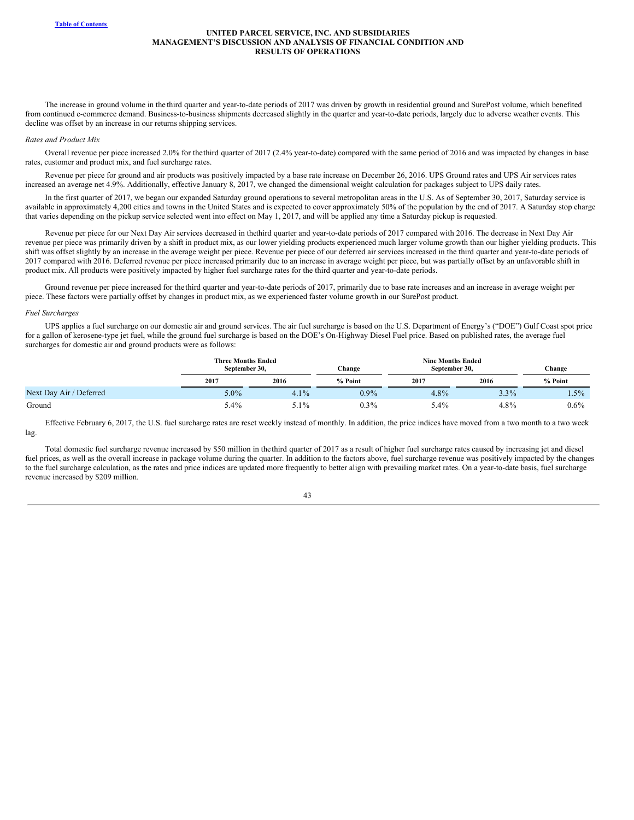The increase in ground volume in the third quarter and year-to-date periods of 2017 was driven by growth in residential ground and SurePost volume, which benefited from continued e-commerce demand. Business-to-business shipments decreased slightly in the quarter and year-to-date periods, largely due to adverse weather events. This decline was offset by an increase in our returns shipping services.

#### *Rates and Product Mix*

Overall revenue per piece increased 2.0% for thethird quarter of 2017 (2.4% year-to-date) compared with the same period of 2016 and was impacted by changes in base rates, customer and product mix, and fuel surcharge rates.

Revenue per piece for ground and air products was positively impacted by a base rate increase on December 26, 2016. UPS Ground rates and UPS Air services rates increased an average net 4.9%. Additionally, effective January 8, 2017, we changed the dimensional weight calculation for packages subject to UPS daily rates.

In the first quarter of 2017, we began our expanded Saturday ground operations to several metropolitan areas in the U.S. As of September 30, 2017, Saturday service is available in approximately 4,200 cities and towns in the United States and is expected to cover approximately 50% of the population by the end of 2017. A Saturday stop charge that varies depending on the pickup service selected went into effect on May 1, 2017, and will be applied any time a Saturday pickup is requested.

Revenue per piece for our Next Day Air services decreased in thethird quarter and year-to-date periods of 2017 compared with 2016. The decrease in Next Day Air revenue per piece was primarily driven by a shift in product mix, as our lower yielding products experienced much larger volume growth than our higher yielding products. This shift was offset slightly by an increase in the average weight per piece. Revenue per piece of our deferred air services increased in the third quarter and year-to-date periods of 2017 compared with 2016. Deferred revenue per piece increased primarily due to an increase in average weight per piece, but was partially offset by an unfavorable shift in product mix. All products were positively impacted by higher fuel surcharge rates for the third quarter and year-to-date periods.

Ground revenue per piece increased for the third quarter and year-to-date periods of 2017, primarily due to base rate increases and an increase in average weight per piece. These factors were partially offset by changes in product mix, as we experienced faster volume growth in our SurePost product.

#### *Fuel Surcharges*

UPS applies a fuel surcharge on our domestic air and ground services. The air fuel surcharge is based on the U.S. Department of Energy's ("DOE") Gulf Coast spot price for a gallon of kerosene-type jet fuel, while the ground fuel surcharge is based on the DOE's On-Highway Diesel Fuel price. Based on published rates, the average fuel surcharges for domestic air and ground products were as follows:

|                         | <b>Three Months Ended</b><br>September 30. |         | Change  | <b>Nine Months Ended</b><br>September 30. | Change  |         |  |
|-------------------------|--------------------------------------------|---------|---------|-------------------------------------------|---------|---------|--|
|                         | 2017                                       | 2016    | % Point | 2017                                      | 2016    | % Point |  |
| Next Day Air / Deferred | $5.0\%$                                    | $4.1\%$ | $0.9\%$ | 4.8%                                      | $3.3\%$ | $1.5\%$ |  |
| Ground                  | 5.4%                                       | $5.1\%$ | $0.3\%$ | 5.4%                                      | 4.8%    | $0.6\%$ |  |

Effective February 6, 2017, the U.S. fuel surcharge rates are reset weekly instead of monthly. In addition, the price indices have moved from a two month to a two week lag.

Total domestic fuel surcharge revenue increased by \$50 million in thethird quarter of 2017 as a result of higher fuel surcharge rates caused by increasing jet and diesel fuel prices, as well as the overall increase in package volume during the quarter. In addition to the factors above, fuel surcharge revenue was positively impacted by the changes to the fuel surcharge calculation, as the rates and price indices are updated more frequently to better align with prevailing market rates. On a year-to-date basis, fuel surcharge revenue increased by \$209 million.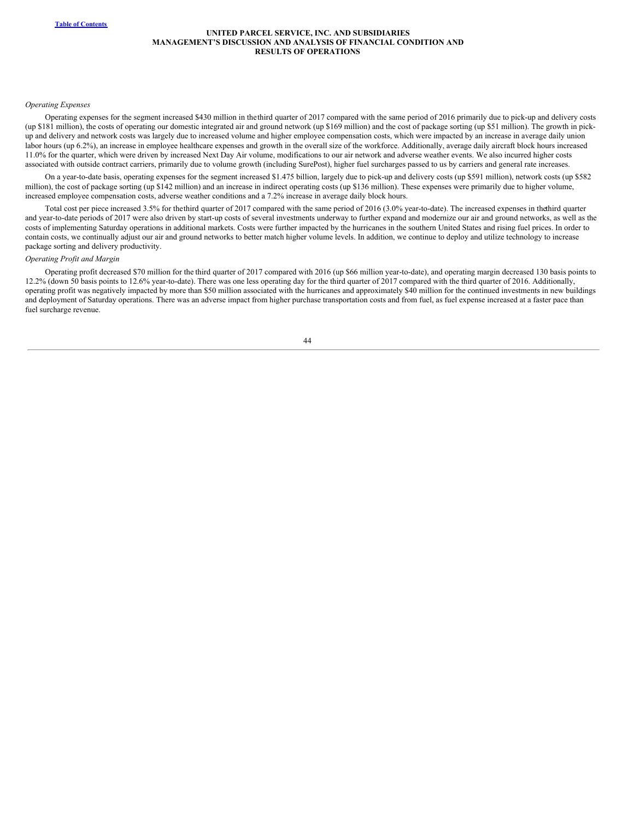### *Operating Expenses*

Operating expenses for the segment increased \$430 million in thethird quarter of 2017 compared with the same period of 2016 primarily due to pick-up and delivery costs (up \$181 million), the costs of operating our domestic integrated air and ground network (up \$169 million) and the cost of package sorting (up \$51 million). The growth in pickup and delivery and network costs was largely due to increased volume and higher employee compensation costs, which were impacted by an increase in average daily union labor hours (up 6.2%), an increase in employee healthcare expenses and growth in the overall size of the workforce. Additionally, average daily aircraft block hours increased 11.0% for the quarter, which were driven by increased Next Day Air volume, modifications to our air network and adverse weather events. We also incurred higher costs associated with outside contract carriers, primarily due to volume growth (including SurePost), higher fuel surcharges passed to us by carriers and general rate increases.

On a year-to-date basis, operating expenses for the segment increased \$1.475 billion, largely due to pick-up and delivery costs (up \$591 million), network costs (up \$582 million), the cost of package sorting (up \$142 million) and an increase in indirect operating costs (up \$136 million). These expenses were primarily due to higher volume, increased employee compensation costs, adverse weather conditions and a 7.2% increase in average daily block hours.

Total cost per piece increased 3.5% for thethird quarter of 2017 compared with the same period of 2016 (3.0% year-to-date). The increased expenses in thethird quarter and year-to-date periods of 2017 were also driven by start-up costs of several investments underway to further expand and modernize our air and ground networks, as well as the costs of implementing Saturday operations in additional markets. Costs were further impacted by the hurricanes in the southern United States and rising fuel prices. In order to contain costs, we continually adjust our air and ground networks to better match higher volume levels. In addition, we continue to deploy and utilize technology to increase package sorting and delivery productivity.

#### *Operating Profit and Margin*

Operating profit decreased \$70 million for the third quarter of 2017 compared with 2016 (up \$66 million year-to-date), and operating margin decreased 130 basis points to 12.2% (down 50 basis points to 12.6% year-to-date). There was one less operating day for the third quarter of 2017 compared with the third quarter of 2016. Additionally, operating profit was negatively impacted by more than \$50 million associated with the hurricanes and approximately \$40 million for the continued investments in new buildings and deployment of Saturday operations. There was an adverse impact from higher purchase transportation costs and from fuel, as fuel expense increased at a faster pace than fuel surcharge revenue.

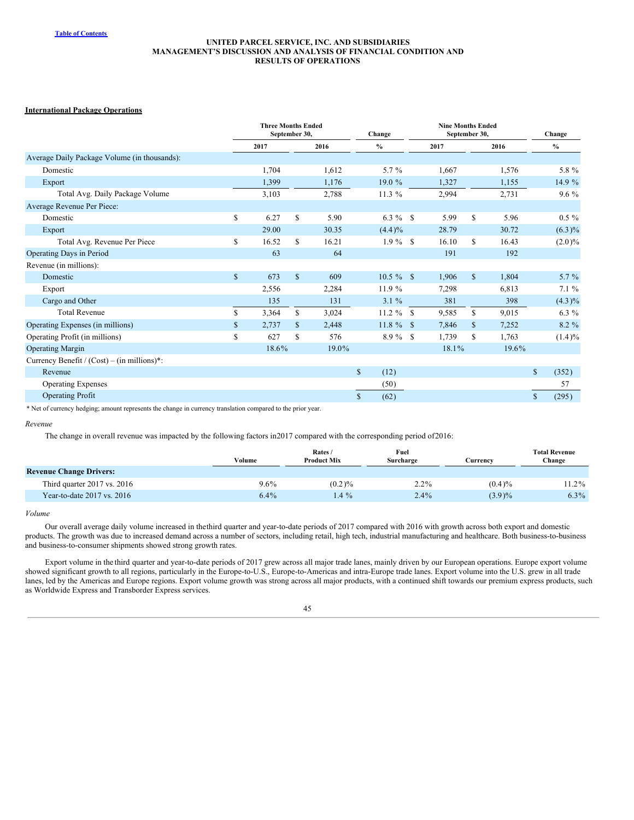### <span id="page-46-0"></span>**International Package Operations**

|                                               |              | <b>Three Months Ended</b> | September 30,<br>Change |       |              | <b>Nine Months Ended</b><br>September 30, |  |       | Change       |       |              |               |
|-----------------------------------------------|--------------|---------------------------|-------------------------|-------|--------------|-------------------------------------------|--|-------|--------------|-------|--------------|---------------|
|                                               |              | 2017                      |                         | 2016  |              | $\frac{0}{0}$                             |  | 2017  |              | 2016  |              | $\frac{6}{6}$ |
| Average Daily Package Volume (in thousands):  |              |                           |                         |       |              |                                           |  |       |              |       |              |               |
| Domestic                                      |              | 1,704                     |                         | 1,612 |              | 5.7 %                                     |  | 1,667 |              | 1,576 |              | 5.8 %         |
| Export                                        |              | 1,399                     |                         | 1,176 |              | 19.0 $%$                                  |  | 1,327 |              | 1,155 |              | 14.9 $%$      |
| Total Avg. Daily Package Volume               |              | 3,103                     |                         | 2,788 |              | $11.3\%$                                  |  | 2,994 |              | 2,731 |              | $9.6\%$       |
| Average Revenue Per Piece:                    |              |                           |                         |       |              |                                           |  |       |              |       |              |               |
| Domestic                                      | \$           | 6.27                      | S                       | 5.90  |              | $6.3 \%$ \$                               |  | 5.99  | S            | 5.96  |              | $0.5\%$       |
| Export                                        |              | 29.00                     |                         | 30.35 |              | (4.4)%                                    |  | 28.79 |              | 30.72 |              | $(6.3)\%$     |
| Total Avg. Revenue Per Piece                  | \$           | 16.52                     | \$                      | 16.21 |              | $1.9\%$ \$                                |  | 16.10 | \$           | 16.43 |              | $(2.0)\%$     |
| Operating Days in Period                      |              | 63                        |                         | 64    |              |                                           |  | 191   |              | 192   |              |               |
| Revenue (in millions):                        |              |                           |                         |       |              |                                           |  |       |              |       |              |               |
| Domestic                                      | $\mathbb{S}$ | 673                       | $\mathbb{S}$            | 609   |              | $10.5 \%$ \$                              |  | 1,906 | $\mathbb{S}$ | 1,804 |              | $5.7\%$       |
| Export                                        |              | 2,556                     |                         | 2,284 |              | 11.9%                                     |  | 7,298 |              | 6,813 |              | $7.1\%$       |
| Cargo and Other                               |              | 135                       |                         | 131   |              | $3.1\%$                                   |  | 381   |              | 398   |              | $(4.3)\%$     |
| <b>Total Revenue</b>                          | \$           | 3,364                     | \$                      | 3,024 |              | 11.2 $%$ \$                               |  | 9,585 | S            | 9,015 |              | 6.3 $%$       |
| Operating Expenses (in millions)              | \$           | 2,737                     | $\mathbb{S}$            | 2,448 |              | $11.8 \%$ \$                              |  | 7,846 | $\mathbb{S}$ | 7,252 |              | 8.2 %         |
| Operating Profit (in millions)                | \$           | 627                       | <sup>\$</sup>           | 576   |              | $8.9\%$ \$                                |  | 1,739 | \$           | 1,763 |              | $(1.4)\%$     |
| <b>Operating Margin</b>                       |              | 18.6%                     |                         | 19.0% |              |                                           |  | 18.1% |              | 19.6% |              |               |
| Currency Benefit / $(Cost) - (in$ millions)*: |              |                           |                         |       |              |                                           |  |       |              |       |              |               |
| Revenue                                       |              |                           |                         |       | $\mathbb{S}$ | (12)                                      |  |       |              |       | $\mathbb{S}$ | (352)         |
| <b>Operating Expenses</b>                     |              |                           |                         |       |              | (50)                                      |  |       |              |       |              | 57            |
| <b>Operating Profit</b>                       |              |                           |                         |       | $\mathbb{S}$ | (62)                                      |  |       |              |       | \$           | (295)         |

\* Net of currency hedging; amount represents the change in currency translation compared to the prior year.

#### *Revenue*

The change in overall revenue was impacted by the following factors in2017 compared with the corresponding period of2016:

|                                 | Volume  | Rates<br><b>Product Mix</b> | Fuel<br>Surcharge | Currencv  | <b>Total Revenue</b><br>Change |
|---------------------------------|---------|-----------------------------|-------------------|-----------|--------------------------------|
| <b>Revenue Change Drivers:</b>  |         |                             |                   |           |                                |
| Third quarter $2017$ vs. $2016$ | $9.6\%$ | $(0.2)\%$                   | $2.2\%$           | $(0.4)\%$ | 11.2%                          |
| Year-to-date $2017$ vs. $2016$  | $6.4\%$ | $1.4\%$                     | $2.4\%$           | $(3.9)\%$ | $6.3\%$                        |

*Volume*

Our overall average daily volume increased in thethird quarter and year-to-date periods of 2017 compared with 2016 with growth across both export and domestic products. The growth was due to increased demand across a number of sectors, including retail, high tech, industrial manufacturing and healthcare. Both business-to-business and business-to-consumer shipments showed strong growth rates.

Export volume in the third quarter and year-to-date periods of 2017 grew across all major trade lanes, mainly driven by our European operations. Europe export volume showed significant growth to all regions, particularly in the Europe-to-U.S., Europe-to-Americas and intra-Europe trade lanes. Export volume into the U.S. grew in all trade lanes, led by the Americas and Europe regions. Export volume growth was strong across all major products, with a continued shift towards our premium express products, such as Worldwide Express and Transborder Express services.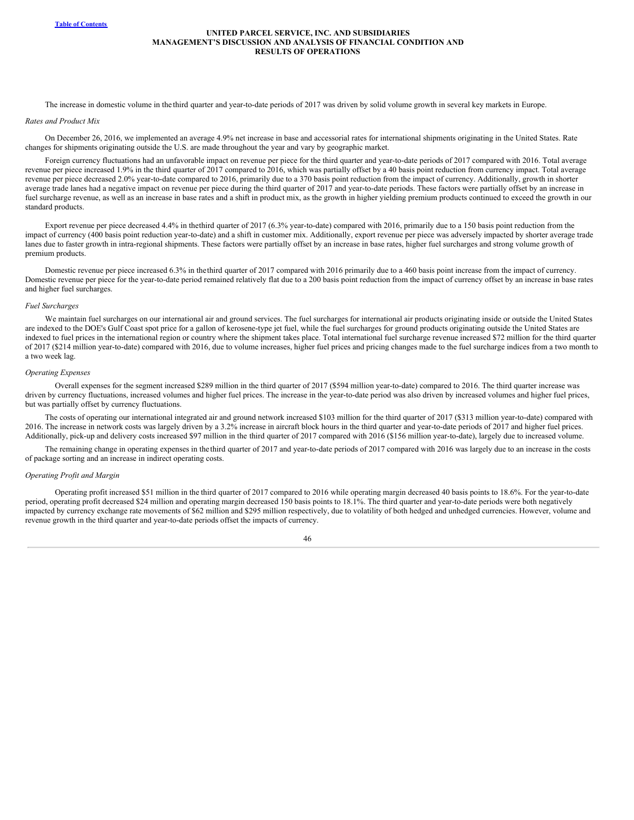The increase in domestic volume in the third quarter and year-to-date periods of 2017 was driven by solid volume growth in several key markets in Europe.

### *Rates and Product Mix*

On December 26, 2016, we implemented an average 4.9% net increase in base and accessorial rates for international shipments originating in the United States. Rate changes for shipments originating outside the U.S. are made throughout the year and vary by geographic market.

Foreign currency fluctuations had an unfavorable impact on revenue per piece for the third quarter and year-to-date periods of 2017 compared with 2016. Total average revenue per piece increased 1.9% in the third quarter of 2017 compared to 2016, which was partially offset by a 40 basis point reduction from currency impact. Total average revenue per piece decreased 2.0% year-to-date compared to 2016, primarily due to a 370 basis point reduction from the impact of currency. Additionally, growth in shorter average trade lanes had a negative impact on revenue per piece during the third quarter of 2017 and year-to-date periods. These factors were partially offset by an increase in fuel surcharge revenue, as well as an increase in base rates and a shift in product mix, as the growth in higher yielding premium products continued to exceed the growth in our standard products.

Export revenue per piece decreased 4.4% in thethird quarter of 2017 (6.3% year-to-date) compared with 2016, primarily due to a 150 basis point reduction from the impact of currency (400 basis point reduction year-to-date) and a shift in customer mix. Additionally, export revenue per piece was adversely impacted by shorter average trade lanes due to faster growth in intra-regional shipments. These factors were partially offset by an increase in base rates, higher fuel surcharges and strong volume growth of premium products.

Domestic revenue per piece increased 6.3% in thethird quarter of 2017 compared with 2016 primarily due to a 460 basis point increase from the impact of currency. Domestic revenue per piece for the year-to-date period remained relatively flat due to a 200 basis point reduction from the impact of currency offset by an increase in base rates and higher fuel surcharges.

### *Fuel Surcharges*

We maintain fuel surcharges on our international air and ground services. The fuel surcharges for international air products originating inside or outside the United States are indexed to the DOE's Gulf Coast spot price for a gallon of kerosene-type jet fuel, while the fuel surcharges for ground products originating outside the United States are indexed to fuel prices in the international region or country where the shipment takes place. Total international fuel surcharge revenue increased \$72 million for the third quarter of 2017 (\$214 million year-to-date) compared with 2016, due to volume increases, higher fuel prices and pricing changes made to the fuel surcharge indices from a two month to a two week lag.

#### *Operating Expenses*

Overall expenses for the segment increased \$289 million in the third quarter of 2017 (\$594 million year-to-date) compared to 2016. The third quarter increase was driven by currency fluctuations, increased volumes and higher fuel prices. The increase in the year-to-date period was also driven by increased volumes and higher fuel prices, but was partially offset by currency fluctuations.

The costs of operating our international integrated air and ground network increased \$103 million for the third quarter of 2017 (\$313 million year-to-date) compared with 2016. The increase in network costs was largely driven by a 3.2% increase in aircraft block hours in the third quarter and year-to-date periods of 2017 and higher fuel prices. Additionally, pick-up and delivery costs increased \$97 million in the third quarter of 2017 compared with 2016 (\$156 million year-to-date), largely due to increased volume.

The remaining change in operating expenses in the third quarter of 2017 and year-to-date periods of 2017 compared with 2016 was largely due to an increase in the costs of package sorting and an increase in indirect operating costs.

#### *Operating Profit and Margin*

Operating profit increased \$51 million in the third quarter of 2017 compared to 2016 while operating margin decreased 40 basis points to 18.6%. For the year-to-date period, operating profit decreased \$24 million and operating margin decreased 150 basis points to 18.1%. The third quarter and year-to-date periods were both negatively impacted by currency exchange rate movements of \$62 million and \$295 million respectively, due to volatility of both hedged and unhedged currencies. However, volume and revenue growth in the third quarter and year-to-date periods offset the impacts of currency.

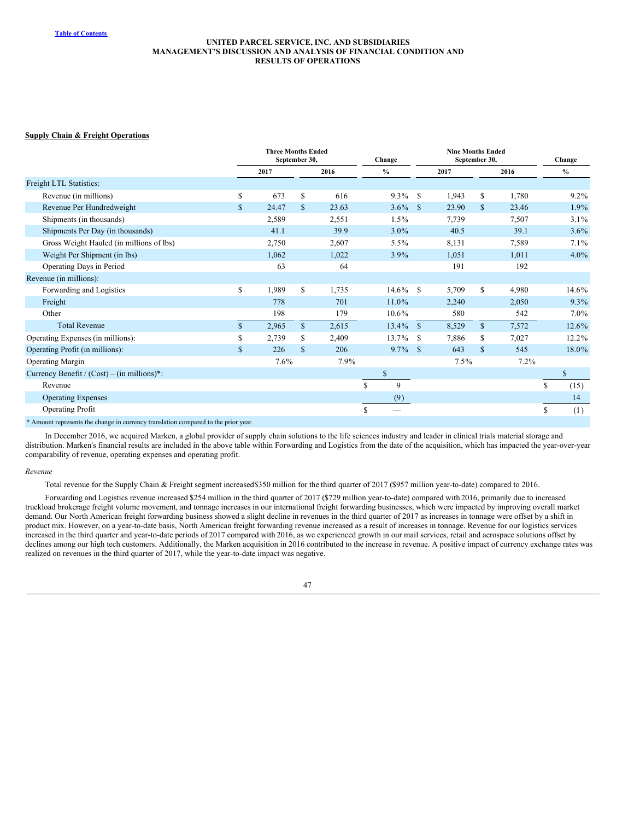### <span id="page-48-0"></span>**Supply Chain & Freight Operations**

|                                                                                    | <b>Three Months Ended</b><br>September 30, |         |              |       | Change      | <b>Nine Months Ended</b><br>September 30, |               |         |              | Change  |                       |
|------------------------------------------------------------------------------------|--------------------------------------------|---------|--------------|-------|-------------|-------------------------------------------|---------------|---------|--------------|---------|-----------------------|
|                                                                                    |                                            | 2017    |              | 2016  |             | $\%$                                      |               | 2017    |              | 2016    | $\%$                  |
| Freight LTL Statistics:                                                            |                                            |         |              |       |             |                                           |               |         |              |         |                       |
| Revenue (in millions)                                                              | $\mathbb{S}$                               | 673     | S            | 616   |             | $9.3\%$                                   | <sup>\$</sup> | 1,943   | \$           | 1,780   | $9.2\%$               |
| Revenue Per Hundredweight                                                          | $\mathbb{S}$                               | 24.47   | $\mathbf S$  | 23.63 |             | $3.6\%$ \$                                |               | 23.90   | $\mathbb{S}$ | 23.46   | $1.9\%$               |
| Shipments (in thousands)                                                           |                                            | 2,589   |              | 2,551 |             | $1.5\%$                                   |               | 7,739   |              | 7,507   | $3.1\%$               |
| Shipments Per Day (in thousands)                                                   |                                            | 41.1    |              | 39.9  |             | $3.0\%$                                   |               | 40.5    |              | 39.1    | $3.6\%$               |
| Gross Weight Hauled (in millions of lbs)                                           |                                            | 2,750   |              | 2,607 |             | $5.5\%$                                   |               | 8,131   |              | 7,589   | $7.1\%$               |
| Weight Per Shipment (in lbs)                                                       |                                            | 1,062   |              | 1,022 |             | 3.9%                                      |               | 1,051   |              | 1,011   | $4.0\%$               |
| Operating Days in Period                                                           |                                            | 63      |              | 64    |             |                                           |               | 191     |              | 192     |                       |
| Revenue (in millions):                                                             |                                            |         |              |       |             |                                           |               |         |              |         |                       |
| Forwarding and Logistics                                                           | \$                                         | 1,989   | S            | 1,735 |             | 14.6%                                     | <sup>\$</sup> | 5,709   | \$           | 4,980   | 14.6%                 |
| Freight                                                                            |                                            | 778     |              | 701   |             | 11.0%                                     |               | 2,240   |              | 2,050   | $9.3\%$               |
| Other                                                                              |                                            | 198     |              | 179   |             | $10.6\%$                                  |               | 580     |              | 542     | 7.0%                  |
| <b>Total Revenue</b>                                                               | $\mathbb{S}$                               | 2,965   | $\mathbb{S}$ | 2,615 |             | 13.4%                                     | $\mathbb{S}$  | 8,529   | $\mathbb{S}$ | 7,572   | 12.6%                 |
| Operating Expenses (in millions):                                                  | $\mathbb{S}$                               | 2,739   | S            | 2,409 |             | $13.7\%$ \$                               |               | 7,886   | \$           | 7,027   | 12.2%                 |
| Operating Profit (in millions):                                                    | $\mathbb{S}$                               | 226     | $\mathbf S$  | 206   |             | $9.7\%$ \$                                |               | 643     | \$           | 545     | 18.0%                 |
| <b>Operating Margin</b>                                                            |                                            | $7.6\%$ |              | 7.9%  |             |                                           |               | $7.5\%$ |              | $7.2\%$ |                       |
| Currency Benefit / $(Cost) - (in$ millions)*:                                      |                                            |         |              |       |             | \$                                        |               |         |              |         | $\mathbb{S}$          |
| Revenue                                                                            |                                            |         |              |       | $\mathbf S$ | 9                                         |               |         |              |         | <sup>\$</sup><br>(15) |
| <b>Operating Expenses</b>                                                          |                                            |         |              |       |             | (9)                                       |               |         |              |         | 14                    |
| <b>Operating Profit</b>                                                            |                                            |         |              |       | \$          |                                           |               |         |              |         | \$<br>(1)             |
| * Amount represents the change in currency translation compared to the prior year. |                                            |         |              |       |             |                                           |               |         |              |         |                       |

In December 2016, we acquired Marken, a global provider of supply chain solutions to the life sciences industry and leader in clinical trials material storage and distribution. Marken's financial results are included in the above table within Forwarding and Logistics from the date of the acquisition, which has impacted the year-over-year comparability of revenue, operating expenses and operating profit.

#### *Revenue*

Total revenue for the Supply Chain & Freight segment increased\$350 million for the third quarter of 2017 (\$957 million year-to-date) compared to 2016.

Forwarding and Logistics revenue increased \$254 million in the third quarter of 2017 (\$729 million year-to-date) compared with 2016, primarily due to increased truckload brokerage freight volume movement, and tonnage increases in our international freight forwarding businesses, which were impacted by improving overall market demand. Our North American freight forwarding business showed a slight decline in revenues in the third quarter of 2017 as increases in tonnage were offset by a shift in product mix. However, on a year-to-date basis, North American freight forwarding revenue increased as a result of increases in tonnage. Revenue for our logistics services increased in the third quarter and year-to-date periods of 2017 compared with 2016, as we experienced growth in our mail services, retail and aerospace solutions offset by declines among our high tech customers. Additionally, the Marken acquisition in 2016 contributed to the increase in revenue. A positive impact of currency exchange rates was realized on revenues in the third quarter of 2017, while the year-to-date impact was negative.

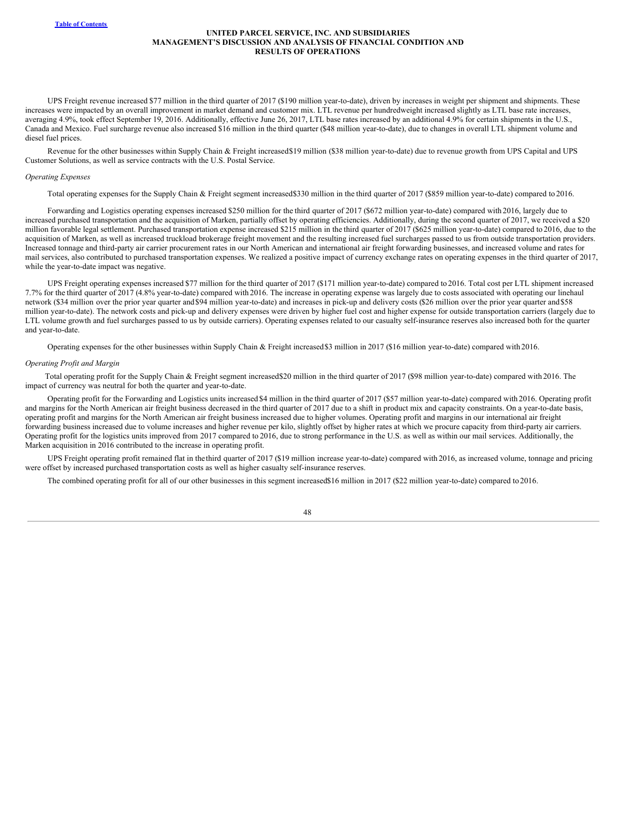UPS Freight revenue increased \$77 million in the third quarter of 2017 (\$190 million year-to-date), driven by increases in weight per shipment and shipments. These increases were impacted by an overall improvement in market demand and customer mix. LTL revenue per hundredweight increased slightly as LTL base rate increases, averaging 4.9%, took effect September 19, 2016. Additionally, effective June 26, 2017, LTL base rates increased by an additional 4.9% for certain shipments in the U.S., Canada and Mexico. Fuel surcharge revenue also increased \$16 million in the third quarter (\$48 million year-to-date), due to changes in overall LTL shipment volume and diesel fuel prices.

Revenue for the other businesses within Supply Chain & Freight increased\$19 million (\$38 million year-to-date) due to revenue growth from UPS Capital and UPS Customer Solutions, as well as service contracts with the U.S. Postal Service.

#### *Operating Expenses*

Total operating expenses for the Supply Chain & Freight segment increased\$330 million in the third quarter of 2017 (\$859 million year-to-date) compared to 2016.

Forwarding and Logistics operating expenses increased \$250 million for the third quarter of 2017 (\$672 million year-to-date) compared with 2016, largely due to increased purchased transportation and the acquisition of Marken, partially offset by operating efficiencies. Additionally, during the second quarter of 2017, we received a \$20 million favorable legal settlement. Purchased transportation expense increased \$215 million in the third quarter of 2017 (\$625 million year-to-date) compared to 2016, due to the acquisition of Marken, as well as increased truckload brokerage freight movement and the resulting increased fuel surcharges passed to us from outside transportation providers. Increased tonnage and third-party air carrier procurement rates in our North American and international air freight forwarding businesses, and increased volume and rates for mail services, also contributed to purchased transportation expenses. We realized a positive impact of currency exchange rates on operating expenses in the third quarter of 2017, while the year-to-date impact was negative.

UPS Freight operating expenses increased \$77 million for the third quarter of 2017 (\$171 million year-to-date) compared to 2016. Total cost per LTL shipment increased 7.7% for the third quarter of 2017 (4.8% year-to-date) compared with 2016. The increase in operating expense was largely due to costs associated with operating our linehaul network (\$34 million over the prior year quarter and\$94 million year-to-date) and increases in pick-up and delivery costs (\$26 million over the prior year quarter and\$58 million year-to-date). The network costs and pick-up and delivery expenses were driven by higher fuel cost and higher expense for outside transportation carriers (largely due to LTL volume growth and fuel surcharges passed to us by outside carriers). Operating expenses related to our casualty self-insurance reserves also increased both for the quarter and year-to-date.

Operating expenses for the other businesses within Supply Chain & Freight increased\$3 million in 2017 (\$16 million year-to-date) compared with 2016.

### *Operating Profit and Margin*

Total operating profit for the Supply Chain & Freight segment increased\$20 million in the third quarter of 2017 (\$98 million year-to-date) compared with 2016. The impact of currency was neutral for both the quarter and year-to-date.

Operating profit for the Forwarding and Logistics units increased \$4 million in the third quarter of 2017 (\$57 million year-to-date) compared with 2016. Operating profit and margins for the North American air freight business decreased in the third quarter of 2017 due to a shift in product mix and capacity constraints. On a year-to-date basis, operating profit and margins for the North American air freight business increased due to higher volumes. Operating profit and margins in our international air freight forwarding business increased due to volume increases and higher revenue per kilo, slightly offset by higher rates at which we procure capacity from third-party air carriers. Operating profit for the logistics units improved from 2017 compared to 2016, due to strong performance in the U.S. as well as within our mail services. Additionally, the Marken acquisition in 2016 contributed to the increase in operating profit.

UPS Freight operating profit remained flat in thethird quarter of 2017 (\$19 million increase year-to-date) compared with 2016, as increased volume, tonnage and pricing were offset by increased purchased transportation costs as well as higher casualty self-insurance reserves.

The combined operating profit for all of our other businesses in this segment increased\$16 million in 2017 (\$22 million year-to-date) compared to 2016.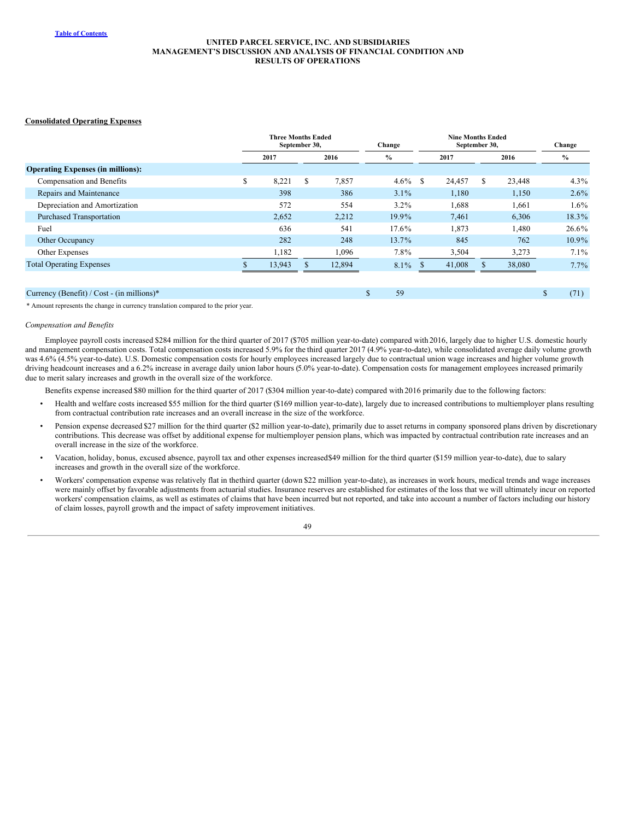### <span id="page-50-0"></span>**Consolidated Operating Expenses**

|                                            | <b>Three Months Ended</b><br>September 30, |   |        |   | Change  | <b>Nine Months Ended</b><br>September 30, |        |   |        |   | Change        |
|--------------------------------------------|--------------------------------------------|---|--------|---|---------|-------------------------------------------|--------|---|--------|---|---------------|
|                                            | 2017                                       |   | 2016   |   | $\%$    |                                           | 2017   |   | 2016   |   | $\frac{6}{9}$ |
| <b>Operating Expenses (in millions):</b>   |                                            |   |        |   |         |                                           |        |   |        |   |               |
| Compensation and Benefits                  | \$<br>8,221                                | S | 7,857  |   | $4.6\%$ | S                                         | 24,457 | S | 23,448 |   | $4.3\%$       |
| Repairs and Maintenance                    | 398                                        |   | 386    |   | $3.1\%$ |                                           | 1,180  |   | 1,150  |   | $2.6\%$       |
| Depreciation and Amortization              | 572                                        |   | 554    |   | $3.2\%$ |                                           | 1,688  |   | 1,661  |   | $1.6\%$       |
| <b>Purchased Transportation</b>            | 2,652                                      |   | 2,212  |   | 19.9%   |                                           | 7,461  |   | 6,306  |   | 18.3%         |
| Fuel                                       | 636                                        |   | 541    |   | 17.6%   |                                           | 1,873  |   | 1,480  |   | 26.6%         |
| Other Occupancy                            | 282                                        |   | 248    |   | 13.7%   |                                           | 845    |   | 762    |   | $10.9\%$      |
| Other Expenses                             | 1,182                                      |   | 1,096  |   | 7.8%    |                                           | 3,504  |   | 3,273  |   | $7.1\%$       |
| <b>Total Operating Expenses</b>            | 13,943                                     |   | 12,894 |   | $8.1\%$ |                                           | 41,008 |   | 38,080 |   | $7.7\%$       |
| Currency (Benefit) / Cost - (in millions)* |                                            |   |        | S | 59      |                                           |        |   |        | S | (71)          |

\* Amount represents the change in currency translation compared to the prior year.

### *Compensation and Benefits*

Employee payroll costs increased \$284 million for the third quarter of 2017 (\$705 million year-to-date) compared with 2016, largely due to higher U.S. domestic hourly and management compensation costs. Total compensation costs increased 5.9% for the third quarter 2017 (4.9% year-to-date), while consolidated average daily volume growth was 4.6% (4.5% year-to-date). U.S. Domestic compensation costs for hourly employees increased largely due to contractual union wage increases and higher volume growth driving headcount increases and a 6.2% increase in average daily union labor hours (5.0% year-to-date). Compensation costs for management employees increased primarily due to merit salary increases and growth in the overall size of the workforce.

Benefits expense increased \$80 million for the third quarter of 2017 (\$304 million year-to-date) compared with 2016 primarily due to the following factors:

- Health and welfare costs increased \$55 million for the third quarter (\$169 million year-to-date), largely due to increased contributions to multiemployer plans resulting from contractual contribution rate increases and an overall increase in the size of the workforce.
- Pension expense decreased \$27 million for the third quarter (\$2 million year-to-date), primarily due to asset returns in company sponsored plans driven by discretionary contributions. This decrease was offset by additional expense for multiemployer pension plans, which was impacted by contractual contribution rate increases and an overall increase in the size of the workforce.
- Vacation, holiday, bonus, excused absence, payroll tax and other expenses increased\$49 million for the third quarter (\$159 million year-to-date), due to salary increases and growth in the overall size of the workforce.
- Workers' compensation expense was relatively flat in thethird quarter (down \$22 million year-to-date), as increases in work hours, medical trends and wage increases were mainly offset by favorable adjustments from actuarial studies. Insurance reserves are established for estimates of the loss that we will ultimately incur on reported workers' compensation claims, as well as estimates of claims that have been incurred but not reported, and take into account a number of factors including our history of claim losses, payroll growth and the impact of safety improvement initiatives.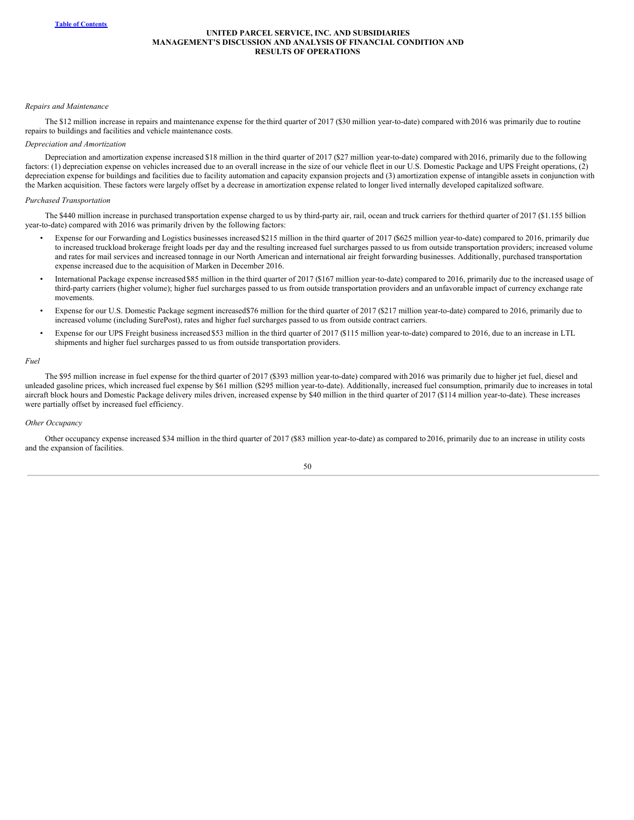#### *Repairs and Maintenance*

The \$12 million increase in repairs and maintenance expense for the third quarter of 2017 (\$30 million year-to-date) compared with 2016 was primarily due to routine repairs to buildings and facilities and vehicle maintenance costs.

#### *Depreciation and Amortization*

Depreciation and amortization expense increased \$18 million in the third quarter of 2017 (\$27 million year-to-date) compared with 2016, primarily due to the following factors: (1) depreciation expense on vehicles increased due to an overall increase in the size of our vehicle fleet in our U.S. Domestic Package and UPS Freight operations, (2) depreciation expense for buildings and facilities due to facility automation and capacity expansion projects and (3) amortization expense of intangible assets in conjunction with the Marken acquisition. These factors were largely offset by a decrease in amortization expense related to longer lived internally developed capitalized software.

### *Purchased Transportation*

The \$440 million increase in purchased transportation expense charged to us by third-party air, rail, ocean and truck carriers for thethird quarter of 2017 (\$1.155 billion year-to-date) compared with 2016 was primarily driven by the following factors:

- Expense for our Forwarding and Logistics businesses increased \$215 million in the third quarter of 2017 (\$625 million year-to-date) compared to 2016, primarily due to increased truckload brokerage freight loads per day and the resulting increased fuel surcharges passed to us from outside transportation providers; increased volume and rates for mail services and increased tonnage in our North American and international air freight forwarding businesses. Additionally, purchased transportation expense increased due to the acquisition of Marken in December 2016.
- International Package expense increased \$85 million in the third quarter of 2017 (\$167 million year-to-date) compared to 2016, primarily due to the increased usage of third-party carriers (higher volume); higher fuel surcharges passed to us from outside transportation providers and an unfavorable impact of currency exchange rate movements.
- Expense for our U.S. Domestic Package segment increased\$76 million for the third quarter of 2017 (\$217 million year-to-date) compared to 2016, primarily due to increased volume (including SurePost), rates and higher fuel surcharges passed to us from outside contract carriers.
- Expense for our UPS Freight business increased \$53 million in the third quarter of 2017 (\$115 million year-to-date) compared to 2016, due to an increase in LTL shipments and higher fuel surcharges passed to us from outside transportation providers.

#### *Fuel*

The \$95 million increase in fuel expense for the third quarter of 2017 (\$393 million year-to-date) compared with 2016 was primarily due to higher jet fuel, diesel and unleaded gasoline prices, which increased fuel expense by \$61 million (\$295 million year-to-date). Additionally, increased fuel consumption, primarily due to increases in total aircraft block hours and Domestic Package delivery miles driven, increased expense by \$40 million in the third quarter of 2017 (\$114 million year-to-date). These increases were partially offset by increased fuel efficiency.

#### *Other Occupancy*

Other occupancy expense increased \$34 million in the third quarter of 2017 (\$83 million year-to-date) as compared to 2016, primarily due to an increase in utility costs and the expansion of facilities.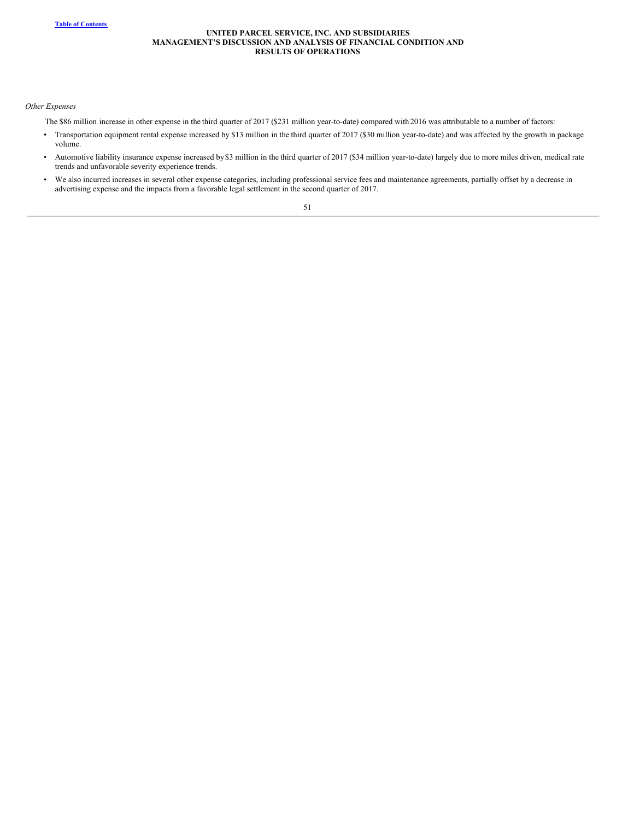### *Other Expenses*

The \$86 million increase in other expense in the third quarter of 2017 (\$231 million year-to-date) compared with 2016 was attributable to a number of factors:

- Transportation equipment rental expense increased by \$13 million in the third quarter of 2017 (\$30 million year-to-date) and was affected by the growth in package volume.
- Automotive liability insurance expense increased by \$3 million in the third quarter of 2017 (\$34 million year-to-date) largely due to more miles driven, medical rate trends and unfavorable severity experience trends.
- We also incurred increases in several other expense categories, including professional service fees and maintenance agreements, partially offset by a decrease in advertising expense and the impacts from a favorable legal settlement in the second quarter of 2017.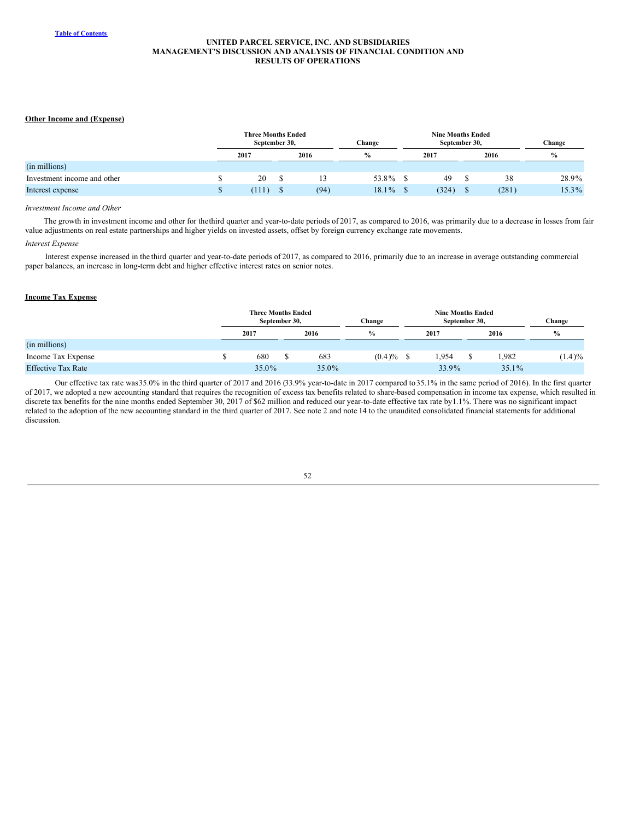## <span id="page-53-0"></span>**Other Income and (Expense)**

|                             | <b>Three Months Ended</b><br>September 30, |  | Change                |          | <b>Nine Months Ended</b><br>September 30, | Change |       |               |  |
|-----------------------------|--------------------------------------------|--|-----------------------|----------|-------------------------------------------|--------|-------|---------------|--|
|                             | 2017                                       |  | $\frac{0}{0}$<br>2016 |          | 2017                                      |        | 2016  | $\frac{0}{0}$ |  |
| (in millions)               |                                            |  |                       |          |                                           |        |       |               |  |
| Investment income and other | 20                                         |  |                       | 53.8% \$ |                                           | 49     | 38    | 28.9%         |  |
| Interest expense            | (111)                                      |  | (94)                  | $18.1\%$ |                                           | (324)  | (281) | $15.3\%$      |  |

#### *Investment Income and Other*

The growth in investment income and other for the third quarter and year-to-date periods of 2017, as compared to 2016, was primarily due to a decrease in losses from fair value adjustments on real estate partnerships and higher yields on invested assets, offset by foreign currency exchange rate movements.

### *Interest Expense*

<span id="page-53-1"></span>Interest expense increased in the third quarter and year-to-date periods of 2017, as compared to 2016, primarily due to an increase in average outstanding commercial paper balances, an increase in long-term debt and higher effective interest rates on senior notes.

#### **Income Tax Expense**

|                           | <b>Three Months Ended</b><br>September 30, |       | Change        |  | <b>Nine Months Ended</b><br>September 30, | Change   |               |
|---------------------------|--------------------------------------------|-------|---------------|--|-------------------------------------------|----------|---------------|
|                           | 2017                                       | 2016  | $\frac{0}{0}$ |  | 2017                                      | 2016     | $\frac{6}{6}$ |
| (in millions)             |                                            |       |               |  |                                           |          |               |
| Income Tax Expense        | 680                                        | 683   | $(0.4)\%$ \$  |  | 1,954                                     | 1.982    | $(1.4)\%$     |
| <b>Effective Tax Rate</b> | 35.0%                                      | 35.0% |               |  | 33.9%                                     | $35.1\%$ |               |

Our effective tax rate was 35.0% in the third quarter of 2017 and 2016 (33.9% year-to-date in 2017 compared to 35.1% in the same period of 2016). In the first quarter of 2017, we adopted a new accounting standard that requires the recognition of excess tax benefits related to share-based compensation in income tax expense, which resulted in discrete tax benefits for the nine months ended September 30, 2017 of \$62 million and reduced our year-to-date effective tax rate by 1.1%. There was no significant impact related to the adoption of the new accounting standard in the third quarter of 2017. See note 2 and note 14 to the unaudited consolidated financial statements for additional discussion.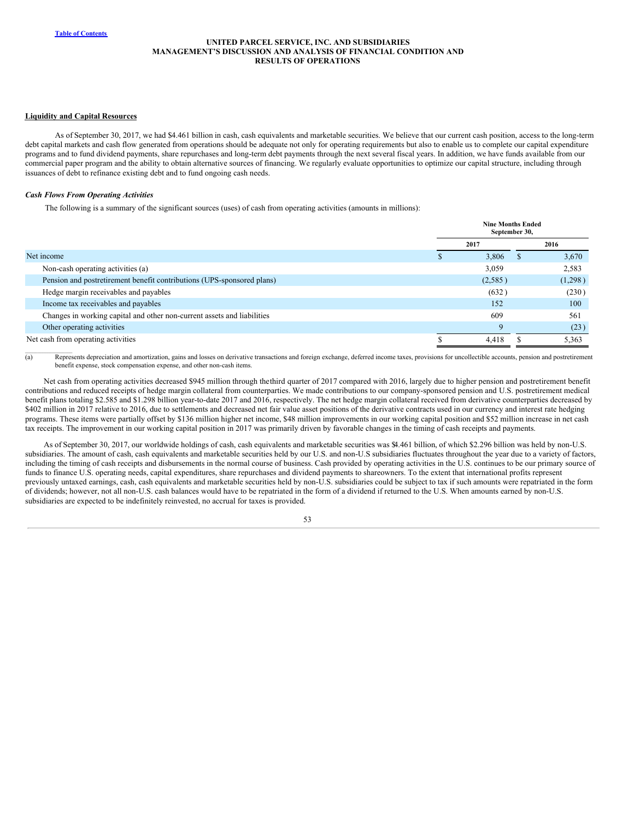#### <span id="page-54-0"></span>**Liquidity and Capital Resources**

As of September 30, 2017, we had \$4.461 billion in cash, cash equivalents and marketable securities. We believe that our current cash position, access to the long-term debt capital markets and cash flow generated from operations should be adequate not only for operating requirements but also to enable us to complete our capital expenditure programs and to fund dividend payments, share repurchases and long-term debt payments through the next several fiscal years. In addition, we have funds available from our commercial paper program and the ability to obtain alternative sources of financing. We regularly evaluate opportunities to optimize our capital structure, including through issuances of debt to refinance existing debt and to fund ongoing cash needs.

#### <span id="page-54-1"></span>*Cash Flows From Operating Activities*

The following is a summary of the significant sources (uses) of cash from operating activities (amounts in millions):

|                                                                         | <b>Nine Months Ended</b><br>September 30, |         |  |  |  |
|-------------------------------------------------------------------------|-------------------------------------------|---------|--|--|--|
|                                                                         | 2017                                      | 2016    |  |  |  |
| Net income                                                              | 3,806<br>S                                | 3,670   |  |  |  |
| Non-cash operating activities (a)                                       | 3,059                                     | 2,583   |  |  |  |
| Pension and postretirement benefit contributions (UPS-sponsored plans)  | (2,585)                                   | (1,298) |  |  |  |
| Hedge margin receivables and payables                                   | (632)                                     | (230)   |  |  |  |
| Income tax receivables and payables                                     | 152                                       | 100     |  |  |  |
| Changes in working capital and other non-current assets and liabilities | 609                                       | 561     |  |  |  |
| Other operating activities                                              | $\mathbf Q$                               | (23)    |  |  |  |
| Net cash from operating activities                                      | 4.418<br>Х                                | 5,363   |  |  |  |
|                                                                         |                                           |         |  |  |  |

(a) Represents depreciation and amortization, gains and losses on derivative transactions and foreign exchange, deferred income taxes, provisions for uncollectible accounts, pension and postretirement benefit expense, stock compensation expense, and other non-cash items.

Net cash from operating activities decreased \$945 million through thethird quarter of 2017 compared with 2016, largely due to higher pension and postretirement benefit contributions and reduced receipts of hedge margin collateral from counterparties. We made contributions to our company-sponsored pension and U.S. postretirement medical benefit plans totaling \$2.585 and \$1.298 billion year-to-date 2017 and 2016, respectively. The net hedge margin collateral received from derivative counterparties decreased by \$402 million in 2017 relative to 2016, due to settlements and decreased net fair value asset positions of the derivative contracts used in our currency and interest rate hedging programs. These items were partially offset by \$136 million higher net income, \$48 million improvements in our working capital position and \$52 million increase in net cash tax receipts. The improvement in our working capital position in 2017 was primarily driven by favorable changes in the timing of cash receipts and payments.

As of September 30, 2017, our worldwide holdings of cash, cash equivalents and marketable securities was \$4.461 billion, of which \$2.296 billion was held by non-U.S. subsidiaries. The amount of cash, cash equivalents and marketable securities held by our U.S. and non-U.S subsidiaries fluctuates throughout the year due to a variety of factors, including the timing of cash receipts and disbursements in the normal course of business. Cash provided by operating activities in the U.S. continues to be our primary source of funds to finance U.S. operating needs, capital expenditures, share repurchases and dividend payments to shareowners. To the extent that international profits represent previously untaxed earnings, cash, cash equivalents and marketable securities held by non-U.S. subsidiaries could be subject to tax if such amounts were repatriated in the form of dividends; however, not all non-U.S. cash balances would have to be repatriated in the form of a dividend if returned to the U.S. When amounts earned by non-U.S. subsidiaries are expected to be indefinitely reinvested, no accrual for taxes is provided.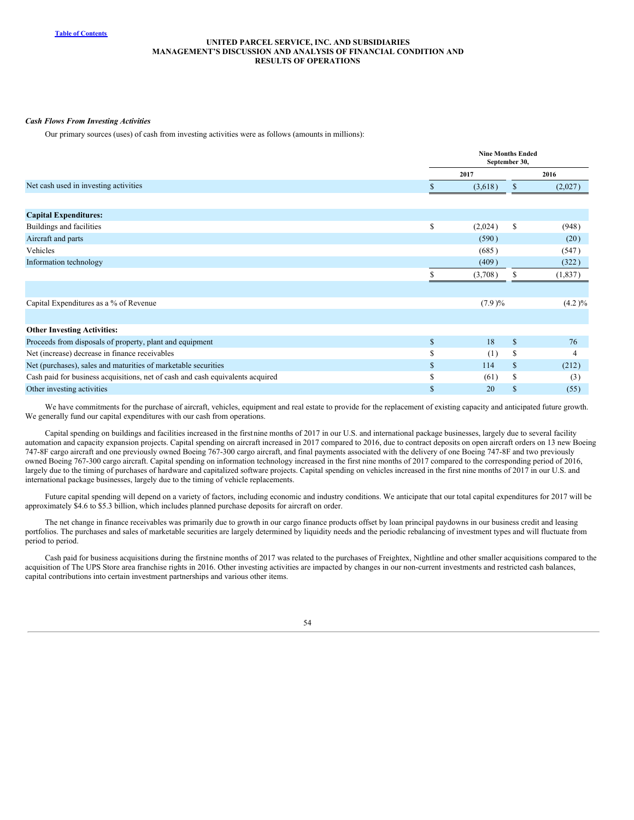#### <span id="page-55-0"></span>*Cash Flows From Investing Activities*

Our primary sources (uses) of cash from investing activities were as follows (amounts in millions):

|                                                                                |              | <b>Nine Months Ended</b><br>September 30, |               |           |  |  |  |  |
|--------------------------------------------------------------------------------|--------------|-------------------------------------------|---------------|-----------|--|--|--|--|
|                                                                                |              | 2017                                      | 2016          |           |  |  |  |  |
| Net cash used in investing activities                                          |              | (3,618)                                   | \$            | (2,027)   |  |  |  |  |
| <b>Capital Expenditures:</b>                                                   |              |                                           |               |           |  |  |  |  |
| Buildings and facilities                                                       | \$           | (2,024)                                   | <sup>\$</sup> | (948)     |  |  |  |  |
| Aircraft and parts                                                             |              | (590)                                     |               | (20)      |  |  |  |  |
| Vehicles                                                                       |              | (685)                                     |               | (547)     |  |  |  |  |
| Information technology                                                         |              | (409)                                     |               | (322)     |  |  |  |  |
|                                                                                |              | (3,708)                                   | S             | (1,837)   |  |  |  |  |
| Capital Expenditures as a % of Revenue                                         |              | (7.9)%                                    |               | $(4.2)\%$ |  |  |  |  |
| <b>Other Investing Activities:</b>                                             |              |                                           |               |           |  |  |  |  |
| Proceeds from disposals of property, plant and equipment                       | $\mathbb{S}$ | 18                                        | $\mathbb{S}$  | 76        |  |  |  |  |
| Net (increase) decrease in finance receivables                                 | S            | (1)                                       | \$            | 4         |  |  |  |  |
| Net (purchases), sales and maturities of marketable securities                 | \$           | 114                                       | \$            | (212)     |  |  |  |  |
| Cash paid for business acquisitions, net of cash and cash equivalents acquired | S            | (61)                                      | \$            | (3)       |  |  |  |  |
| Other investing activities                                                     | $\mathbf S$  | 20                                        | \$            | (55)      |  |  |  |  |
|                                                                                |              |                                           |               |           |  |  |  |  |

We have commitments for the purchase of aircraft, vehicles, equipment and real estate to provide for the replacement of existing capacity and anticipated future growth. We generally fund our capital expenditures with our cash from operations.

Capital spending on buildings and facilities increased in the firstnine months of 2017 in our U.S. and international package businesses, largely due to several facility automation and capacity expansion projects. Capital spending on aircraft increased in 2017 compared to 2016, due to contract deposits on open aircraft orders on 13 new Boeing 747-8F cargo aircraft and one previously owned Boeing 767-300 cargo aircraft, and final payments associated with the delivery of one Boeing 747-8F and two previously owned Boeing 767-300 cargo aircraft. Capital spending on information technology increased in the first nine months of 2017 compared to the corresponding period of 2016, largely due to the timing of purchases of hardware and capitalized software projects. Capital spending on vehicles increased in the first nine months of 2017 in our U.S. and international package businesses, largely due to the timing of vehicle replacements.

Future capital spending will depend on a variety of factors, including economic and industry conditions. We anticipate that our total capital expenditures for 2017 will be approximately \$4.6 to \$5.3 billion, which includes planned purchase deposits for aircraft on order.

The net change in finance receivables was primarily due to growth in our cargo finance products offset by loan principal paydowns in our business credit and leasing portfolios. The purchases and sales of marketable securities are largely determined by liquidity needs and the periodic rebalancing of investment types and will fluctuate from period to period.

Cash paid for business acquisitions during the firstnine months of 2017 was related to the purchases of Freightex, Nightline and other smaller acquisitions compared to the acquisition of The UPS Store area franchise rights in 2016. Other investing activities are impacted by changes in our non-current investments and restricted cash balances, capital contributions into certain investment partnerships and various other items.

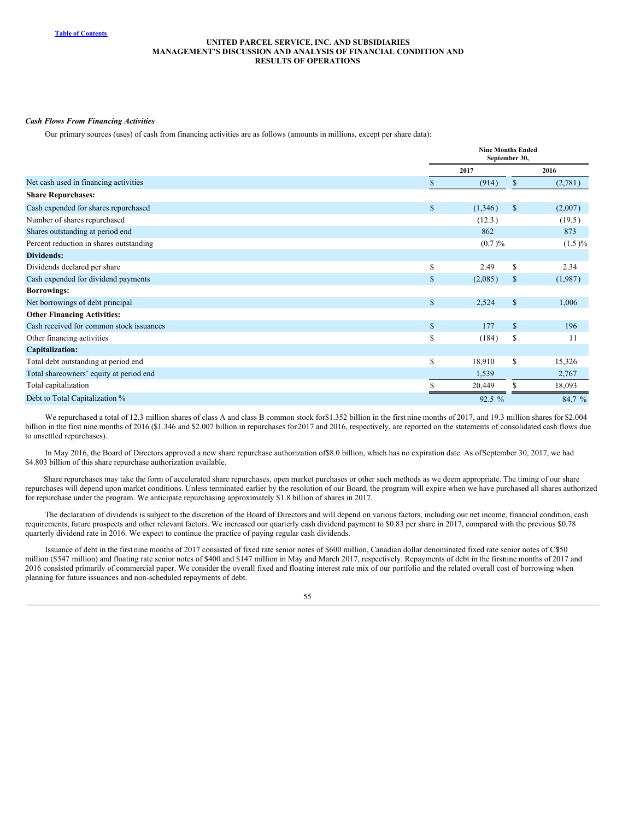#### <span id="page-56-0"></span>*Cash Flows From Financing Activities*

Our primary sources (uses) of cash from financing activities are as follows (amounts in millions, except per share data):

|                                          |              | <b>Nine Months Ended</b><br>September 30, |               |           |  |  |  |  |  |
|------------------------------------------|--------------|-------------------------------------------|---------------|-----------|--|--|--|--|--|
|                                          |              | 2017                                      |               |           |  |  |  |  |  |
| Net cash used in financing activities    |              | (914)                                     | S             | (2,781)   |  |  |  |  |  |
| <b>Share Repurchases:</b>                |              |                                           |               |           |  |  |  |  |  |
| Cash expended for shares repurchased     | $\mathbb{S}$ | (1,346)                                   | $\mathbb{S}$  | (2,007)   |  |  |  |  |  |
| Number of shares repurchased             |              | (12.3)                                    |               | (19.5)    |  |  |  |  |  |
| Shares outstanding at period end         |              | 862                                       |               | 873       |  |  |  |  |  |
| Percent reduction in shares outstanding  |              | (0.7)%                                    |               | $(1.5)\%$ |  |  |  |  |  |
| <b>Dividends:</b>                        |              |                                           |               |           |  |  |  |  |  |
| Dividends declared per share             | S            | 2.49                                      | <sup>\$</sup> | 2.34      |  |  |  |  |  |
| Cash expended for dividend payments      | \$           | (2,085)                                   | \$            | (1,987)   |  |  |  |  |  |
| <b>Borrowings:</b>                       |              |                                           |               |           |  |  |  |  |  |
| Net borrowings of debt principal         | $\mathbb{S}$ | 2,524                                     | \$            | 1,006     |  |  |  |  |  |
| <b>Other Financing Activities:</b>       |              |                                           |               |           |  |  |  |  |  |
| Cash received for common stock issuances | $\mathbb{S}$ | 177                                       | $\mathbf S$   | 196       |  |  |  |  |  |
| Other financing activities               | S            | (184)                                     | S             | 11        |  |  |  |  |  |
| <b>Capitalization:</b>                   |              |                                           |               |           |  |  |  |  |  |
| Total debt outstanding at period end     | S            | 18,910                                    | <sup>\$</sup> | 15,326    |  |  |  |  |  |
| Total shareowners' equity at period end  |              | 1,539                                     |               | 2,767     |  |  |  |  |  |
| Total capitalization                     |              | 20,449                                    | S             | 18,093    |  |  |  |  |  |
| Debt to Total Capitalization %           |              | $92.5 \%$                                 |               | 84.7 %    |  |  |  |  |  |

We repurchased a total of 12.3 million shares of class A and class B common stock for \$1.352 billion in the first nine months of 2017, and 19.3 million shares for \$2.004 billion in the first nine months of 2016 (\$1.346 and \$2.007 billion in repurchases for2017 and 2016, respectively, are reported on the statements of consolidated cash flows due to unsettled repurchases).

In May 2016, the Board of Directors approved a new share repurchase authorization of\$8.0 billion, which has no expiration date. As ofSeptember 30, 2017, we had \$4.803 billion of this share repurchase authorization available.

Share repurchases may take the form of accelerated share repurchases, open market purchases or other such methods as we deem appropriate. The timing of our share repurchases will depend upon market conditions. Unless terminated earlier by the resolution of our Board, the program will expire when we have purchased all shares authorized for repurchase under the program. We anticipate repurchasing approximately \$1.8 billion of shares in 2017.

The declaration of dividends is subject to the discretion of the Board of Directors and will depend on various factors, including our net income, financial condition, cash requirements, future prospects and other relevant factors. We increased our quarterly cash dividend payment to \$0.83 per share in 2017, compared with the previous \$0.78 quarterly dividend rate in 2016. We expect to continue the practice of paying regular cash dividends.

Issuance of debt in the first nine months of 2017 consisted of fixed rate senior notes of \$600 million, Canadian dollar denominated fixed rate senior notes of C\$750 million (\$547 million) and floating rate senior notes of \$400 and \$147 million in May and March 2017, respectively. Repayments of debt in the firstnine months of 2017 and 2016 consisted primarily of commercial paper. We consider the overall fixed and floating interest rate mix of our portfolio and the related overall cost of borrowing when planning for future issuances and non-scheduled repayments of debt.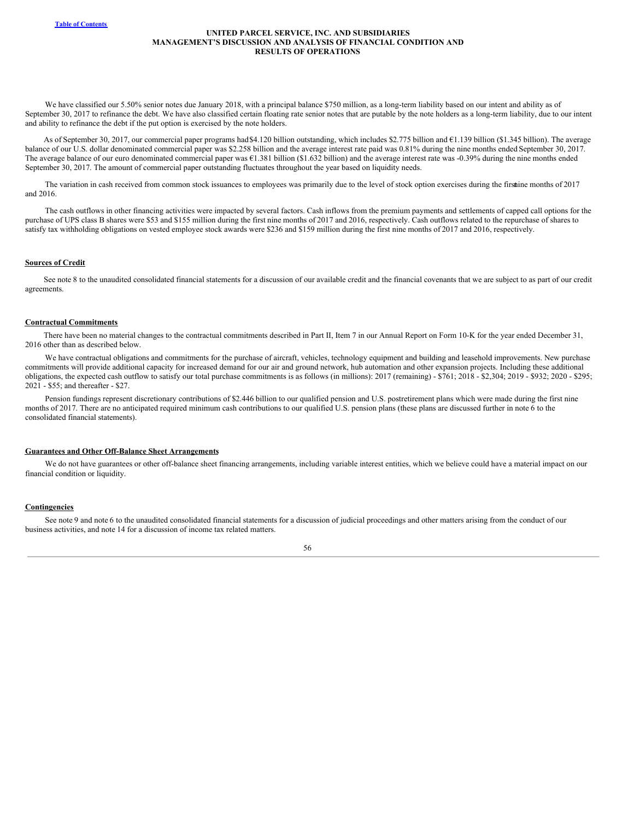We have classified our 5.50% senior notes due January 2018, with a principal balance \$750 million, as a long-term liability based on our intent and ability as of September 30, 2017 to refinance the debt. We have also classified certain floating rate senior notes that are putable by the note holders as a long-term liability, due to our intent and ability to refinance the debt if the put option is exercised by the note holders.

As of September 30, 2017, our commercial paper programs had\$4.120 billion outstanding, which includes \$2.775 billion and €1.139 billion (\$1.345 billion). The average balance of our U.S. dollar denominated commercial paper was \$2.258 billion and the average interest rate paid was 0.81% during the nine months ended September 30, 2017. The average balance of our euro denominated commercial paper was €1.381 billion (\$1.632 billion) and the average interest rate was -0.39% during the nine months ended September 30, 2017. The amount of commercial paper outstanding fluctuates throughout the year based on liquidity needs.

The variation in cash received from common stock issuances to employees was primarily due to the level of stock option exercises during the firstine months of 2017 and 2016.

The cash outflows in other financing activities were impacted by several factors. Cash inflows from the premium payments and settlements of capped call options for the purchase of UPS class B shares were \$53 and \$155 million during the first nine months of 2017 and 2016, respectively. Cash outflows related to the repurchase of shares to satisfy tax withholding obligations on vested employee stock awards were \$236 and \$159 million during the first nine months of 2017 and 2016, respectively.

#### <span id="page-57-0"></span>**Sources of Credit**

<span id="page-57-1"></span>See note 8 to the unaudited consolidated financial statements for a discussion of our available credit and the financial covenants that we are subject to as part of our credit agreements.

### **Contractual Commitments**

There have been no material changes to the contractual commitments described in Part II, Item 7 in our Annual Report on Form 10-K for the year ended December 31, 2016 other than as described below.

We have contractual obligations and commitments for the purchase of aircraft, vehicles, technology equipment and building and leasehold improvements. New purchase commitments will provide additional capacity for increased demand for our air and ground network, hub automation and other expansion projects. Including these additional obligations, the expected cash outflow to satisfy our total purchase commitments is as follows (in millions): 2017 (remaining) - \$761; 2018 - \$2,304; 2019 - \$932; 2020 - \$295; 2021 - \$55; and thereafter - \$27.

Pension fundings represent discretionary contributions of \$2.446 billion to our qualified pension and U.S. postretirement plans which were made during the first nine months of 2017. There are no anticipated required minimum cash contributions to our qualified U.S. pension plans (these plans are discussed further in note 6 to the consolidated financial statements).

#### <span id="page-57-2"></span>**Guarantees and Other Off-Balance Sheet Arrangements**

<span id="page-57-3"></span>We do not have guarantees or other off-balance sheet financing arrangements, including variable interest entities, which we believe could have a material impact on our financial condition or liquidity.

#### **Contingencies**

See note 9 and note 6 to the unaudited consolidated financial statements for a discussion of judicial proceedings and other matters arising from the conduct of our business activities, and note 14 for a discussion of income tax related matters.

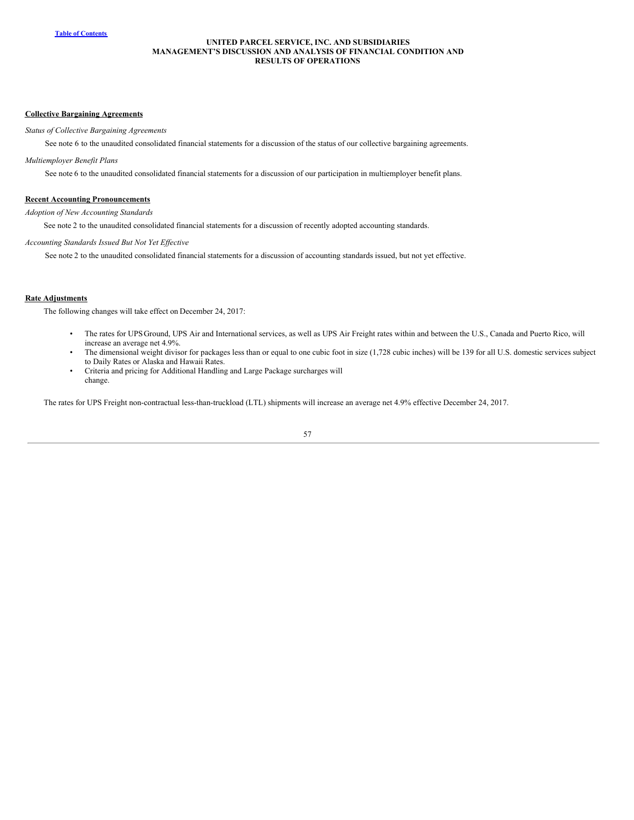### <span id="page-58-0"></span>**Collective Bargaining Agreements**

#### *Status of Collective Bargaining Agreements*

See note 6 to the unaudited consolidated financial statements for a discussion of the status of our collective bargaining agreements.

#### *Multiemployer Benefit Plans*

See note 6 to the unaudited consolidated financial statements for a discussion of our participation in multiemployer benefit plans.

### <span id="page-58-1"></span>**Recent Accounting Pronouncements**

*Adoption of New Accounting Standards*

See note 2 to the unaudited consolidated financial statements for a discussion of recently adopted accounting standards.

#### <span id="page-58-2"></span>*Accounting Standards Issued But Not Yet Ef ective*

See note 2 to the unaudited consolidated financial statements for a discussion of accounting standards issued, but not yet effective.

### **Rate Adjustments**

The following changes will take effect on December 24, 2017:

- The rates for UPSGround, UPS Air and International services, as well as UPS Air Freight rates within and between the U.S., Canada and Puerto Rico, will increase an average net 4.9%.
- The dimensional weight divisor for packages less than or equal to one cubic foot in size (1,728 cubic inches) will be 139 for all U.S. domestic services subject to Daily Rates or Alaska and Hawaii Rates.
- Criteria and pricing for Additional Handling and Large Package surcharges will change.

The rates for UPS Freight non-contractual less-than-truckload (LTL) shipments will increase an average net 4.9% effective December 24, 2017.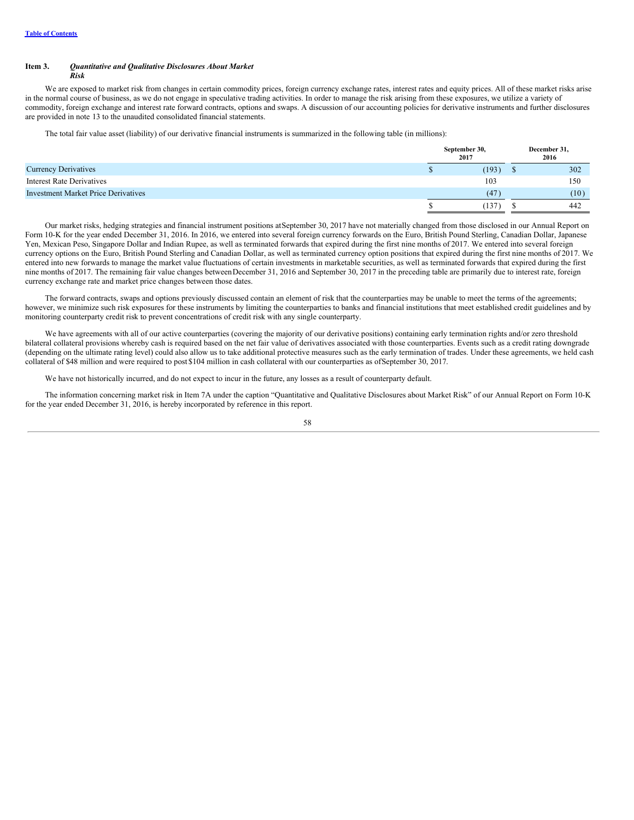#### <span id="page-59-0"></span>**Item 3.** *Quantitative and Qualitative Disclosures About Market Risk*

We are exposed to market risk from changes in certain commodity prices, foreign currency exchange rates, interest rates and equity prices. All of these market risks arise in the normal course of business, as we do not engage in speculative trading activities. In order to manage the risk arising from these exposures, we utilize a variety of commodity, foreign exchange and interest rate forward contracts, options and swaps. A discussion of our accounting policies for derivative instruments and further disclosures are provided in note 13 to the unaudited consolidated financial statements.

The total fair value asset (liability) of our derivative financial instruments is summarized in the following table (in millions):

|                                            |  | September 30,<br>2017 | December 31,<br>2016 |      |  |
|--------------------------------------------|--|-----------------------|----------------------|------|--|
| <b>Currency Derivatives</b>                |  | (193)                 |                      | 302  |  |
| <b>Interest Rate Derivatives</b>           |  | 103                   |                      | 150  |  |
| <b>Investment Market Price Derivatives</b> |  | (47)                  |                      | (10) |  |
|                                            |  | 137                   |                      | 442  |  |

Our market risks, hedging strategies and financial instrument positions atSeptember 30, 2017 have not materially changed from those disclosed in our Annual Report on Form 10-K for the year ended December 31, 2016. In 2016, we entered into several foreign currency forwards on the Euro, British Pound Sterling, Canadian Dollar, Japanese Yen, Mexican Peso, Singapore Dollar and Indian Rupee, as well as terminated forwards that expired during the first nine months of 2017. We entered into several foreign currency options on the Euro, British Pound Sterling and Canadian Dollar, as well as terminated currency option positions that expired during the first nine months of 2017. We entered into new forwards to manage the market value fluctuations of certain investments in marketable securities, as well as terminated forwards that expired during the first nine months of 2017. The remaining fair value changes betweenDecember 31, 2016 and September 30, 2017 in the preceding table are primarily due to interest rate, foreign currency exchange rate and market price changes between those dates.

The forward contracts, swaps and options previously discussed contain an element of risk that the counterparties may be unable to meet the terms of the agreements; however, we minimize such risk exposures for these instruments by limiting the counterparties to banks and financial institutions that meet established credit guidelines and by monitoring counterparty credit risk to prevent concentrations of credit risk with any single counterparty.

We have agreements with all of our active counterparties (covering the majority of our derivative positions) containing early termination rights and/or zero threshold bilateral collateral provisions whereby cash is required based on the net fair value of derivatives associated with those counterparties. Events such as a credit rating downgrade (depending on the ultimate rating level) could also allow us to take additional protective measures such as the early termination of trades. Under these agreements, we held cash collateral of \$48 million and were required to post \$104 million in cash collateral with our counterparties as ofSeptember 30, 2017.

We have not historically incurred, and do not expect to incur in the future, any losses as a result of counterparty default.

The information concerning market risk in Item 7A under the caption "Quantitative and Qualitative Disclosures about Market Risk" of our Annual Report on Form 10-K for the year ended December 31, 2016, is hereby incorporated by reference in this report.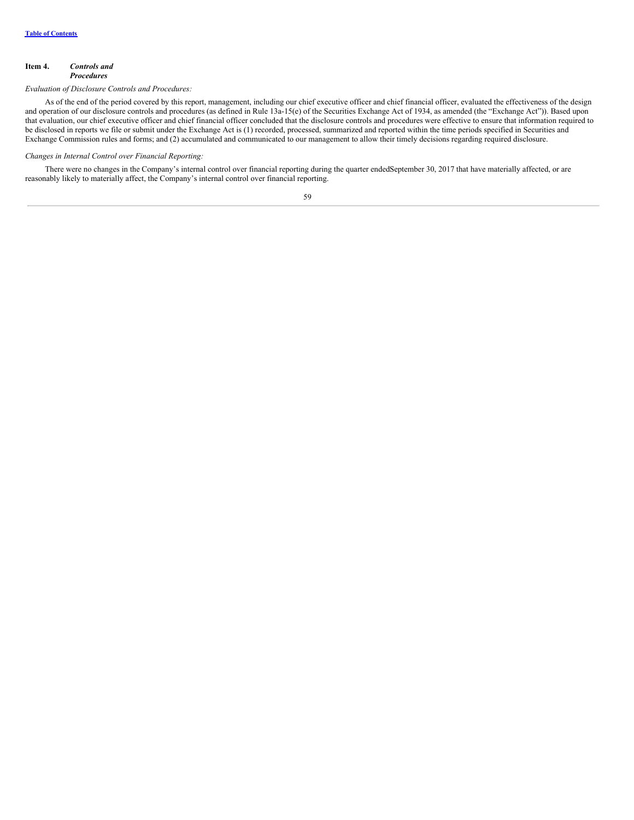### <span id="page-60-0"></span>**Item 4.** *Controls and Procedures*

#### *Evaluation of Disclosure Controls and Procedures:*

As of the end of the period covered by this report, management, including our chief executive officer and chief financial officer, evaluated the effectiveness of the design and operation of our disclosure controls and procedures (as defined in Rule 13a-15(e) of the Securities Exchange Act of 1934, as amended (the "Exchange Act")). Based upon that evaluation, our chief executive officer and chief financial officer concluded that the disclosure controls and procedures were effective to ensure that information required to be disclosed in reports we file or submit under the Exchange Act is (1) recorded, processed, summarized and reported within the time periods specified in Securities and Exchange Commission rules and forms; and (2) accumulated and communicated to our management to allow their timely decisions regarding required disclosure.

### *Changes in Internal Control over Financial Reporting:*

There were no changes in the Company's internal control over financial reporting during the quarter endedSeptember 30, 2017 that have materially affected, or are reasonably likely to materially affect, the Company's internal control over financial reporting.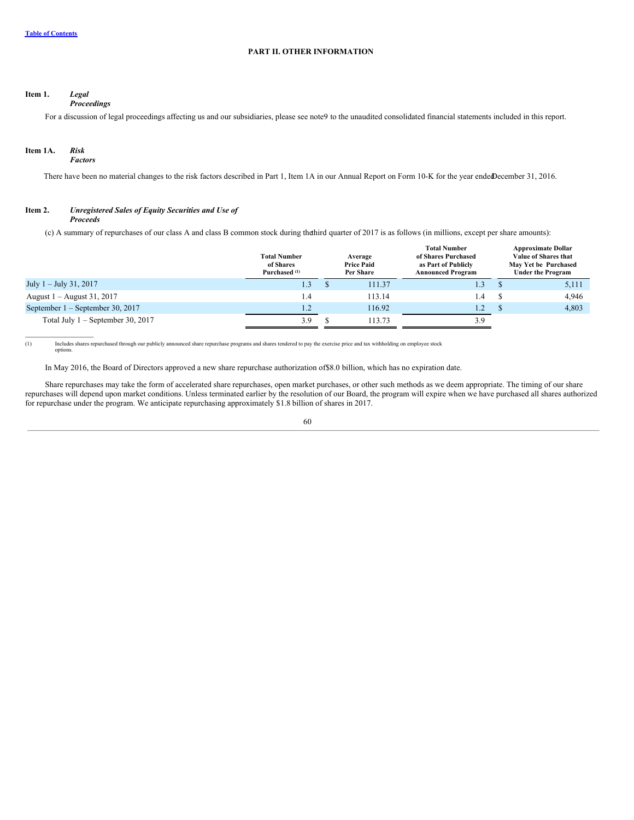### **PART II. OTHER INFORMATION**

### <span id="page-61-0"></span>**Item 1.** *Legal*

### *Proceedings*

<span id="page-61-1"></span>For a discussion of legal proceedings affecting us and our subsidiaries, please see note9 to the unaudited consolidated financial statements included in this report.

### **Item 1A.** *Risk*

### *Factors*

 $\mathcal{L}_\text{max}$ 

<span id="page-61-2"></span>There have been no material changes to the risk factors described in Part 1, Item 1A in our Annual Report on Form 10-K for the year endedDecember 31, 2016.

#### **Item 2.** *Unregistered Sales of Equity Securities and Use of Proceeds*

(c) A summary of repurchases of our class A and class B common stock during thethird quarter of 2017 is as follows (in millions, except per share amounts):

|                                     | <b>Total Number</b><br>of Shares<br>Purchased <sup>(1)</sup> | Average<br><b>Price Paid</b><br>Per Share | <b>Total Number</b><br>of Shares Purchased<br>as Part of Publicly<br><b>Announced Program</b> | <b>Approximate Dollar</b><br>Value of Shares that<br>May Yet be Purchased<br><b>Under the Program</b> |       |  |  |
|-------------------------------------|--------------------------------------------------------------|-------------------------------------------|-----------------------------------------------------------------------------------------------|-------------------------------------------------------------------------------------------------------|-------|--|--|
| July 1 – July 31, 2017              | 1.3                                                          | 111.37                                    | 1.3                                                                                           |                                                                                                       | 5,111 |  |  |
| August $1 -$ August 31, 2017        | 1.4                                                          | 113.14                                    | 1.4                                                                                           |                                                                                                       | 4.946 |  |  |
| September $1 -$ September 30, 2017  | 1.2                                                          | 116.92                                    | 1.2                                                                                           |                                                                                                       | 4,803 |  |  |
| Total July $1 -$ September 30, 2017 | 3.9                                                          | 113.73                                    | 3.9                                                                                           |                                                                                                       |       |  |  |

(1) Includes shares repurchased through our publicly announced share repurchase programs and shares tendered to pay the exercise price and tax withholding on employee stock options.

In May 2016, the Board of Directors approved a new share repurchase authorization of\$8.0 billion, which has no expiration date.

Share repurchases may take the form of accelerated share repurchases, open market purchases, or other such methods as we deem appropriate. The timing of our share repurchases will depend upon market conditions. Unless terminated earlier by the resolution of our Board, the program will expire when we have purchased all shares authorized for repurchase under the program. We anticipate repurchasing approximately \$1.8 billion of shares in 2017.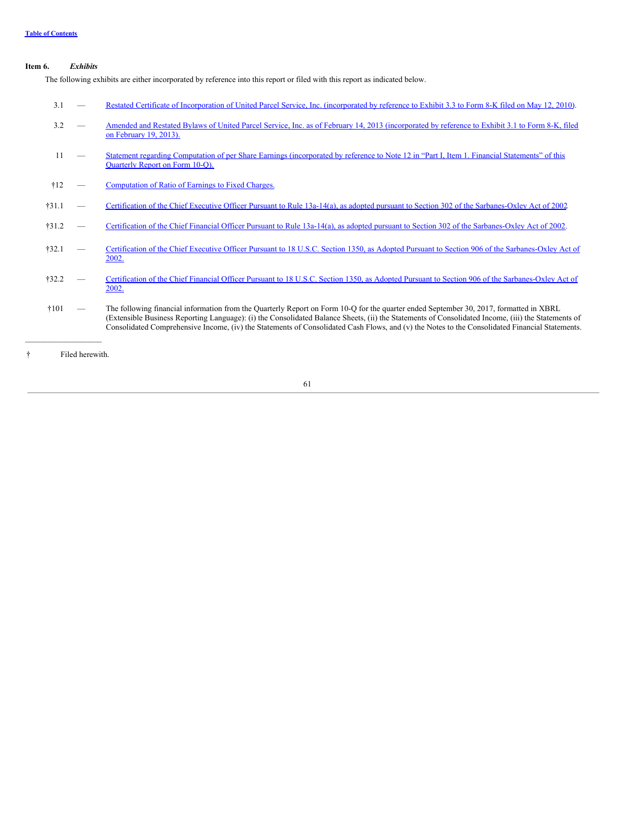#### <span id="page-62-0"></span>**Item 6.** *Exhibits*

The following exhibits are either incorporated by reference into this report or filed with this report as indicated below.

| Restated Certificate of Incorporation of United Parcel Service. Inc. (incorporated by reference to Exhibit 3.3 to Form 8-K filed on May 12, 2010).<br>$3.1 -$ |
|---------------------------------------------------------------------------------------------------------------------------------------------------------------|
|---------------------------------------------------------------------------------------------------------------------------------------------------------------|

- 3.2 Amended and Restated Bylaws of United Parcel Service, Inc. as of February 14, 2013 [\(incorporated](http://www.sec.gov/Archives/edgar/data/1090727/000110465913011826/a13-5287_1ex3d1.htm) by reference to Exhibit 3.1 to Form 8-K, filed on February 19, 2013).
- 11 Statement regarding Computation of per Share Earnings [\(incorporated](#page-33-0) by reference to Note 12 in "Part I, Item 1. Financial Statements" of this Quarterly Report on Form 10-Q).
- †12 [Computation](#page-64-0) of Ratio of Earnings to Fixed Charges.
- †31.1 Certification of the Chief Executive Officer Pursuant to Rule 13a-14(a), as adopted pursuant to Section 302 of the [Sarbanes-Oxley](#page-65-0) Act of 2002.
- †31.2 Certification of the Chief Financial Officer Pursuant to Rule 13a-14(a), as adopted pursuant to Section 302 of the [Sarbanes-Oxley](#page-66-0) Act of 2002.
- †32.1 Certification of the Chief Executive Officer Pursuant to 18 U.S.C. Section 1350, as Adopted Pursuant to Section 906 of the [Sarbanes-Oxley](#page-67-0) Act of  $2002.$
- †32.2 Certification of the Chief Financial Officer Pursuant to 18 U.S.C. Section 1350, as Adopted Pursuant to Section 906 of the [Sarbanes-Oxley](#page-68-0) Act of 2002.

### †101 — The following financial information from the Quarterly Report on Form 10-Q for the quarter ended September 30, 2017, formatted in XBRL (Extensible Business Reporting Language): (i) the Consolidated Balance Sheets, (ii) the Statements of Consolidated Income, (iii) the Statements of Consolidated Comprehensive Income, (iv) the Statements of Consolidated Cash Flows, and (v) the Notes to the Consolidated Financial Statements.

 $\mathcal{L}_\text{max}$ † Filed herewith.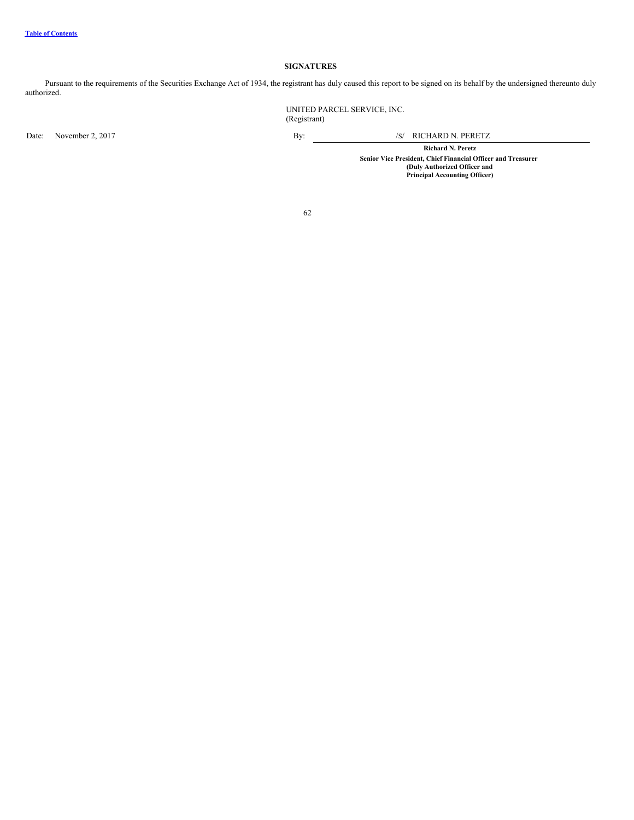### **SIGNATURES**

Pursuant to the requirements of the Securities Exchange Act of 1934, the registrant has duly caused this report to be signed on its behalf by the undersigned thereunto duly authorized.

> UNITED PARCEL SERVICE, INC. (Registrant)

Date: November 2, 2017 By: /S/ RICHARD N. PERETZ

**Richard N. Peretz**

**Senior Vice President, Chief Financial Officer and Treasurer (Duly Authorized Officer and Principal Accounting Officer)**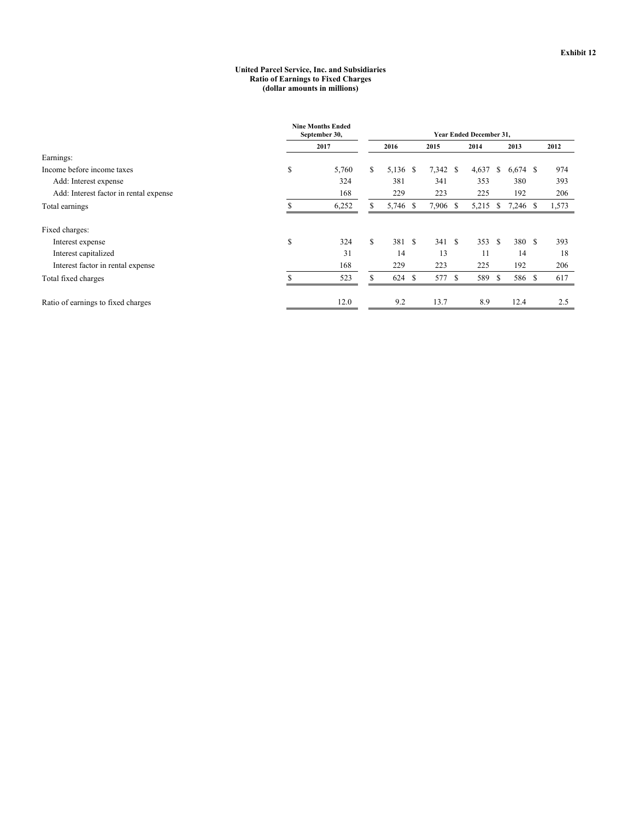#### **United Parcel Service, Inc. and Subsidiaries Ratio of Earnings to Fixed Charges (dollar amounts in millions)**

<span id="page-64-0"></span>

|                                        | <b>Nine Months Ended</b><br>September 30, |       |      | Year Ended December 31, |      |          |      |        |      |            |      |       |  |  |
|----------------------------------------|-------------------------------------------|-------|------|-------------------------|------|----------|------|--------|------|------------|------|-------|--|--|
|                                        | 2017                                      |       | 2016 |                         | 2015 |          | 2014 |        | 2013 |            | 2012 |       |  |  |
| Earnings:                              |                                           |       |      |                         |      |          |      |        |      |            |      |       |  |  |
| Income before income taxes             | \$                                        | 5,760 | \$   | 5,136 \$                |      | 7,342 \$ |      | 4,637  | S    | $6,674$ \$ |      | 974   |  |  |
| Add: Interest expense                  |                                           | 324   |      | 381                     |      | 341      |      | 353    |      | 380        |      | 393   |  |  |
| Add: Interest factor in rental expense |                                           | 168   |      | 229                     |      | 223      |      | 225    |      | 192        |      | 206   |  |  |
| Total earnings                         |                                           | 6,252 |      | 5,746 \$                |      | 7,906 \$ |      | 5,215  | S    | 7,246 \$   |      | 1,573 |  |  |
| Fixed charges:                         |                                           |       |      |                         |      |          |      |        |      |            |      |       |  |  |
| Interest expense                       | \$                                        | 324   | \$   | 381 S                   |      | 341 \$   |      | 353S   |      | 380 \$     |      | 393   |  |  |
| Interest capitalized                   |                                           | 31    |      | 14                      |      | 13       |      | 11     |      | 14         |      | 18    |  |  |
| Interest factor in rental expense      |                                           | 168   |      | 229                     |      | 223      |      | 225    |      | 192        |      | 206   |  |  |
| Total fixed charges                    |                                           | 523   | \$   | 624                     | -S   | 577      | -S   | 589 \$ |      | 586 \$     |      | 617   |  |  |
| Ratio of earnings to fixed charges     |                                           | 12.0  |      | 9.2                     |      | 13.7     |      | 8.9    |      | 12.4       |      | 2.5   |  |  |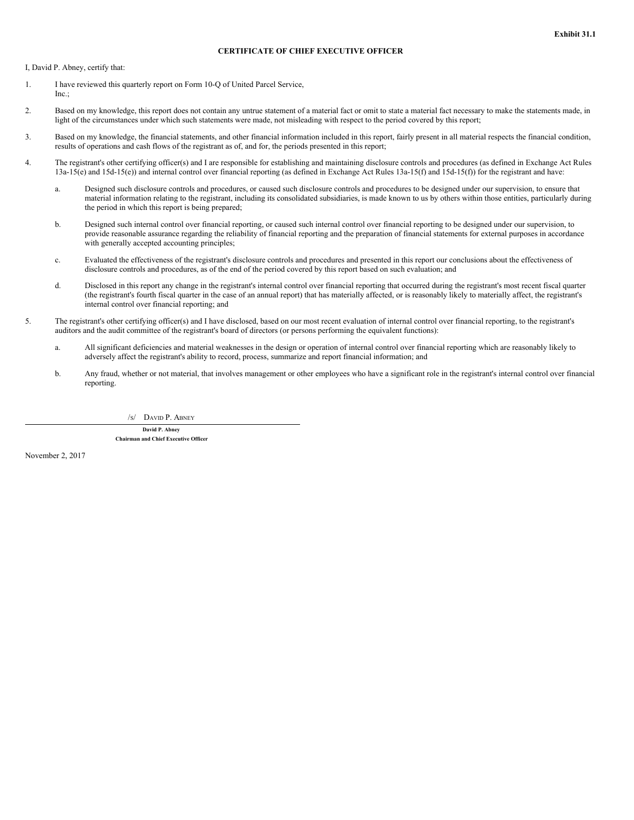### **CERTIFICATE OF CHIEF EXECUTIVE OFFICER**

#### <span id="page-65-0"></span>I, David P. Abney, certify that:

- 1. I have reviewed this quarterly report on Form 10-Q of United Parcel Service, Inc.;
- 2. Based on my knowledge, this report does not contain any untrue statement of a material fact or omit to state a material fact necessary to make the statements made, in light of the circumstances under which such statements were made, not misleading with respect to the period covered by this report;
- 3. Based on my knowledge, the financial statements, and other financial information included in this report, fairly present in all material respects the financial condition, results of operations and cash flows of the registrant as of, and for, the periods presented in this report;
- 4. The registrant's other certifying officer(s) and I are responsible for establishing and maintaining disclosure controls and procedures (as defined in Exchange Act Rules 13a-15(e) and 15d-15(e)) and internal control over financial reporting (as defined in Exchange Act Rules 13a-15(f) and 15d-15(f)) for the registrant and have:
	- a. Designed such disclosure controls and procedures, or caused such disclosure controls and procedures to be designed under our supervision, to ensure that material information relating to the registrant, including its consolidated subsidiaries, is made known to us by others within those entities, particularly during the period in which this report is being prepared;
	- b. Designed such internal control over financial reporting, or caused such internal control over financial reporting to be designed under our supervision, to provide reasonable assurance regarding the reliability of financial reporting and the preparation of financial statements for external purposes in accordance with generally accepted accounting principles;
	- c. Evaluated the effectiveness of the registrant's disclosure controls and procedures and presented in this report our conclusions about the effectiveness of disclosure controls and procedures, as of the end of the period covered by this report based on such evaluation; and
	- d. Disclosed in this report any change in the registrant's internal control over financial reporting that occurred during the registrant's most recent fiscal quarter (the registrant's fourth fiscal quarter in the case of an annual report) that has materially affected, or is reasonably likely to materially affect, the registrant's internal control over financial reporting; and
- 5. The registrant's other certifying officer(s) and I have disclosed, based on our most recent evaluation of internal control over financial reporting, to the registrant's auditors and the audit committee of the registrant's board of directors (or persons performing the equivalent functions):
	- a. All significant deficiencies and material weaknesses in the design or operation of internal control over financial reporting which are reasonably likely to adversely affect the registrant's ability to record, process, summarize and report financial information; and
	- b. Any fraud, whether or not material, that involves management or other employees who have a significant role in the registrant's internal control over financial reporting.

/S/ DAVID P. ABNEY

**David P. Abney Chairman and Chief Executive Officer**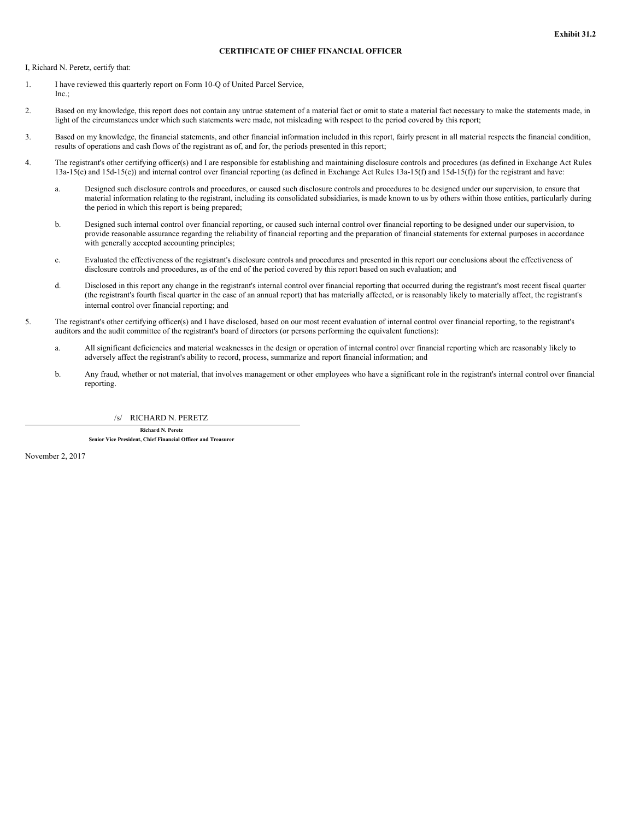### **CERTIFICATE OF CHIEF FINANCIAL OFFICER**

<span id="page-66-0"></span>I, Richard N. Peretz, certify that:

- 1. I have reviewed this quarterly report on Form 10-Q of United Parcel Service, Inc.;
- 2. Based on my knowledge, this report does not contain any untrue statement of a material fact or omit to state a material fact necessary to make the statements made, in light of the circumstances under which such statements were made, not misleading with respect to the period covered by this report;
- 3. Based on my knowledge, the financial statements, and other financial information included in this report, fairly present in all material respects the financial condition, results of operations and cash flows of the registrant as of, and for, the periods presented in this report;
- 4. The registrant's other certifying officer(s) and I are responsible for establishing and maintaining disclosure controls and procedures (as defined in Exchange Act Rules 13a-15(e) and 15d-15(e)) and internal control over financial reporting (as defined in Exchange Act Rules 13a-15(f) and 15d-15(f)) for the registrant and have:
	- a. Designed such disclosure controls and procedures, or caused such disclosure controls and procedures to be designed under our supervision, to ensure that material information relating to the registrant, including its consolidated subsidiaries, is made known to us by others within those entities, particularly during the period in which this report is being prepared;
	- b. Designed such internal control over financial reporting, or caused such internal control over financial reporting to be designed under our supervision, to provide reasonable assurance regarding the reliability of financial reporting and the preparation of financial statements for external purposes in accordance with generally accepted accounting principles;
	- c. Evaluated the effectiveness of the registrant's disclosure controls and procedures and presented in this report our conclusions about the effectiveness of disclosure controls and procedures, as of the end of the period covered by this report based on such evaluation; and
	- d. Disclosed in this report any change in the registrant's internal control over financial reporting that occurred during the registrant's most recent fiscal quarter (the registrant's fourth fiscal quarter in the case of an annual report) that has materially affected, or is reasonably likely to materially affect, the registrant's internal control over financial reporting; and
- 5. The registrant's other certifying officer(s) and I have disclosed, based on our most recent evaluation of internal control over financial reporting, to the registrant's auditors and the audit committee of the registrant's board of directors (or persons performing the equivalent functions):
	- a. All significant deficiencies and material weaknesses in the design or operation of internal control over financial reporting which are reasonably likely to adversely affect the registrant's ability to record, process, summarize and report financial information; and
	- b. Any fraud, whether or not material, that involves management or other employees who have a significant role in the registrant's internal control over financial reporting.

/S/ RICHARD N. PERETZ

**Richard N. Peretz Senior Vice President, Chief Financial Officer and Treasurer**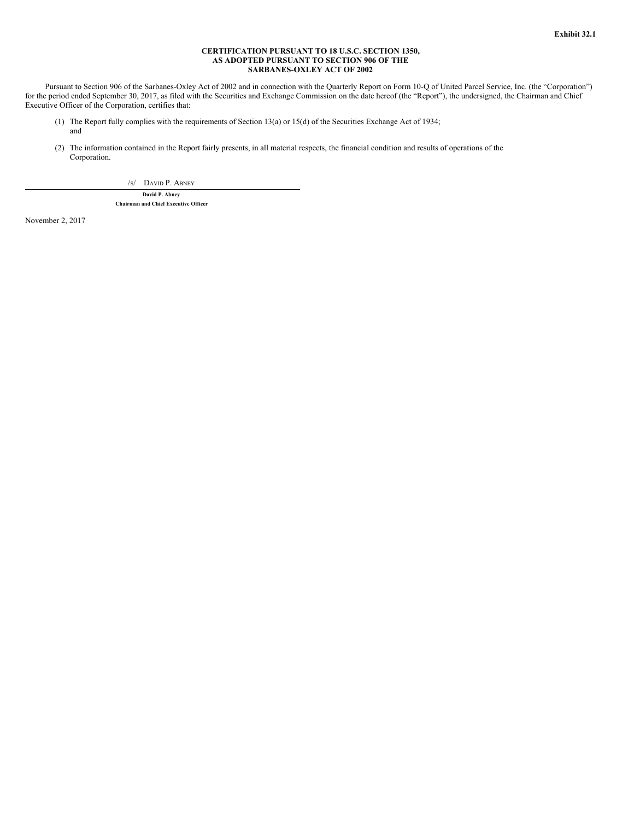### **CERTIFICATION PURSUANT TO 18 U.S.C. SECTION 1350, AS ADOPTED PURSUANT TO SECTION 906 OF THE SARBANES-OXLEY ACT OF 2002**

<span id="page-67-0"></span>Pursuant to Section 906 of the Sarbanes-Oxley Act of 2002 and in connection with the Quarterly Report on Form 10-Q of United Parcel Service, Inc. (the "Corporation") for the period ended September 30, 2017, as filed with the Securities and Exchange Commission on the date hereof (the "Report"), the undersigned, the Chairman and Chief Executive Officer of the Corporation, certifies that:

- (1) The Report fully complies with the requirements of Section 13(a) or 15(d) of the Securities Exchange Act of 1934; and
- (2) The information contained in the Report fairly presents, in all material respects, the financial condition and results of operations of the Corporation.

/S/ DAVID P. ABNEY

**David P. Abney Chairman and Chief Executive Officer**